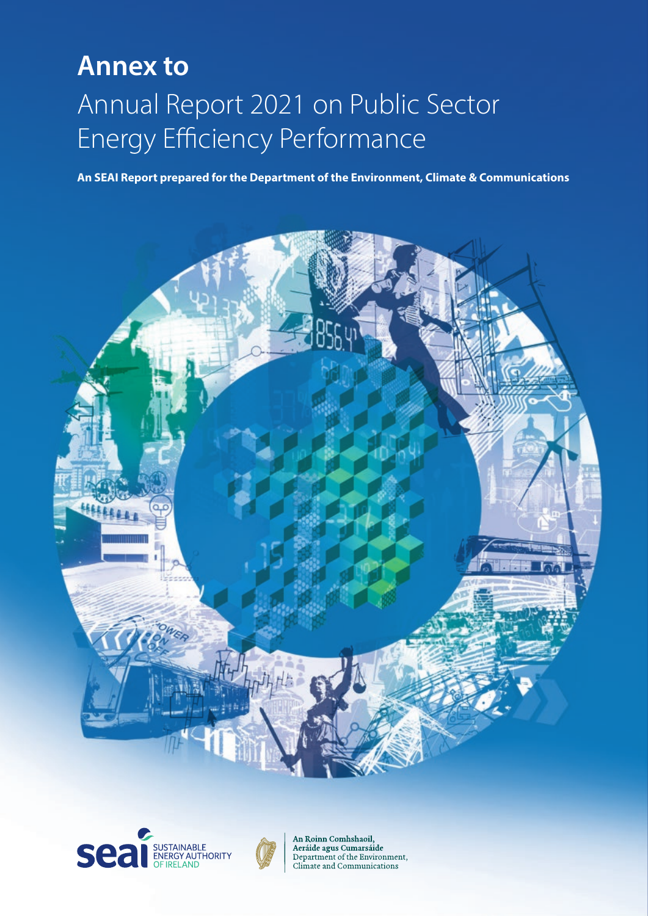## Annual Report 2021 on Public Sector Energy Efficiency Performance **Annex to**

**An SEAI Report prepared for the Department of the Environment, Climate & Communications**







An Roinn Comhshaoil, Aeráide agus Cumarsáide Department of the Environment, Climate and Communications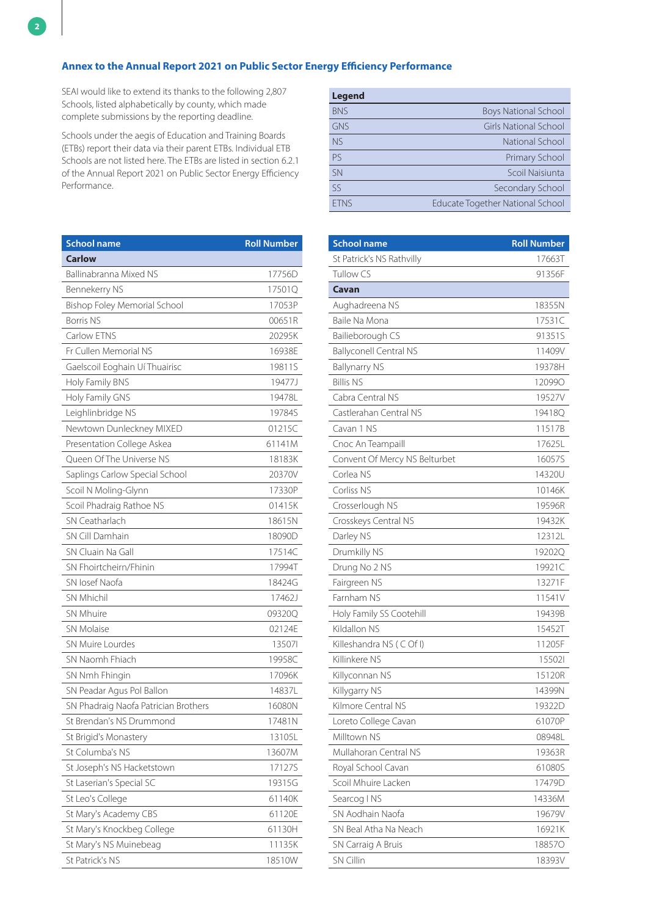SEAI would like to extend its thanks to the following 2,807 Schools, listed alphabetically by county, which made complete submissions by the reporting deadline.

Schools under the aegis of Education and Training Boards (ETBs) report their data via their parent ETBs. Individual ETB Schools are not listed here. The ETBs are listed in section 6.2.1 of the Annual Report 2021 on Public Sector Energy Efficiency Performance.

| <b>School name</b>                   | <b>Roll Number</b> |
|--------------------------------------|--------------------|
| <b>Carlow</b>                        |                    |
| Ballinabranna Mixed NS               | 17756D             |
| Bennekerry NS                        | 17501Q             |
| <b>Bishop Foley Memorial School</b>  | 17053P             |
| <b>Borris NS</b>                     | 00651R             |
| Carlow ETNS                          | 20295K             |
| Fr Cullen Memorial NS                | 16938E             |
| Gaelscoil Eoghain Uí Thuairisc       | 19811S             |
| Holy Family BNS                      | 19477J             |
| Holy Family GNS                      | 19478L             |
| Leighlinbridge NS                    | 19784S             |
| Newtown Dunleckney MIXED             | 01215C             |
| Presentation College Askea           | 61141M             |
| Oueen Of The Universe NS             | 18183K             |
| Saplings Carlow Special School       | 20370V             |
| Scoil N Moling-Glynn                 | 17330P             |
| Scoil Phadraig Rathoe NS             | 01415K             |
| SN Ceatharlach                       | 18615N             |
| SN Cill Damhain                      | 18090D             |
| SN Cluain Na Gall                    | 17514C             |
| SN Fhoirtcheirn/Fhinin               | 17994T             |
| SN losef Naofa                       | 18424G             |
| <b>SN Mhichil</b>                    | 17462J             |
| SN Mhuire                            | 09320Q             |
| <b>SN Molaise</b>                    | 02124E             |
| <b>SN Muire Lourdes</b>              | 135071             |
| SN Naomh Fhiach                      | 19958C             |
| SN Nmh Fhingin                       | 17096K             |
| SN Peadar Agus Pol Ballon            | 14837L             |
| SN Phadraig Naofa Patrician Brothers | 16080N             |
| St Brendan's NS Drummond             | 17481N             |
| St Brigid's Monastery                | 13105L             |
| St Columba's NS                      | 13607M             |
| St Joseph's NS Hacketstown           | 17127S             |
| St Laserian's Special SC             | 19315G             |
| St Leo's College                     | 61140K             |
| St Mary's Academy CBS                | 61120E             |
| St Mary's Knockbeg College           | 61130H             |
| St Mary's NS Muinebeag               | 11135K             |
| St Patrick's NS                      | 18510W             |

| <b>Legend</b> |                                  |
|---------------|----------------------------------|
| <b>BNS</b>    | <b>Boys National School</b>      |
| <b>GNS</b>    | Girls National School            |
| <b>NS</b>     | National School                  |
| <b>PS</b>     | Primary School                   |
| <b>SN</b>     | Scoil Naisiunta                  |
| 55            | Secondary School                 |
| <b>FTNS</b>   | Educate Together National School |

| <b>School name</b>            | <b>Roll Number</b> |
|-------------------------------|--------------------|
| St Patrick's NS Rathvilly     | 17663T             |
| Tullow CS                     | 91356F             |
| Cavan                         |                    |
| Aughadreena NS                | 18355N             |
| Baile Na Mona                 | 17531C             |
| Bailieborough CS              | 91351S             |
| <b>Ballyconell Central NS</b> | 11409V             |
| <b>Ballynarry NS</b>          | 19378H             |
| <b>Billis NS</b>              | 120990             |
| Cabra Central NS              | 19527V             |
| Castlerahan Central NS        | 19418Q             |
| Cavan 1 NS                    | 11517B             |
| Cnoc An Teampaill             | 17625L             |
| Convent Of Mercy NS Belturbet | 16057S             |
| Corlea NS                     | 14320U             |
| Corliss NS                    | 10146K             |
| Crosserlough NS               | 19596R             |
| Crosskeys Central NS          | 19432K             |
| Darley NS                     | 12312L             |
| Drumkilly NS                  | 19202Q             |
| Drung No 2 NS                 | 19921C             |
| Fairgreen NS                  | 13271F             |
| Farnham NS                    | 11541V             |
| Holy Family SS Cootehill      | 19439B             |
| Kildallon NS                  | 15452T             |
| Killeshandra NS (COfI)        | 11205F             |
| Killinkere NS                 | 155021             |
| Killyconnan NS                | 15120R             |
| Killygarry NS                 | 14399N             |
| Kilmore Central NS            | 19322D             |
| Loreto College Cavan          | 61070P             |
| Milltown NS                   | 08948L             |
| Mullahoran Central NS         | 19363R             |
| Royal School Cavan            | 61080S             |
| Scoil Mhuire Lacken           | 17479D             |
| Searcog INS                   | 14336M             |
| SN Aodhain Naofa              | 19679V             |
| SN Beal Atha Na Neach         | 16921K             |
| SN Carraig A Bruis            | 188570             |
| <b>SN Cillin</b>              | 18393V             |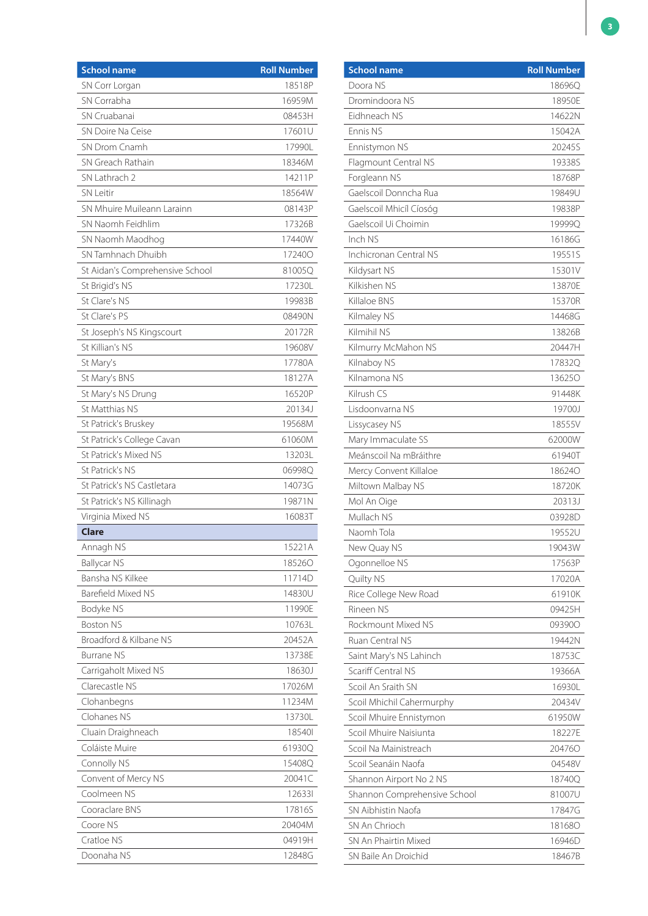| <b>School name</b>              | <b>Roll Number</b> |
|---------------------------------|--------------------|
| SN Corr Lorgan                  | 18518P             |
| SN Corrabha                     | 16959M             |
| SN Cruabanai                    | 08453H             |
| SN Doire Na Ceise               | 17601U             |
| SN Drom Cnamh                   | 17990L             |
| SN Greach Rathain               | 18346M             |
| SN Lathrach 2                   | 14211P             |
| <b>SN</b> Leitir                | 18564W             |
| SN Mhuire Muileann Larainn      | 08143P             |
| SN Naomh Feidhlim               | 17326B             |
| SN Naomh Maodhog                | 17440W             |
| SN Tamhnach Dhuibh              | 172400             |
| St Aidan's Comprehensive School | 81005Q             |
| St Brigid's NS                  | 17230L             |
| St Clare's NS                   | 19983B             |
| St Clare's PS                   | 08490N             |
| St Joseph's NS Kingscourt       | 20172R             |
| St Killian's NS                 | 19608V             |
| St Mary's                       | 17780A             |
| St Mary's BNS                   | 18127A             |
| St Mary's NS Drung              | 16520P             |
| St Matthias NS                  | 20134J             |
| St Patrick's Bruskey            | 19568M             |
| St Patrick's College Cavan      | 61060M             |
| St Patrick's Mixed NS           | 13203L             |
| <b>St Patrick's NS</b>          | 06998Q             |
| St Patrick's NS Castletara      | 14073G             |
| St Patrick's NS Killinagh       | 19871N             |
| Virginia Mixed NS               | 16083T             |
| <b>Clare</b>                    |                    |
| Annagh NS                       | 15221A             |
| <b>Ballycar NS</b>              | 185260             |
| Bansha NS Kilkee                | 11714D             |
| Barefield Mixed NS              | 14830U             |
| Bodyke NS                       | 11990E             |
| <b>Boston NS</b>                | 10763L             |
| Broadford & Kilbane NS          | 20452A             |
| <b>Burrane NS</b>               | 13738E             |
| Carrigaholt Mixed NS            | 18630J             |
| Clarecastle NS                  | 17026M             |
| Clohanbegns                     | 11234M             |
| Clohanes NS                     | 13730L             |
| Cluain Draighneach              | 185401             |
| Coláiste Muire                  | 61930Q             |
| Connolly NS                     | 15408Q             |
| Convent of Mercy NS             | 20041C             |
| Coolmeen NS                     | 126331             |
| Cooraclare BNS                  | 17816S             |
| Coore NS                        | 20404M             |
| Cratloe NS                      | 04919H             |
| Doonaha NS                      | 12848G             |

| <b>School name</b>           | <b>Roll Number</b> |
|------------------------------|--------------------|
| Doora NS                     | 18696Q             |
| Dromindoora NS               | 18950E             |
| Eidhneach NS                 | 14622N             |
| Ennis NS                     | 15042A             |
| Ennistymon NS                | 20245S             |
| Flagmount Central NS         | 19338S             |
| Forgleann NS                 | 18768P             |
| Gaelscoil Donncha Rua        | 19849U             |
| Gaelscoil Mhicíl Cíosóg      | 19838P             |
| Gaelscoil Ui Choimin         | 19999Q             |
| Inch NS                      | 16186G             |
| Inchicronan Central NS       | 19551S             |
| Kildysart NS                 | 15301V             |
| Kilkishen NS                 | 13870E             |
| Killaloe BNS                 | 15370R             |
| Kilmaley NS                  | 14468G             |
| Kilmihil NS                  | 13826B             |
| Kilmurry McMahon NS          | 20447H             |
| Kilnaboy NS                  | 17832Q             |
| Kilnamona NS                 | 136250             |
| Kilrush CS                   | 91448K             |
| Lisdoonvarna NS              | 19700J             |
| Lissycasey NS                | 18555V             |
| Mary Immaculate SS           | 62000W             |
| Meánscoil Na mBráithre       | 61940T             |
| Mercy Convent Killaloe       | 186240             |
| Miltown Malbay NS            | 18720K             |
| Mol An Oige                  | 20313J             |
| Mullach NS                   | 03928D             |
| Naomh Tola                   | 19552U             |
| New Quay NS                  | 19043W             |
| Ogonnelloe NS                | 17563P             |
| Quilty NS                    | 17020A             |
| Rice College New Road        | 61910K             |
| Rineen NS                    | 09425H             |
| Rockmount Mixed NS           | 093900             |
| Ruan Central NS              | 19442N             |
| Saint Mary's NS Lahinch      | 18753C             |
| Scariff Central NS           | 19366A             |
| Scoil An Sraith SN           | 16930L             |
| Scoil Mhichil Cahermurphy    | 20434V             |
| Scoil Mhuire Ennistymon      | 61950W             |
| Scoil Mhuire Naisiunta       | 18227E             |
| Scoil Na Mainistreach        | 204760             |
| Scoil Seanáin Naofa          | 04548V             |
| Shannon Airport No 2 NS      | 18740Q             |
| Shannon Comprehensive School | 81007U             |
| SN Aibhistin Naofa           | 17847G             |
| SN An Chrioch                | 181680             |
| SN An Phairtin Mixed         | 16946D             |
| SN Baile An Droichid         | 18467B             |
|                              |                    |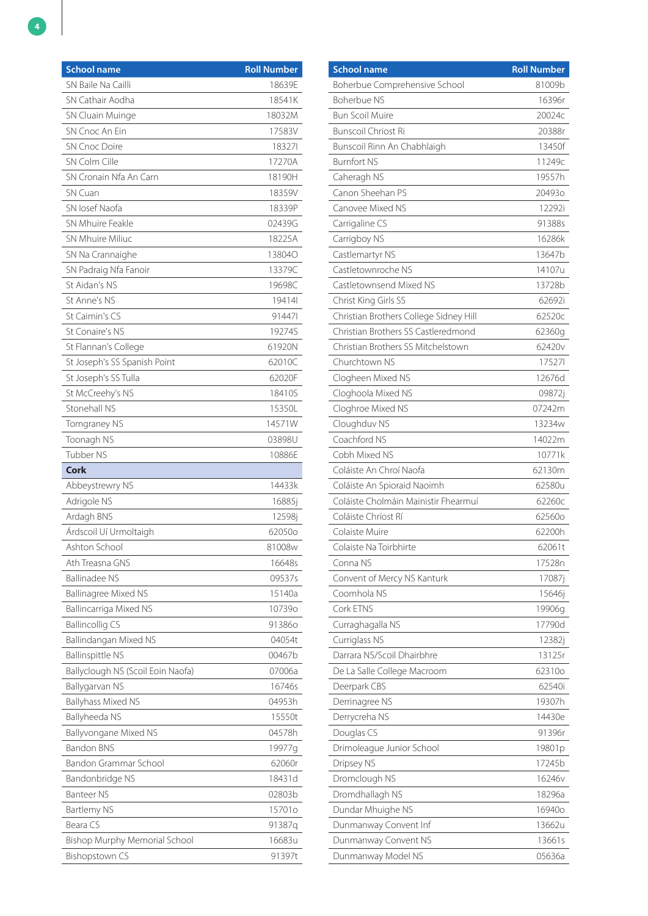| <b>School name</b>                   | <b>Roll Number</b> |
|--------------------------------------|--------------------|
| SN Baile Na Cailli                   | 18639E             |
| SN Cathair Aodha                     | 18541K             |
| SN Cluain Muinge                     | 18032M             |
| SN Cnoc An Fin                       | 17583V             |
| <b>SN Cnoc Doire</b>                 | 183271             |
| SN Colm Cille                        | 17270A             |
| SN Cronain Nfa An Carn               | 18190H             |
| SN Cuan                              | 18359V             |
| SN losef Naofa                       | 18339P             |
| SN Mhuire Feakle                     | 02439G             |
| SN Mhuire Miliuc                     | 18225A             |
| SN Na Crannaighe                     | 13804O             |
| SN Padraig Nfa Fanoir                | 13379C             |
| St Aidan's NS                        | 19698C             |
| St Anne's NS                         | 19414              |
| St Caimin's CS                       | 914471             |
| St Conaire's NS                      | 19274S             |
| St Flannan's College                 | 61920N             |
| St Joseph's SS Spanish Point         | 62010C             |
| St Joseph's SS Tulla                 | 62020F             |
| St McCreehy's NS                     | 18410S             |
| Stonehall NS                         | 15350L             |
| Tomgraney NS                         | 14571W             |
| Toonagh NS                           | 03898U             |
| Tubber NS                            | 10886E             |
| <b>Cork</b>                          |                    |
| Abbeystrewry NS                      | 14433k             |
| Adrigole NS                          | 16885j             |
| Ardagh BNS                           | 12598j             |
| Árdscoil Uí Urmoltaigh               | 62050o             |
| Ashton School                        | 81008w             |
| Ath Treasna GNS                      | 16648s             |
| <b>Ballinadee NS</b>                 | 09537s             |
| <b>Ballinagree Mixed NS</b>          | 15140a             |
| Ballincarriga Mixed NS               | 107390             |
| <b>Ballincollig CS</b>               | 913860             |
| Ballindangan Mixed NS                | 04054t             |
| <b>Ballinspittle NS</b>              | 00467b             |
| Ballyclough NS (Scoil Eoin Naofa)    | 07006a             |
| Ballygarvan NS                       | 16746s             |
| <b>Ballyhass Mixed NS</b>            | 04953h             |
| Ballyheeda NS                        | 15550t             |
| <b>Ballyvongane Mixed NS</b>         | 04578h             |
| <b>Bandon BNS</b>                    | 19977g             |
| Bandon Grammar School                | 62060r             |
| Bandonbridge NS                      | 18431d             |
| <b>Banteer NS</b>                    | 02803b             |
| Bartlemy NS                          | 15701o             |
| Beara CS                             | 91387q             |
|                                      | 16683u             |
| <b>Bishop Murphy Memorial School</b> |                    |
| <b>Bishopstown CS</b>                | 91397t             |

| <b>School name</b>                     | <b>Roll Number</b> |
|----------------------------------------|--------------------|
| Boherbue Comprehensive School          | 81009b             |
| <b>Boherbue NS</b>                     | 16396r             |
| <b>Bun Scoil Muire</b>                 | 20024c             |
| <b>Bunscoil Chriost Ri</b>             | 20388r             |
| Bunscoil Rinn An Chabhlaigh            | 13450f             |
| <b>Burnfort NS</b>                     | 11249c             |
| Caheragh NS                            | 19557h             |
| Canon Sheehan PS                       | 204930             |
| Canovee Mixed NS                       | 12292i             |
| Carrigaline CS                         | 91388s             |
| Carrigboy NS                           | 16286k             |
| Castlemartyr NS                        | 13647b             |
| Castletownroche NS                     | 14107u             |
| Castletownsend Mixed NS                | 13728b             |
| Christ King Girls SS                   | 62692i             |
| Christian Brothers College Sidney Hill | 62520c             |
| Christian Brothers SS Castleredmond    | 62360g             |
| Christian Brothers SS Mitchelstown     | 62420v             |
| Churchtown NS                          | 17527              |
| Clogheen Mixed NS                      | 12676d             |
| Cloghoola Mixed NS                     | 09872j             |
| Cloghroe Mixed NS                      | 07242m             |
| Cloughduv NS                           | 13234w             |
| Coachford NS                           | 14022m             |
| Cobh Mixed NS                          | 10771k             |
| Coláiste An Chroí Naofa                | 62130m             |
| Coláiste An Spioraid Naoimh            | 62580u             |
| Coláiste Cholmáin Mainistir Fhearmuí   | 62260c             |
| Coláiste Chríost Rí                    | 62560o             |
| Colaiste Muire                         | 62200h             |
| Colaiste Na Toirbhirte                 | 62061t             |
| Conna NS                               | 17528n             |
| Convent of Mercy NS Kanturk            | 17087i             |
| Coomhola NS                            | 15646j             |
| Cork FTNS                              | 19906g             |
| Curraghagalla NS                       | 17790d             |
| Curriglass NS                          | 12382j             |
| Darrara NS/Scoil Dhairbhre             | 13125r             |
| De La Salle College Macroom            | 62310o             |
| Deerpark CBS                           | 62540i             |
| Derrinagree NS                         | 19307h             |
| Derrycreha NS                          | 14430e             |
| Douglas CS                             | 91396r             |
| Drimoleague Junior School              | 19801p             |
| Dripsey NS                             | 17245b             |
| Dromclough NS                          | 16246v             |
| Dromdhallagh NS                        | 18296a             |
| Dundar Mhuighe NS                      | 169400             |
| Dunmanway Convent Inf                  | 13662u             |
| Dunmanway Convent NS                   | 13661s             |
| Dunmanway Model NS                     | 05636a             |
|                                        |                    |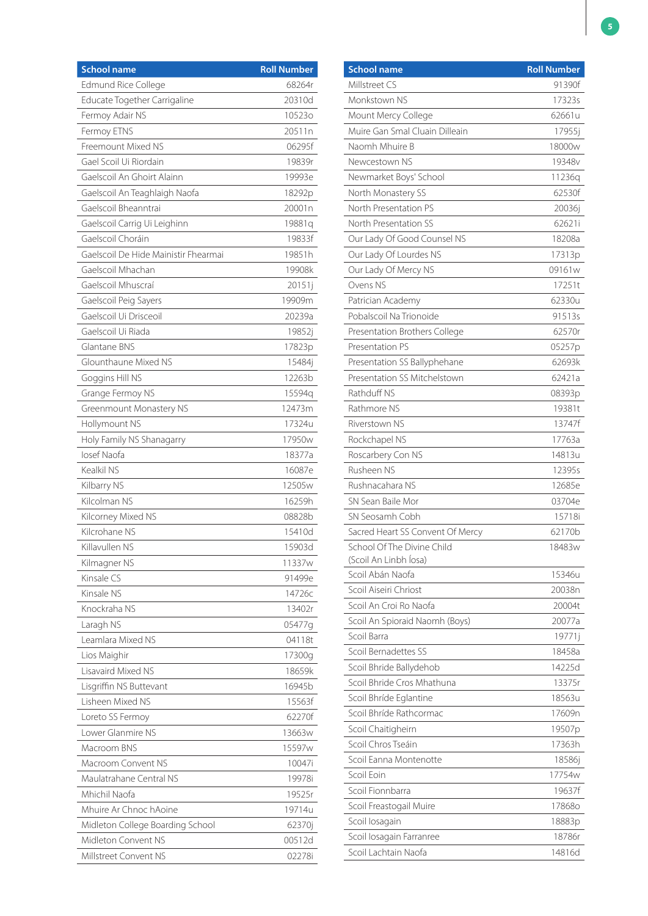| <b>School name</b>                   | <b>Roll Number</b> |
|--------------------------------------|--------------------|
| Edmund Rice College                  | 68264r             |
| Educate Together Carrigaline         | 20310d             |
| Fermoy Adair NS                      | 105230             |
| Fermoy ETNS                          | 20511n             |
| Freemount Mixed NS                   | 06295f             |
| Gael Scoil Ui Riordain               | 19839r             |
| Gaelscoil An Ghoirt Alainn           | 19993e             |
| Gaelscoil An Teaghlaigh Naofa        | 18292p             |
| Gaelscoil Bheanntrai                 | 20001n             |
| Gaelscoil Carrig Ui Leighinn         | 19881q             |
| Gaelscoil Choráin                    | 19833f             |
| Gaelscoil De Hide Mainistir Fhearmai | 19851h             |
| Gaelscoil Mhachan                    | 19908k             |
| Gaelscoil Mhuscraí                   | 20151j             |
| Gaelscoil Peig Sayers                | 19909m             |
| Gaelscoil Ui Drisceoil               | 20239a             |
| Gaelscoil Ui Riada                   | 19852j             |
| Glantane BNS                         | 17823p             |
| Glounthaune Mixed NS                 | 15484j             |
| Goggins Hill NS                      | 12263b             |
| Grange Fermoy NS                     | 15594q             |
| Greenmount Monastery NS              | 12473m             |
| Hollymount NS                        | 17324u             |
| Holy Family NS Shanagarry            | 17950w             |
| losef Naofa                          | 18377a             |
| Kealkil NS                           | 16087e             |
| Kilbarry NS                          | 12505w             |
| Kilcolman NS                         | 16259h             |
| Kilcorney Mixed NS                   | 08828b             |
| Kilcrohane NS                        | 15410d             |
| Killavullen NS                       | 15903d             |
| Kilmagner NS                         | 11337w             |
| Kinsale CS                           | 91499e             |
| Kinsale NS                           | 14726с             |
| Knockraha NS                         | 13402r             |
| Laragh NS                            | 05477g             |
| Leamlara Mixed NS                    | 04118t             |
| Lios Maighir                         | 17300g             |
| Lisavaird Mixed NS                   | 18659k             |
| Lisgriffin NS Buttevant              | 16945b             |
| Lisheen Mixed NS                     | 15563f             |
| Loreto SS Fermoy                     | 62270f             |
| Lower Glanmire NS                    | 13663 <sub>w</sub> |
| Macroom BNS                          | 15597w             |
| Macroom Convent NS                   | 10047i             |
| Maulatrahane Central NS              | 19978i             |
| Mhichil Naofa                        | 19525r             |
| Mhuire Ar Chnoc hAoine               | 19714u             |
| Midleton College Boarding School     | 62370j             |
| Midleton Convent NS                  | 00512d             |
| Millstreet Convent NS                | 02278i             |

| <b>School name</b>               | <b>Roll Number</b> |
|----------------------------------|--------------------|
| Millstreet CS                    | 91390f             |
| Monkstown NS                     | 17323s             |
| Mount Mercy College              | 62661u             |
| Muire Gan Smal Cluain Dilleain   | 17955j             |
| Naomh Mhuire B                   | 18000w             |
| Newcestown NS                    | 19348v             |
| Newmarket Boys' School           | 11236q             |
| North Monastery SS               | 62530f             |
| North Presentation PS            | 20036j             |
| North Presentation SS            | 62621i             |
| Our Lady Of Good Counsel NS      | 18208a             |
| Our Lady Of Lourdes NS           | 17313p             |
| Our Lady Of Mercy NS             | 09161 <sub>w</sub> |
| Ovens NS                         | 17251t             |
| Patrician Academy                | 62330u             |
| Pobalscoil Na Trionoide          | 91513s             |
| Presentation Brothers College    | 62570r             |
| Presentation PS                  | 05257p             |
| Presentation SS Ballyphehane     | 62693k             |
| Presentation SS Mitchelstown     | 62421a             |
| Rathduff NS                      | 08393p             |
| Rathmore NS                      | 19381t             |
| Riverstown NS                    | 13747f             |
| Rockchapel NS                    | 17763a             |
| Roscarbery Con NS                | 14813u             |
| Rusheen NS                       | 12395s             |
| Rushnacahara NS                  | 12685e             |
| SN Sean Baile Mor                | 03704e             |
| SN Seosamh Cobh                  | 15718i             |
| Sacred Heart SS Convent Of Mercy | 62170b             |
| School Of The Divine Child       | 18483w             |
| (Scoil An Linbh Íosa)            |                    |
| Scoil Abán Naofa                 | 15346u             |
| Scoil Aiseiri Chriost            | 20038n             |
| Scoil An Croi Ro Naofa           | 20004t             |
| Scoil An Spioraid Naomh (Boys)   | 20077a             |
| Scoil Barra                      | 19771j             |
| Scoil Bernadettes SS             | 18458a             |
| Scoil Bhride Ballydehob          | 14225d             |
| Scoil Bhride Cros Mhathuna       | 13375r             |
| Scoil Bhríde Eglantine           | 18563u             |
| Scoil Bhríde Rathcormac          | 17609n             |
| Scoil Chaitigheirn               | 19507p             |
| Scoil Chros Tseáin               | 17363h             |
| Scoil Eanna Montenotte           | 18586j             |
| Scoil Eoin                       | 17754w             |
| Scoil Fionnbarra                 | 19637f             |
| Scoil Freastogail Muire          | 17868o             |
| Scoil losagain                   | 18883p             |
| Scoil losagain Farranree         | 18786r             |
| Scoil Lachtain Naofa             | 14816d             |
|                                  |                    |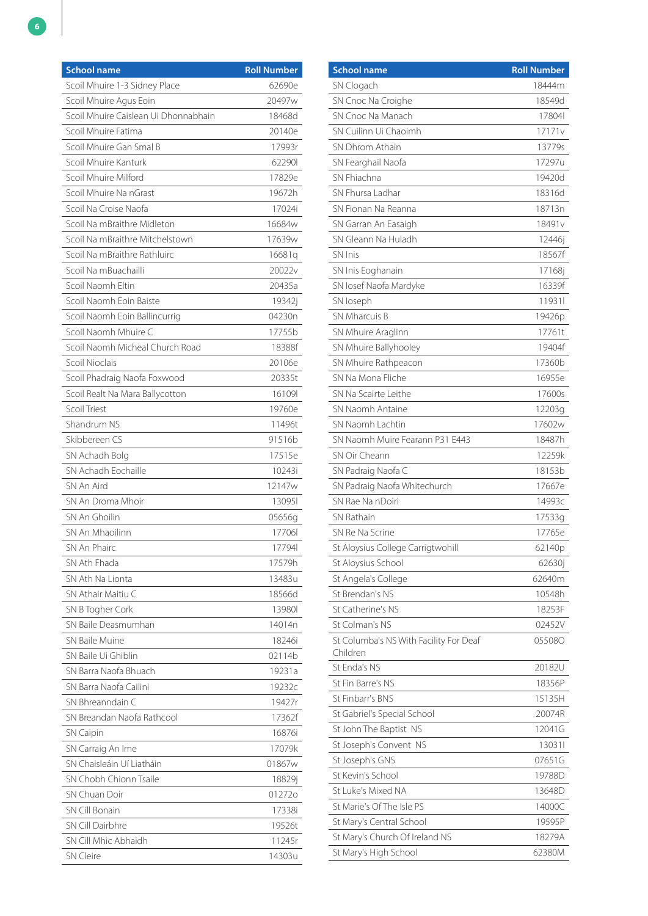| <b>School name</b>                   | <b>Roll Number</b> |
|--------------------------------------|--------------------|
| Scoil Mhuire 1-3 Sidney Place        | 62690e             |
| Scoil Mhuire Agus Eoin               | 20497w             |
| Scoil Mhuire Caislean Ui Dhonnabhain | 18468d             |
| Scoil Mhuire Fatima                  | 20140e             |
| Scoil Mhuire Gan Smal B              | 17993r             |
| Scoil Mhuire Kanturk                 | 622901             |
| Scoil Mhuire Milford                 | 17829e             |
| Scoil Mhuire Na nGrast               | 19672h             |
| Scoil Na Croise Naofa                | 17024i             |
| Scoil Na mBraithre Midleton          | 16684w             |
| Scoil Na mBraithre Mitchelstown      | 17639w             |
| Scoil Na mBraithre Rathluirc         | 16681q             |
| Scoil Na mBuachailli                 | 20022v             |
| Scoil Naomh Eltin                    | 20435a             |
| Scoil Naomh Eoin Baiste              | 19342j             |
| Scoil Naomh Eoin Ballincurrig        | 04230n             |
| Scoil Naomh Mhuire C                 | 17755b             |
| Scoil Naomh Micheal Church Road      | 18388f             |
| Scoil Nioclais                       | 20106e             |
| Scoil Phadraig Naofa Foxwood         | 20335t             |
| Scoil Realt Na Mara Ballycotton      | 16109              |
| Scoil Triest                         | 19760e             |
| Shandrum NS                          | 11496t             |
| Skibbereen CS                        | 91516b             |
| SN Achadh Bolg                       | 17515e             |
| SN Achadh Eochaille                  | 10243i             |
| SN An Aird                           | 12147w             |
| SN An Droma Mhoir                    | 130951             |
| SN An Ghoilin                        | 05656g             |
| SN An Mhaoilinn                      | 17706              |
| SN An Phairc                         | 17794              |
| SN Ath Fhada                         | 17579h             |
| SN Ath Na Lionta                     | 13483u             |
| SN Athair Maitiu C                   | 18566d             |
| SN B Togher Cork                     | 139801             |
| SN Baile Deasmumhan                  | 14014n             |
| <b>SN Baile Muine</b>                | 18246i             |
| SN Baile Ui Ghiblin                  | 02114b             |
| SN Barra Naofa Bhuach                | 19231a             |
| SN Barra Naofa Cailini               | 19232c             |
| SN Bhreanndain C                     | 19427r             |
| SN Breandan Naofa Rathcool           | 17362f             |
| <b>SN Caipin</b>                     | 16876i             |
| SN Carraig An Ime                    | 17079k             |
| SN Chaisleáin Uí Liatháin            | 01867w             |
| SN Chobh Chionn Tsaile               | 18829j             |
| SN Chuan Doir                        | 012720             |
| <b>SN Cill Bonain</b>                | 17338i             |
| SN Cill Dairbhre                     | 19526t             |
| SN Cill Mhic Abhaidh                 | 11245r             |
| <b>SN Cleire</b>                     | 14303u             |

| <b>School name</b>                     | <b>Roll Number</b> |
|----------------------------------------|--------------------|
| SN Clogach                             | 18444m             |
| SN Cnoc Na Croighe                     | 18549d             |
| SN Cnoc Na Manach                      | 17804              |
| SN Cuilinn Ui Chaoimh                  | 17171v             |
| SN Dhrom Athain                        | 13779s             |
| SN Fearghail Naofa                     | 17297u             |
| SN Fhiachna                            | 19420d             |
| SN Fhursa Ladhar                       | 18316d             |
| SN Fionan Na Reanna                    | 18713n             |
| SN Garran An Easaigh                   | 18491 <sub>v</sub> |
| SN Gleann Na Huladh                    | 12446j             |
| <b>SN Inis</b>                         | 18567f             |
| SN Inis Eoghanain                      | 17168j             |
| SN losef Naofa Mardyke                 | 16339f             |
| SN loseph                              | 119311             |
| SN Mharcuis B                          | 19426p             |
| SN Mhuire Araglinn                     | 17761t             |
| SN Mhuire Ballyhooley                  | 19404f             |
| SN Mhuire Rathpeacon                   | 17360b             |
| SN Na Mona Fliche                      | 16955e             |
| SN Na Scairte Leithe                   | 17600s             |
| SN Naomh Antaine                       | 12203g             |
| SN Naomh Lachtin                       | 17602w             |
| SN Naomh Muire Fearann P31 E443        | 18487h             |
| SN Oir Cheann                          | 12259k             |
| SN Padraig Naofa C                     | 18153b             |
| SN Padraig Naofa Whitechurch           | 17667e             |
| SN Rae Na nDoiri                       | 14993c             |
| <b>SN Rathain</b>                      | 17533g             |
| SN Re Na Scrine                        | 17765e             |
| St Aloysius College Carrigtwohill      | 62140p             |
| St Aloysius School                     | 62630j             |
| St Angela's College                    | 62640m             |
| St Brendan's NS                        | 10548h             |
| St Catherine's NS                      | 18253F             |
| St Colman's NS                         | 02452V             |
| St Columba's NS With Facility For Deaf | 055080             |
| Children                               |                    |
| St Enda's NS                           | 20182U             |
| St Fin Barre's NS                      | 18356P             |
| St Finbarr's BNS                       | 15135H             |
| St Gabriel's Special School            | 20074R             |
| St John The Baptist NS                 | 12041G             |
| St Joseph's Convent NS                 | 130311             |
| St Joseph's GNS                        | 07651G             |
| St Kevin's School                      | 19788D             |
| St Luke's Mixed NA                     | 13648D             |
| St Marie's Of The Isle PS              | 14000C             |
| St Mary's Central School               | 19595P             |
| St Mary's Church Of Ireland NS         | 18279A             |
| St Mary's High School                  | 62380M             |
|                                        |                    |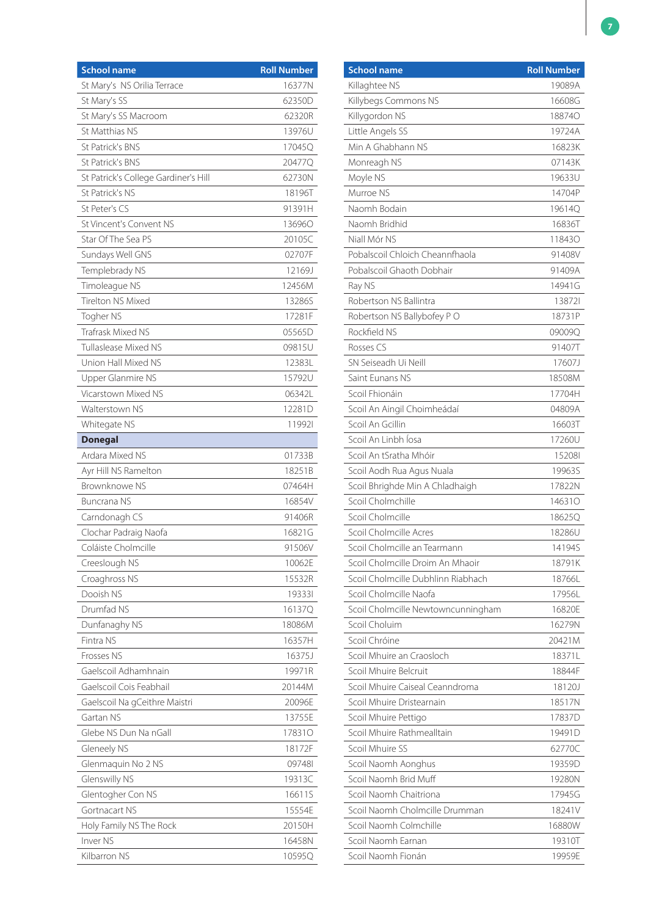| <b>School name</b>                   | <b>Roll Number</b> |
|--------------------------------------|--------------------|
| St Mary's NS Orilia Terrace          | 16377N             |
| St Mary's SS                         | 62350D             |
| St Mary's SS Macroom                 | 62320R             |
| St Matthias NS                       | 13976U             |
| St Patrick's BNS                     | 17045Q             |
| St Patrick's BNS                     | 20477Q             |
| St Patrick's College Gardiner's Hill | 62730N             |
| St Patrick's NS                      | 18196T             |
| St Peter's CS                        | 91391H             |
| St Vincent's Convent NS              | 136960             |
| Star Of The Sea PS                   | 20105C             |
| Sundays Well GNS                     | 02707F             |
| Templebrady NS                       | 12169J             |
| Timoleague NS                        | 12456M             |
| <b>Tirelton NS Mixed</b>             | 13286S             |
| Togher NS                            | 17281F             |
| <b>Trafrask Mixed NS</b>             | 05565D             |
| Tullaslease Mixed NS                 | 09815U             |
| Union Hall Mixed NS                  | 12383L             |
| Upper Glanmire NS                    | 15792U             |
| Vicarstown Mixed NS                  | 06342L             |
| Walterstown NS                       | 12281D             |
| Whitegate NS                         | 119921             |
| <b>Donegal</b>                       |                    |
| Ardara Mixed NS                      | 01733B             |
| Ayr Hill NS Ramelton                 | 18251B             |
| Brownknowe NS                        | 07464H             |
| <b>Buncrana NS</b>                   | 16854V             |
| Carndonagh CS                        | 91406R             |
| Clochar Padraig Naofa                | 16821G             |
| Coláiste Cholmcille                  | 91506V             |
| Creeslough NS                        | 10062E             |
| Croaghross NS                        | 15532R             |
| Dooish NS                            | 193331             |
| Drumfad NS                           | 16137Q             |
| Dunfanaghy NS                        | 18086M             |
| Fintra NS                            | 16357H             |
| Frosses NS                           | 16375J             |
| Gaelscoil Adhamhnain                 | 19971R             |
| Gaelscoil Cois Feabhail              | 20144M             |
| Gaelscoil Na gCeithre Maistri        | 20096E             |
| Gartan NS                            | 13755E             |
| Glebe NS Dun Na nGall                | <b>178310</b>      |
| Gleneely NS                          | 18172F             |
| Glenmaquin No 2 NS                   | 097481             |
| Glenswilly NS                        | 19313C             |
| Glentogher Con NS                    | 16611S             |
| Gortnacart NS                        | 15554E             |
| Holy Family NS The Rock              | 20150H             |
| Inver <sub>NS</sub>                  | 16458N             |
| Kilbarron NS                         | 10595Q             |

| <b>School name</b>                 | <b>Roll Number</b> |
|------------------------------------|--------------------|
| Killaghtee NS                      | 19089A             |
| Killybegs Commons NS               | 16608G             |
| Killygordon NS                     | <b>188740</b>      |
| Little Angels SS                   | 19724A             |
| Min A Ghabhann NS                  | 16823K             |
| Monreagh NS                        | 07143K             |
| Moyle NS                           | 19633U             |
| Murroe NS                          | 14704P             |
| Naomh Bodain                       | 196140             |
| Naomh Bridhid                      | 16836T             |
| Niall Mór NS                       | 118430             |
| Pobalscoil Chloich Cheannfhaola    | 91408V             |
| Pobalscoil Ghaoth Dobhair          | 91409A             |
| Ray NS                             | 14941G             |
| Robertson NS Ballintra             | 138721             |
| Robertson NS Ballybofey PO         | 18731P             |
| Rockfield NS                       | 09009Q             |
| Rosses CS                          | 91407T             |
| SN Seiseadh Ui Neill               | 17607J             |
| Saint Eunans NS                    | 18508M             |
| Scoil Fhionáin                     | 17704H             |
| Scoil An Aingil Choimheádaí        | 04809A             |
| Scoil An Gcillin                   | 16603T             |
| Scoil An Linbh Íosa                | 17260U             |
| Scoil An tSratha Mhóir             | 152081             |
| Scoil Aodh Rua Agus Nuala          | 19963S             |
| Scoil Bhrighde Min A Chladhaigh    | 17822N             |
| Scoil Cholmchille                  | 146310             |
| Scoil Cholmcille                   | 186250             |
| Scoil Cholmcille Acres             | 18286U             |
| Scoil Cholmcille an Tearmann       | 14194S             |
| Scoil Cholmcille Droim An Mhaoir   | 18791K             |
| Scoil Cholmcille Dubhlinn Riabhach | 18766L             |
| Scoil Cholmcille Naofa             | 17956L             |
| Scoil Cholmcille Newtowncunningham | 16820E             |
| Scoil Choluim                      | 16279N             |
| Scoil Chróine                      | 20421M             |
| Scoil Mhuire an Craosloch          | 18371L             |
| Scoil Mhuire Belcruit              | 18844F             |
| Scoil Mhuire Caiseal Ceanndroma    | 18120J             |
| Scoil Mhuire Dristearnain          | 18517N             |
| Scoil Mhuire Pettigo               | 17837D             |
| Scoil Mhuire Rathmealltain         | 19491D             |
| Scoil Mhuire SS                    | 62770C             |
| Scoil Naomh Aonghus                | 19359D             |
| Scoil Naomh Brid Muff              | 19280N             |
| Scoil Naomh Chaitriona             | 17945G             |
| Scoil Naomh Cholmcille Drumman     | 18241V             |
| Scoil Naomh Colmchille             | 16880W             |
| Scoil Naomh Earnan                 | 19310T             |
| Scoil Naomh Fionán                 | 19959E             |
|                                    |                    |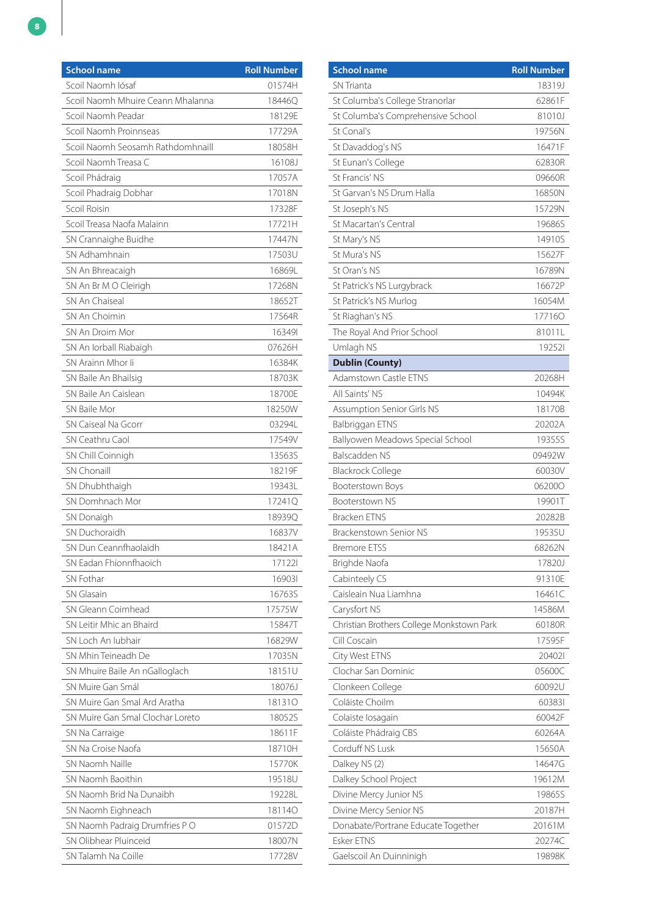| <b>School name</b>                | <b>Roll Number</b> |
|-----------------------------------|--------------------|
| Scoil Naomh Iósaf                 | 01574H             |
| Scoil Naomh Mhuire Ceann Mhalanna | 18446O             |
| Scoil Naomh Peadar                | 18129E             |
| Scoil Naomh Proinnseas            | 17729A             |
| Scoil Naomh Seosamh Rathdomhnaill | 18058H             |
| Scoil Naomh Treasa C              | 16108J             |
| Scoil Phádraig                    | 17057A             |
| Scoil Phadraig Dobhar             | 17018N             |
| Scoil Roisin                      | 17328F             |
| Scoil Treasa Naofa Malainn        | 17721H             |
| SN Crannaighe Buidhe              | 17447N             |
| SN Adhamhnain                     | 17503U             |
| SN An Bhreacaigh                  | 16869L             |
| SN An Br M O Cleirigh             | 17268N             |
| SN An Chaiseal                    | 18652T             |
| SN An Choimin                     | 17564R             |
| SN An Droim Mor                   | 163491             |
| SN An Iorball Riabaigh            | 07626H             |
| SN Arainn Mhor li                 | 16384K             |
| SN Baile An Bhailsig              | 18703K             |
| SN Baile An Caislean              | 18700E             |
| SN Baile Mor                      | 18250W             |
| SN Caiseal Na Gcorr               | 03294L             |
| SN Ceathru Caol                   | 17549V             |
| SN Chill Coinnigh                 | 13563S             |
| <b>SN Chonaill</b>                | 18219F             |
| SN Dhubhthaigh                    | 19343L             |
| SN Domhnach Mor                   | 172410             |
| SN Donaigh                        | 18939Q             |
| SN Duchoraidh                     | 16837V             |
| SN Dun Ceannfhaolaidh             | 18421A             |
| SN Eadan Fhionnfhaoich            | 171221             |
| SN Fothar                         | 169031             |
| SN Glasain                        | 16763S             |
| SN Gleann Coimhead                | 17575W             |
| SN Leitir Mhic an Bhaird          | 15847T             |
| SN Loch An Jubhair                | 16829W             |
| SN Mhin Teineadh De               | 17035N             |
| SN Mhuire Baile An nGalloglach    | 18151U             |
| SN Muire Gan Smál                 | 18076J             |
| SN Muire Gan Smal Ard Aratha      | 181310             |
| SN Muire Gan Smal Clochar Loreto  | 18052S             |
| SN Na Carraige                    | 18611F             |
| SN Na Croise Naofa                | 18710H             |
| SN Naomh Naille                   | 15770K             |
| SN Naomh Baoithin                 | 19518U             |
| SN Naomh Brid Na Dunaibh          | 19228L             |
| SN Naomh Eighneach                | 181140             |
| SN Naomh Padraig Drumfries PO     | 01572D             |
| SN Olibhear Pluinceid             | 18007N             |
| SN Talamh Na Coille               | 17728V             |

| <b>School name</b>                        | <b>Roll Number</b> |
|-------------------------------------------|--------------------|
| <b>SN Trianta</b>                         | 18319J             |
| St Columba's College Stranorlar           | 62861F             |
| St Columba's Comprehensive School         | 81010J             |
| St Conal's                                | 19756N             |
| St Davaddog's NS                          | 16471F             |
| St Eunan's College                        | 62830R             |
| St Francis' NS                            | 09660R             |
| St Garvan's NS Drum Halla                 | 16850N             |
| St Joseph's NS                            | 15729N             |
| <b>St Macartan's Central</b>              | 19686S             |
| St Mary's NS                              | 14910S             |
| St Mura's NS                              | 15627F             |
| St Oran's NS                              | 16789N             |
| St Patrick's NS Lurgybrack                | 16672P             |
| St Patrick's NS Murlog                    | 16054M             |
| St Riaghan's NS                           | 177160             |
| The Royal And Prior School                | 81011L             |
| Umlagh NS                                 | 192521             |
| <b>Dublin (County)</b>                    |                    |
| Adamstown Castle ETNS                     | 20268H             |
| All Saints' NS                            | 10494K             |
| Assumption Senior Girls NS                | 18170B             |
| Balbriggan ETNS                           | 20202A             |
| Ballyowen Meadows Special School          | 19355S             |
| Balscadden NS                             | 09492W             |
| <b>Blackrock College</b>                  | 60030V             |
| Booterstown Boys                          | 062000             |
| Booterstown NS                            | 19901T             |
| <b>Bracken ETNS</b>                       | 20282B             |
| Brackenstown Senior NS                    | 19535U             |
| <b>Bremore ETSS</b>                       | 68262N             |
| Brighde Naofa                             | 17820J             |
| Cabinteely CS                             | 91310E             |
| Caisleain Nua Liamhna                     | 16461C             |
| Carysfort NS                              | 14586M             |
| Christian Brothers College Monkstown Park | 60180R             |
| Cill Coscain                              | 17595F             |
| City West ETNS                            | 204021             |
| Clochar San Dominic                       | 05600C             |
| Clonkeen College                          | 60092U             |
| Coláiste Choilm                           | 603831             |
| Colaiste Iosagain                         | 60042F             |
| Coláiste Phádraig CBS                     | 60264A             |
| Corduff NS Lusk                           | 15650A             |
| Dalkey NS (2)                             | 14647G             |
| Dalkey School Project                     | 19612M             |
| Divine Mercy Junior NS                    | 19865S             |
| Divine Mercy Senior NS                    | 20187H             |
| Donabate/Portrane Educate Together        | 20161M             |
| <b>Esker ETNS</b>                         | 20274C             |
| Gaelscoil An Duinninigh                   | 19898K             |
|                                           |                    |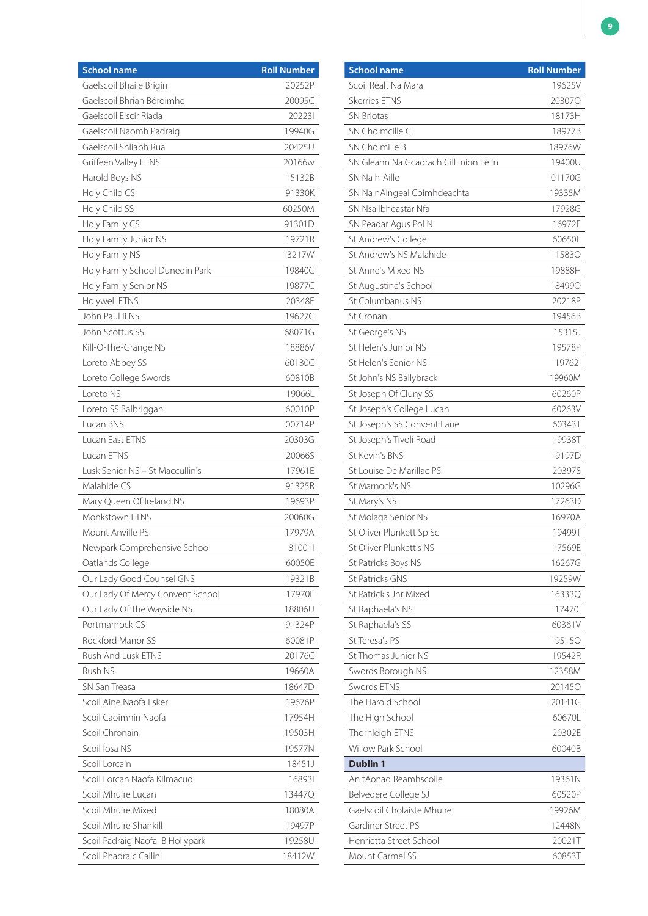| <b>School name</b>               | <b>Roll Number</b> |
|----------------------------------|--------------------|
| Gaelscoil Bhaile Brigin          | 20252P             |
| Gaelscoil Bhrian Bóroimhe        | 20095C             |
| Gaelscoil Eiscir Riada           | 202231             |
| Gaelscoil Naomh Padraig          | 19940G             |
| Gaelscoil Shliabh Rua            | 20425U             |
| Griffeen Valley ETNS             | 20166w             |
| Harold Boys NS                   | 15132B             |
| Holy Child CS                    | 91330K             |
| Holy Child SS                    | 60250M             |
| Holy Family CS                   | 91301D             |
| Holy Family Junior NS            | 19721R             |
| Holy Family NS                   | 13217W             |
| Holy Family School Dunedin Park  | 19840C             |
| Holy Family Senior NS            | 19877C             |
| Holywell ETNS                    | 20348F             |
| John Paul Ii NS                  | 19627C             |
| John Scottus SS                  | 68071G             |
| Kill-O-The-Grange NS             | 18886V             |
| Loreto Abbey SS                  | 60130C             |
| Loreto College Swords            | 60810B             |
| Loreto NS                        | 19066L             |
| Loreto SS Balbriggan             | 60010P             |
| Lucan BNS                        | 00714P             |
| Lucan East ETNS                  | 20303G             |
| Lucan ETNS                       | 200665             |
| Lusk Senior NS - St Maccullin's  | 17961E             |
| Malahide C.S                     | 91325R             |
| Mary Queen Of Ireland NS         | 19693P             |
| Monkstown ETNS                   | 20060G             |
| Mount Anville PS                 | 17979A             |
| Newpark Comprehensive School     | 810011             |
| Oatlands College                 | 60050E             |
| Our Lady Good Counsel GNS        | 19321B             |
| Our Lady Of Mercy Convent School | 17970F             |
| Our Lady Of The Wayside NS       | 18806U             |
| Portmarnock CS                   | 91324P             |
| Rockford Manor SS                | 60081P             |
| Rush And Lusk ETNS               | 20176C             |
| Rush NS                          | 19660A             |
| SN San Treasa                    | 18647D             |
| Scoil Aine Naofa Esker           | 19676P             |
| Scoil Caoimhin Naofa             | 17954H             |
| Scoil Chronain                   | 19503H             |
| Scoil Íosa NS                    | 19577N             |
| Scoil Lorcain                    | 18451J             |
| Scoil Lorcan Naofa Kilmacud      | 168931             |
| Scoil Mhuire Lucan               | 13447Q             |
| Scoil Mhuire Mixed               | 18080A             |
| Scoil Mhuire Shankill            | 19497P             |
| Scoil Padraig Naofa B Hollypark  | 19258U             |
| Scoil Phadraic Cailini           | 18412W             |

| <b>School name</b>                     | <b>Roll Number</b> |
|----------------------------------------|--------------------|
| Scoil Réalt Na Mara                    | 19625V             |
| <b>Skerries ETNS</b>                   | 203070             |
| <b>SN Briotas</b>                      | 18173H             |
| SN Cholmcille C                        | 18977B             |
| SN Cholmille B                         | 18976W             |
| SN Gleann Na Gcaorach Cill Iníon Léiín | 19400U             |
| SN Na h-Aille                          | 01170G             |
| SN Na nAingeal Coimhdeachta            | 19335M             |
| SN Nsailbheastar Nfa                   | 17928G             |
| SN Peadar Agus Pol N                   | 16972E             |
| St Andrew's College                    | 60650F             |
| St Andrew's NS Malahide                | 115830             |
| St Anne's Mixed NS                     | 19888H             |
| St Augustine's School                  | 184990             |
| St Columbanus NS                       | 20218P             |
| St Cronan                              | 19456B             |
| St George's NS                         | 15315J             |
| St Helen's Junior NS                   | 19578P             |
| St Helen's Senior NS                   | 197621             |
| St John's NS Ballybrack                | 19960M             |
| St Joseph Of Cluny SS                  | 60260P             |
| St Joseph's College Lucan              | 60263V             |
| St Joseph's SS Convent Lane            | 60343T             |
| St Joseph's Tivoli Road                | 19938T             |
| St Kevin's BNS                         | 19197D             |
| St Louise De Marillac PS               | 20397S             |
| St Marnock's NS                        | 10296G             |
| St Mary's NS                           | 17263D             |
| St Molaga Senior NS                    | 16970A             |
| St Oliver Plunkett Sp Sc               | 19499T             |
| St Oliver Plunkett's NS                | 17569E             |
| St Patricks Boys NS                    | 16267G             |
| <b>St Patricks GNS</b>                 | 19259W             |
| St Patrick's Jnr Mixed                 | 16333Q             |
| St Raphaela's NS                       | 174701             |
| St Raphaela's SS                       | 60361V             |
| St Teresa's PS                         | 195150             |
| St Thomas Junior NS                    | 19542R             |
| Swords Borough NS                      | 12358M             |
| Swords FTNS                            | 201450             |
| The Harold School                      | 20141G             |
| The High School                        | 60670L             |
| Thornleigh ETNS                        | 20302E             |
| Willow Park School                     | 60040B             |
| <b>Dublin 1</b>                        |                    |
| An tAonad Reamhscoile                  | 19361N             |
| Belvedere College SJ                   | 60520P             |
| Gaelscoil Cholaiste Mhuire             | 19926M             |
| Gardiner Street PS                     | 12448N             |
| Henrietta Street School                | 20021T             |
| Mount Carmel SS                        | 60853T             |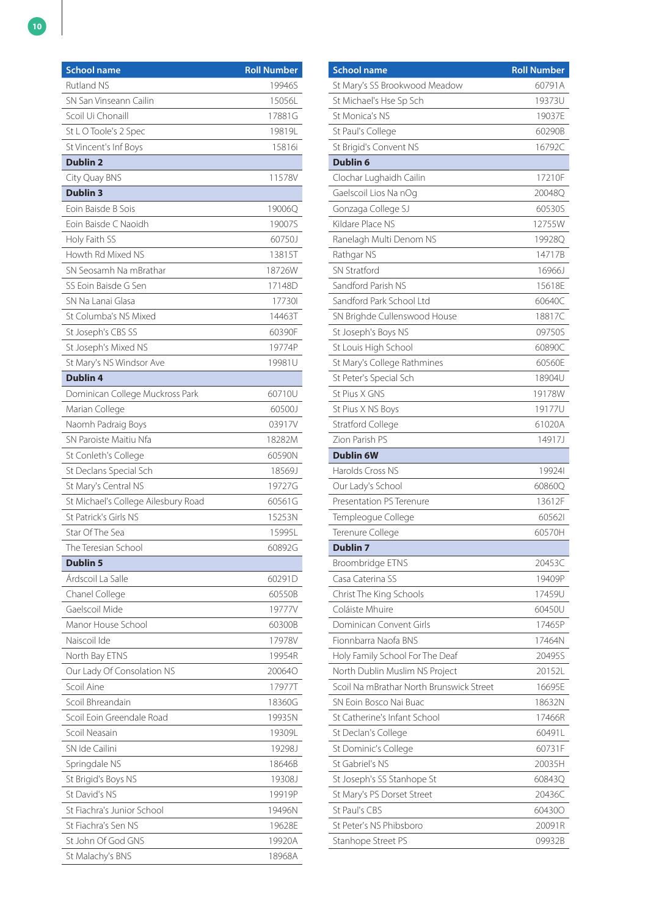| <b>School name</b>                  | <b>Roll Number</b> |
|-------------------------------------|--------------------|
| <b>Rutland NS</b>                   | 19946S             |
| SN San Vinseann Cailin              | 15056L             |
| Scoil Ui Chonaill                   | 17881G             |
| St L O Toole's 2 Spec               | 19819L             |
| St Vincent's Inf Boys               | 15816i             |
| <b>Dublin 2</b>                     |                    |
| City Quay BNS                       | 11578V             |
| <b>Dublin 3</b>                     |                    |
| Eoin Baisde B Sois                  | 19006Q             |
| Eoin Baisde C Naoidh                | 19007S             |
| Holy Faith SS                       | 60750J             |
| Howth Rd Mixed NS                   | 13815T             |
| SN Seosamh Na mBrathar              | 18726W             |
| SS Eoin Baisde G Sen                | 17148D             |
| SN Na Lanai Glasa                   | 177301             |
| St Columba's NS Mixed               | 14463T             |
| St Joseph's CBS SS                  | 60390F             |
| St Joseph's Mixed NS                | 19774P             |
| St Mary's NS Windsor Ave            | 19981U             |
| <b>Dublin 4</b>                     |                    |
| Dominican College Muckross Park     | 60710U             |
| Marian College                      | 60500J             |
| Naomh Padraig Boys                  | 03917V             |
| SN Paroiste Maitiu Nfa              | 18282M             |
| St Conleth's College                | 60590N             |
| St Declans Special Sch              | 18569J             |
| St Mary's Central NS                | 19727G             |
| St Michael's College Ailesbury Road | 60561G             |
| St Patrick's Girls NS               | 15253N             |
| Star Of The Sea                     | 15995L             |
| The Teresian School                 | 60892G             |
| <b>Dublin 5</b>                     |                    |
| Árdscoil La Salle                   | 60291D             |
| Chanel College                      | 60550B             |
| Gaelscoil Mide                      | 19777V             |
| Manor House School                  | 60300B             |
| Naiscoil Ide                        | 17978V             |
| North Bay ETNS                      | 19954R             |
| Our Lady Of Consolation NS          | 200640             |
| Scoil Aine                          | 17977T             |
| Scoil Bhreandain                    | 18360G             |
| Scoil Eoin Greendale Road           | 19935N             |
| Scoil Neasain                       | 19309L             |
| SN Ide Cailini                      | 19298J             |
| Springdale NS                       | 18646B             |
| St Brigid's Boys NS                 | 19308J             |
| St David's NS                       | 19919P             |
| St Fiachra's Junior School          | 19496N             |
| St Fiachra's Sen NS                 | 19628E             |
| St John Of God GNS                  | 19920A             |
| St Malachy's BNS                    | 18968A             |

| <b>School name</b>                       | <b>Roll Number</b> |
|------------------------------------------|--------------------|
| St Mary's SS Brookwood Meadow            | 60791A             |
| St Michael's Hse Sp Sch                  | 19373U             |
| St Monica's NS                           | 19037E             |
| St Paul's College                        | 60290B             |
| St Brigid's Convent NS                   | 16792C             |
| <b>Dublin 6</b>                          |                    |
| Clochar Lughaidh Cailin                  | 17210F             |
| Gaelscoil Lios Na nOg                    | 20048Q             |
| Gonzaga College SJ                       | 60530S             |
| Kildare Place NS                         | 12755W             |
| Ranelagh Multi Denom NS                  | 19928Q             |
| Rathgar NS                               | 14717B             |
| <b>SN Stratford</b>                      | 16966J             |
| Sandford Parish NS                       | 15618E             |
| Sandford Park School Ltd                 | 60640C             |
| SN Brighde Cullenswood House             | 18817C             |
| St Joseph's Boys NS                      | 09750S             |
| St Louis High School                     | 60890C             |
| St Mary's College Rathmines              | 60560E             |
| St Peter's Special Sch                   | 18904U             |
| St Pius X GNS                            | 19178W             |
| St Pius X NS Boys                        | 19177U             |
| <b>Stratford College</b>                 | 61020A             |
| Zion Parish PS                           | 14917J             |
| <b>Dublin 6W</b>                         |                    |
| Harolds Cross NS                         | 199241             |
| Our Lady's School                        | 60860Q             |
| Presentation PS Terenure                 | 13612F             |
| Templeogue College                       | 605621             |
| Terenure College                         | 60570H             |
| Dublin 7                                 |                    |
| Broombridge ETNS                         | 20453C             |
| Casa Caterina SS                         | 19409P             |
| Christ The King Schools                  | 17459U             |
| Coláiste Mhuire                          | 60450U             |
| Dominican Convent Girls                  | 17465P             |
| Fionnbarra Naofa BNS                     | 17464N             |
| Holy Family School For The Deaf          | 20495S             |
| North Dublin Muslim NS Project           | 20152L             |
| Scoil Na mBrathar North Brunswick Street | 16695E             |
| SN Eoin Bosco Nai Buac                   | 18632N             |
| St Catherine's Infant School             | 17466R             |
| St Declan's College                      | 60491L             |
| St Dominic's College                     | 60731F             |
| St Gabriel's NS                          | 20035H             |
|                                          |                    |
| St Joseph's SS Stanhope St               | 60843Q             |
| St Mary's PS Dorset Street               | 20436C             |
| St Paul's CBS                            | 604300             |
| St Peter's NS Phibsboro                  | 20091R             |
| Stanhope Street PS                       | 09932B             |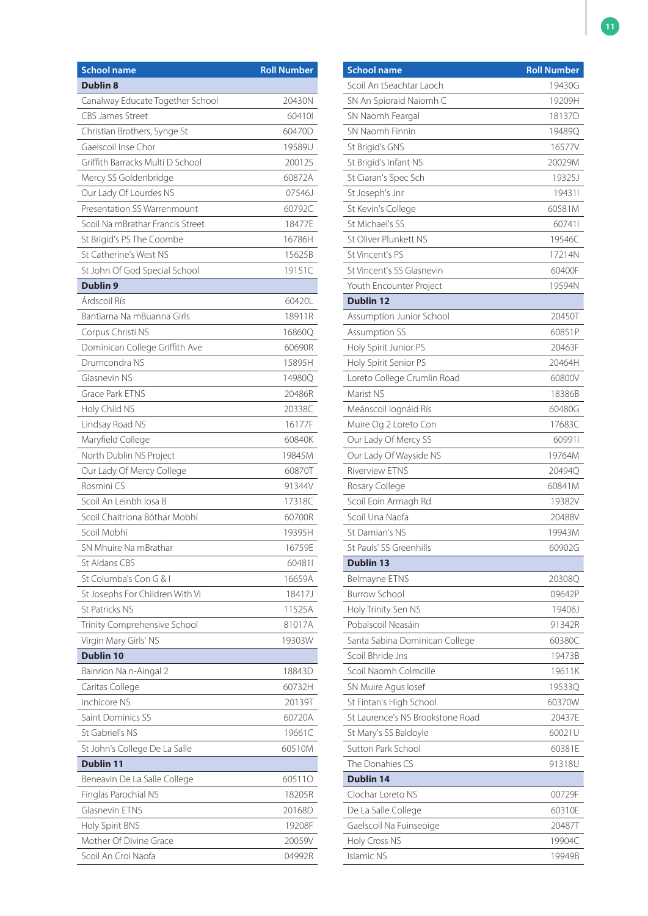| <b>School name</b>               | <b>Roll Number</b> |
|----------------------------------|--------------------|
| <b>Dublin 8</b>                  |                    |
| Canalway Educate Together School | 20430N             |
| <b>CBS James Street</b>          | 604101             |
| Christian Brothers, Synge St     | 60470D             |
| Gaelscoil Inse Chor              | 19589U             |
| Griffith Barracks Multi D School | 20012S             |
| Mercy SS Goldenbridge            | 60872A             |
| Our Lady Of Lourdes NS           | 07546J             |
| Presentation SS Warrenmount      | 60792C             |
| Scoil Na mBrathar Francis Street | 18477E             |
| St Brigid's PS The Coombe        | 16786H             |
| St Catherine's West NS           | 15625B             |
| St John Of God Special School    | 19151C             |
| <b>Dublin 9</b>                  |                    |
| Árdscoil Rís                     | 60420L             |
| Bantiarna Na mBuanna Girls       | 18911R             |
| Corpus Christi NS                | 16860Q             |
| Dominican College Griffith Ave   | 60690R             |
| Drumcondra NS                    | 15895H             |
| Glasnevin NS                     | 14980Q             |
| <b>Grace Park ETNS</b>           | 20486R             |
| Holy Child NS                    | 20338C             |
| Lindsay Road NS                  | 16177F             |
| Maryfield College                | 60840K             |
| North Dublin NS Project          | 19845M             |
| Our Lady Of Mercy College        | 60870T             |
| Rosmini CS                       | 91344V             |
| Scoil An Leinbh Iosa B           | 17318C             |
| Scoil Chaitriona Bóthar Mobhí    | 60700R             |
| Scoil Mobhí                      | 19395H             |
| SN Mhuire Na mBrathar            | 16759E             |
| St Aidans CBS                    | 604811             |
| St Columba's Con G & I           | 16659A             |
| St Josephs For Children With Vi  | 18417J             |
| St Patricks NS                   | 11525A             |
| Trinity Comprehensive School     | 81017A             |
| Virgin Mary Girls' NS            | 19303W             |
| <b>Dublin 10</b>                 |                    |
| Bainrion Na n-Aingal 2           | 18843D             |
| Caritas College                  | 60732H             |
| Inchicore NS                     | 20139T             |
| Saint Dominics SS                | 60720A             |
| St Gabriel's NS                  | 19661C             |
| St John's College De La Salle    | 60510M             |
| <b>Dublin 11</b>                 |                    |
| Beneavin De La Salle College     | 605110             |
| Finglas Parochial NS             | 18205R             |
| Glasnevin ETNS                   | 20168D             |
| Holy Spirit BNS                  | 19208F             |
| Mother Of Divine Grace           | 20059V             |
| Scoil An Croi Naofa              | 04992R             |

| <b>School name</b>               | <b>Roll Number</b> |
|----------------------------------|--------------------|
| Scoil An tSeachtar Laoch         | 19430G             |
| SN An Spioraid Naiomh C          | 19209H             |
| SN Naomh Feargal                 | 18137D             |
| SN Naomh Finnin                  | 19489Q             |
| St Brigid's GNS                  | 16577V             |
| St Brigid's Infant NS            | 20029M             |
| St Ciaran's Spec Sch             | 19325J             |
| St Joseph's Jnr                  | 194311             |
| St Kevin's College               | 60581M             |
| St Michael's SS                  | 607411             |
| St Oliver Plunkett NS            | 19546C             |
| St Vincent's PS                  | 17214N             |
| St Vincent's SS Glasnevin        | 60400F             |
| Youth Encounter Project          | 19594N             |
| <b>Dublin 12</b>                 |                    |
| Assumption Junior School         | 20450T             |
| <b>Assumption SS</b>             | 60851P             |
| Holy Spirit Junior PS            | 20463F             |
| Holy Spirit Senior PS            | 20464H             |
| Loreto College Crumlin Road      | 60800V             |
| Marist NS                        | 18386B             |
| Meánscoil lognáid Rís            | 60480G             |
| Muire Og 2 Loreto Con            | 17683C             |
| Our Lady Of Mercy SS             | 609911             |
| Our Lady Of Wayside NS           | 19764M             |
| <b>Riverview ETNS</b>            | 20494Q             |
| Rosary College                   | 60841M             |
| Scoil Eoin Armagh Rd             | 19382V             |
| Scoil Una Naofa                  | 20488V             |
| St Damian's NS                   | 19943M             |
| St Pauls' SS Greenhills          | 60902G             |
| <b>Dublin 13</b>                 |                    |
| Belmayne ETNS                    | 20308Q             |
| <b>Burrow School</b>             | 09642P             |
| Holy Trinity Sen NS              | 19406J             |
| Pobalscoil Neasáin               | 91342R             |
| Santa Sabina Dominican College   | 60380C             |
| Scoil Bhride Jns                 | 19473B             |
| Scoil Naomh Colmcille            | 19611K             |
| SN Muire Agus losef              | 19533Q             |
| St Fintan's High School          | 60370W             |
| St Laurence's NS Brookstone Road | 20437E             |
| St Mary's SS Baldoyle            | 60021U             |
| Sutton Park School               | 60381E             |
| The Donahies CS                  | 91318U             |
| <b>Dublin 14</b>                 |                    |
| Clochar Loreto NS                | 00729F             |
| De La Salle College              | 60310E             |
| Gaelscoil Na Fuinseoige          | 20487T             |
| Holy Cross NS                    | 19904C             |
| <b>Islamic NS</b>                | 19949B             |
|                                  |                    |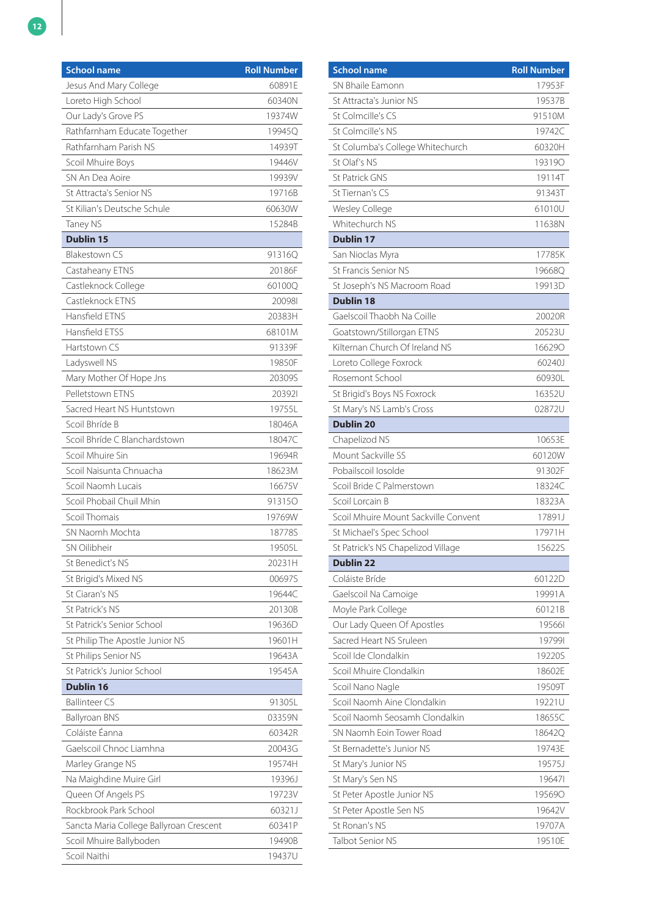| <b>School name</b>                      | <b>Roll Number</b> |
|-----------------------------------------|--------------------|
| Jesus And Mary College                  | 60891E             |
| Loreto High School                      | 60340N             |
| Our Lady's Grove PS                     | 19374W             |
| Rathfarnham Educate Together            | 19945Q             |
| Rathfarnham Parish NS                   | 14939T             |
| Scoil Mhuire Boys                       | 19446V             |
| SN An Dea Aoire                         | 19939V             |
| St Attracta's Senior NS                 | 19716B             |
| St Kilian's Deutsche Schule             | 60630W             |
| Taney NS                                | 15284B             |
| <b>Dublin 15</b>                        |                    |
| <b>Blakestown CS</b>                    | 91316Q             |
| Castaheany ETNS                         | 20186F             |
| Castleknock College                     | 60100Q             |
| Castleknock ETNS                        | 200981             |
| Hansfield ETNS                          | 20383H             |
| Hansfield ETSS                          | 68101M             |
| Hartstown CS                            | 91339F             |
| Ladyswell NS                            | 19850F             |
| Mary Mother Of Hope Jns                 | 20309S             |
| Pelletstown ETNS                        | 203921             |
| Sacred Heart NS Huntstown               | 19755L             |
| Scoil Bhríde B                          | 18046A             |
| Scoil Bhríde C Blanchardstown           | 18047C             |
| Scoil Mhuire Sin                        | 19694R             |
| Scoil Naisunta Chnuacha                 | 18623M             |
| Scoil Naomh Lucais                      | 16675V             |
| Scoil Phobail Chuil Mhin                | 913150             |
| Scoil Thomais                           | 19769W             |
| SN Naomh Mochta                         | 18778S             |
| SN Oilibheir                            | 19505L             |
| St Benedict's NS                        | 20231H             |
| St Brigid's Mixed NS                    | 00697S             |
| St Ciaran's NS                          | 19644C             |
| St Patrick's NS                         | 20130B             |
| St Patrick's Senior School              | 19636D             |
| St Philip The Apostle Junior NS         | 19601H             |
| St Philips Senior NS                    | 19643A             |
| St Patrick's Junior School              | 19545A             |
| <b>Dublin 16</b>                        |                    |
| <b>Ballinteer CS</b>                    | 91305L             |
| <b>Ballyroan BNS</b>                    | 03359N             |
| Coláiste Éanna                          | 60342R             |
| Gaelscoil Chnoc Liamhna                 | 20043G             |
| Marley Grange NS                        | 19574H             |
| Na Maighdine Muire Girl                 | 19396J             |
| Queen Of Angels PS                      | 19723V             |
| Rockbrook Park School                   | 60321J             |
| Sancta Maria College Ballyroan Crescent | 60341P             |
| Scoil Mhuire Ballyboden                 | 19490B             |
| Scoil Naithi                            | 19437U             |

| <b>School name</b>                   | <b>Roll Number</b> |
|--------------------------------------|--------------------|
| SN Bhaile Famonn                     | 17953F             |
| St Attracta's Junior NS              | 19537B             |
| St Colmcille's CS                    | 91510M             |
| St Colmcille's NS                    | 19742C             |
| St Columba's College Whitechurch     | 60320H             |
| St Olaf's NS                         | 193190             |
| <b>St Patrick GNS</b>                | 19114T             |
| St Tiernan's CS                      | 91343T             |
| Wesley College                       | 61010U             |
| Whitechurch NS                       | 11638N             |
| <b>Dublin 17</b>                     |                    |
| San Nioclas Myra                     | 17785K             |
| St Francis Senior NS                 | 19668Q             |
| St Joseph's NS Macroom Road          | 19913D             |
| <b>Dublin 18</b>                     |                    |
| Gaelscoil Thaobh Na Coille           | 20020R             |
| Goatstown/Stillorgan ETNS            | 20523U             |
| Kilternan Church Of Ireland NS       | 166290             |
| Loreto College Foxrock               | 60240J             |
| Rosemont School                      | 60930L             |
| St Brigid's Boys NS Foxrock          | 16352U             |
| St Mary's NS Lamb's Cross            | 02872U             |
| <b>Dublin 20</b>                     |                    |
| Chapelizod NS                        | 10653E             |
| Mount Sackville SS                   | 60120W             |
| Pobailscoil losolde                  | 91302F             |
| Scoil Bride C Palmerstown            | 18324C             |
| Scoil Lorcain B                      | 18323A             |
| Scoil Mhuire Mount Sackville Convent | 17891J             |
| St Michael's Spec School             | 17971H             |
| St Patrick's NS Chapelizod Village   | 15622S             |
| <b>Dublin 22</b>                     |                    |
| Coláiste Bríde                       | 60122D             |
| Gaelscoil Na Camoige                 | 19991A             |
| Moyle Park College                   | 60121B             |
| Our Lady Queen Of Apostles           | 195661             |
| Sacred Heart NS Sruleen              | 197991             |
| Scoil Ide Clondalkin                 | 19220S             |
| Scoil Mhuire Clondalkin              | 18602E             |
| Scoil Nano Nagle                     | 19509T             |
| Scoil Naomh Aine Clondalkin          | 19221U             |
| Scoil Naomh Seosamh Clondalkin       | 18655C             |
| SN Naomh Eoin Tower Road             | 18642Q             |
| St Bernadette's Junior NS            | 19743E             |
| St Mary's Junior NS                  | 19575J             |
| St Mary's Sen NS                     | 196471             |
| St Peter Apostle Junior NS           | 195690             |
| St Peter Apostle Sen NS              | 19642V             |
| St Ronan's NS                        | 19707A             |
| Talbot Senior NS                     | 19510E             |
|                                      |                    |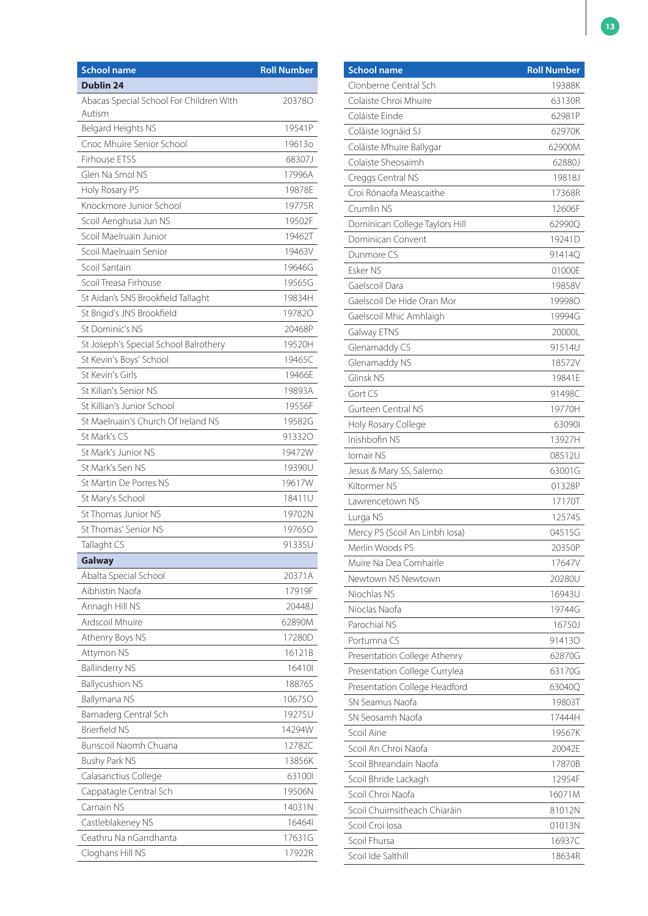| <b>Dublin 24</b><br>Abacas Special School For Children With<br>203780<br>Autism<br>Belgard Heights NS<br>19541P<br>Cnoc Mhuire Senior School<br>196130<br>Firhouse ETSS<br>68307J<br>Glen Na Smol NS<br>17996A<br>Holy Rosary PS<br>19878E<br>Knockmore Junior School<br>19775R<br>Scoil Aenghusa Jun NS<br>19502F<br>Scoil Maelruain Junior<br>19462T<br>Scoil Maelruain Senior<br>19463V<br>Scoil Santain<br>19646G<br>Scoil Treasa Firhouse<br>19565G<br>St Aidan's SNS Brookfield Tallaght<br>19834H<br>St Brigid's JNS Brookfield<br>197820<br>St Dominic's NS<br>20468P<br>19520H<br>St Joseph's Special School Balrothery<br>St Kevin's Boys' School<br>19465C<br>St Kevin's Girls<br>19466E<br>St Kilian's Senior NS<br>19893A<br>St Killian's Junior School<br>19556F<br>St Maelruain's Church Of Ireland NS<br>19582G<br>St Mark's CS<br>913320<br>St Mark's Junior NS<br>19472W<br>St Mark's Sen NS<br>19390U<br>St Martin De Porres NS<br>19617W<br>St Mary's School<br>18411U<br>St Thomas Junior NS<br>19702N<br>St Thomas' Senior NS<br>197650<br>Tallaght CS<br>91335U<br><b>Galway</b><br>Abalta Special School<br>20371A<br>Aibhistin Naofa<br>17919F<br>Annagh Hill NS<br>20448J<br>Ardscoil Mhuire<br>62890M<br>Athenry Boys NS<br>17280D<br>Attymon NS<br>16121B<br><b>Ballinderry NS</b><br>164101<br><b>Ballycushion NS</b><br>18876S<br>Ballymana NS<br>106750<br>Barnaderg Central Sch<br>19275U<br><b>Brierfield NS</b><br>14294W<br>Bunscoil Naomh Chuana<br>12782C<br>13856K<br>Bushy Park NS<br>Calasanctius College<br>631001<br>Cappatagle Central Sch<br>19506N<br>Carnain NS<br>14031N<br>Castleblakeney NS<br>164641<br>Ceathru Na nGarrdhanta<br>17631G<br>Cloghans Hill NS<br>17922R | <b>School name</b> | <b>Roll Number</b> |
|--------------------------------------------------------------------------------------------------------------------------------------------------------------------------------------------------------------------------------------------------------------------------------------------------------------------------------------------------------------------------------------------------------------------------------------------------------------------------------------------------------------------------------------------------------------------------------------------------------------------------------------------------------------------------------------------------------------------------------------------------------------------------------------------------------------------------------------------------------------------------------------------------------------------------------------------------------------------------------------------------------------------------------------------------------------------------------------------------------------------------------------------------------------------------------------------------------------------------------------------------------------------------------------------------------------------------------------------------------------------------------------------------------------------------------------------------------------------------------------------------------------------------------------------------------------------------------------------------------------------------------------------------------------------------------------------------------------------------|--------------------|--------------------|
|                                                                                                                                                                                                                                                                                                                                                                                                                                                                                                                                                                                                                                                                                                                                                                                                                                                                                                                                                                                                                                                                                                                                                                                                                                                                                                                                                                                                                                                                                                                                                                                                                                                                                                                          |                    |                    |
|                                                                                                                                                                                                                                                                                                                                                                                                                                                                                                                                                                                                                                                                                                                                                                                                                                                                                                                                                                                                                                                                                                                                                                                                                                                                                                                                                                                                                                                                                                                                                                                                                                                                                                                          |                    |                    |
|                                                                                                                                                                                                                                                                                                                                                                                                                                                                                                                                                                                                                                                                                                                                                                                                                                                                                                                                                                                                                                                                                                                                                                                                                                                                                                                                                                                                                                                                                                                                                                                                                                                                                                                          |                    |                    |
|                                                                                                                                                                                                                                                                                                                                                                                                                                                                                                                                                                                                                                                                                                                                                                                                                                                                                                                                                                                                                                                                                                                                                                                                                                                                                                                                                                                                                                                                                                                                                                                                                                                                                                                          |                    |                    |
|                                                                                                                                                                                                                                                                                                                                                                                                                                                                                                                                                                                                                                                                                                                                                                                                                                                                                                                                                                                                                                                                                                                                                                                                                                                                                                                                                                                                                                                                                                                                                                                                                                                                                                                          |                    |                    |
|                                                                                                                                                                                                                                                                                                                                                                                                                                                                                                                                                                                                                                                                                                                                                                                                                                                                                                                                                                                                                                                                                                                                                                                                                                                                                                                                                                                                                                                                                                                                                                                                                                                                                                                          |                    |                    |
|                                                                                                                                                                                                                                                                                                                                                                                                                                                                                                                                                                                                                                                                                                                                                                                                                                                                                                                                                                                                                                                                                                                                                                                                                                                                                                                                                                                                                                                                                                                                                                                                                                                                                                                          |                    |                    |
|                                                                                                                                                                                                                                                                                                                                                                                                                                                                                                                                                                                                                                                                                                                                                                                                                                                                                                                                                                                                                                                                                                                                                                                                                                                                                                                                                                                                                                                                                                                                                                                                                                                                                                                          |                    |                    |
|                                                                                                                                                                                                                                                                                                                                                                                                                                                                                                                                                                                                                                                                                                                                                                                                                                                                                                                                                                                                                                                                                                                                                                                                                                                                                                                                                                                                                                                                                                                                                                                                                                                                                                                          |                    |                    |
|                                                                                                                                                                                                                                                                                                                                                                                                                                                                                                                                                                                                                                                                                                                                                                                                                                                                                                                                                                                                                                                                                                                                                                                                                                                                                                                                                                                                                                                                                                                                                                                                                                                                                                                          |                    |                    |
|                                                                                                                                                                                                                                                                                                                                                                                                                                                                                                                                                                                                                                                                                                                                                                                                                                                                                                                                                                                                                                                                                                                                                                                                                                                                                                                                                                                                                                                                                                                                                                                                                                                                                                                          |                    |                    |
|                                                                                                                                                                                                                                                                                                                                                                                                                                                                                                                                                                                                                                                                                                                                                                                                                                                                                                                                                                                                                                                                                                                                                                                                                                                                                                                                                                                                                                                                                                                                                                                                                                                                                                                          |                    |                    |
|                                                                                                                                                                                                                                                                                                                                                                                                                                                                                                                                                                                                                                                                                                                                                                                                                                                                                                                                                                                                                                                                                                                                                                                                                                                                                                                                                                                                                                                                                                                                                                                                                                                                                                                          |                    |                    |
|                                                                                                                                                                                                                                                                                                                                                                                                                                                                                                                                                                                                                                                                                                                                                                                                                                                                                                                                                                                                                                                                                                                                                                                                                                                                                                                                                                                                                                                                                                                                                                                                                                                                                                                          |                    |                    |
|                                                                                                                                                                                                                                                                                                                                                                                                                                                                                                                                                                                                                                                                                                                                                                                                                                                                                                                                                                                                                                                                                                                                                                                                                                                                                                                                                                                                                                                                                                                                                                                                                                                                                                                          |                    |                    |
|                                                                                                                                                                                                                                                                                                                                                                                                                                                                                                                                                                                                                                                                                                                                                                                                                                                                                                                                                                                                                                                                                                                                                                                                                                                                                                                                                                                                                                                                                                                                                                                                                                                                                                                          |                    |                    |
|                                                                                                                                                                                                                                                                                                                                                                                                                                                                                                                                                                                                                                                                                                                                                                                                                                                                                                                                                                                                                                                                                                                                                                                                                                                                                                                                                                                                                                                                                                                                                                                                                                                                                                                          |                    |                    |
|                                                                                                                                                                                                                                                                                                                                                                                                                                                                                                                                                                                                                                                                                                                                                                                                                                                                                                                                                                                                                                                                                                                                                                                                                                                                                                                                                                                                                                                                                                                                                                                                                                                                                                                          |                    |                    |
|                                                                                                                                                                                                                                                                                                                                                                                                                                                                                                                                                                                                                                                                                                                                                                                                                                                                                                                                                                                                                                                                                                                                                                                                                                                                                                                                                                                                                                                                                                                                                                                                                                                                                                                          |                    |                    |
|                                                                                                                                                                                                                                                                                                                                                                                                                                                                                                                                                                                                                                                                                                                                                                                                                                                                                                                                                                                                                                                                                                                                                                                                                                                                                                                                                                                                                                                                                                                                                                                                                                                                                                                          |                    |                    |
|                                                                                                                                                                                                                                                                                                                                                                                                                                                                                                                                                                                                                                                                                                                                                                                                                                                                                                                                                                                                                                                                                                                                                                                                                                                                                                                                                                                                                                                                                                                                                                                                                                                                                                                          |                    |                    |
|                                                                                                                                                                                                                                                                                                                                                                                                                                                                                                                                                                                                                                                                                                                                                                                                                                                                                                                                                                                                                                                                                                                                                                                                                                                                                                                                                                                                                                                                                                                                                                                                                                                                                                                          |                    |                    |
|                                                                                                                                                                                                                                                                                                                                                                                                                                                                                                                                                                                                                                                                                                                                                                                                                                                                                                                                                                                                                                                                                                                                                                                                                                                                                                                                                                                                                                                                                                                                                                                                                                                                                                                          |                    |                    |
|                                                                                                                                                                                                                                                                                                                                                                                                                                                                                                                                                                                                                                                                                                                                                                                                                                                                                                                                                                                                                                                                                                                                                                                                                                                                                                                                                                                                                                                                                                                                                                                                                                                                                                                          |                    |                    |
|                                                                                                                                                                                                                                                                                                                                                                                                                                                                                                                                                                                                                                                                                                                                                                                                                                                                                                                                                                                                                                                                                                                                                                                                                                                                                                                                                                                                                                                                                                                                                                                                                                                                                                                          |                    |                    |
|                                                                                                                                                                                                                                                                                                                                                                                                                                                                                                                                                                                                                                                                                                                                                                                                                                                                                                                                                                                                                                                                                                                                                                                                                                                                                                                                                                                                                                                                                                                                                                                                                                                                                                                          |                    |                    |
|                                                                                                                                                                                                                                                                                                                                                                                                                                                                                                                                                                                                                                                                                                                                                                                                                                                                                                                                                                                                                                                                                                                                                                                                                                                                                                                                                                                                                                                                                                                                                                                                                                                                                                                          |                    |                    |
|                                                                                                                                                                                                                                                                                                                                                                                                                                                                                                                                                                                                                                                                                                                                                                                                                                                                                                                                                                                                                                                                                                                                                                                                                                                                                                                                                                                                                                                                                                                                                                                                                                                                                                                          |                    |                    |
|                                                                                                                                                                                                                                                                                                                                                                                                                                                                                                                                                                                                                                                                                                                                                                                                                                                                                                                                                                                                                                                                                                                                                                                                                                                                                                                                                                                                                                                                                                                                                                                                                                                                                                                          |                    |                    |
|                                                                                                                                                                                                                                                                                                                                                                                                                                                                                                                                                                                                                                                                                                                                                                                                                                                                                                                                                                                                                                                                                                                                                                                                                                                                                                                                                                                                                                                                                                                                                                                                                                                                                                                          |                    |                    |
|                                                                                                                                                                                                                                                                                                                                                                                                                                                                                                                                                                                                                                                                                                                                                                                                                                                                                                                                                                                                                                                                                                                                                                                                                                                                                                                                                                                                                                                                                                                                                                                                                                                                                                                          |                    |                    |
|                                                                                                                                                                                                                                                                                                                                                                                                                                                                                                                                                                                                                                                                                                                                                                                                                                                                                                                                                                                                                                                                                                                                                                                                                                                                                                                                                                                                                                                                                                                                                                                                                                                                                                                          |                    |                    |
|                                                                                                                                                                                                                                                                                                                                                                                                                                                                                                                                                                                                                                                                                                                                                                                                                                                                                                                                                                                                                                                                                                                                                                                                                                                                                                                                                                                                                                                                                                                                                                                                                                                                                                                          |                    |                    |
|                                                                                                                                                                                                                                                                                                                                                                                                                                                                                                                                                                                                                                                                                                                                                                                                                                                                                                                                                                                                                                                                                                                                                                                                                                                                                                                                                                                                                                                                                                                                                                                                                                                                                                                          |                    |                    |
|                                                                                                                                                                                                                                                                                                                                                                                                                                                                                                                                                                                                                                                                                                                                                                                                                                                                                                                                                                                                                                                                                                                                                                                                                                                                                                                                                                                                                                                                                                                                                                                                                                                                                                                          |                    |                    |
|                                                                                                                                                                                                                                                                                                                                                                                                                                                                                                                                                                                                                                                                                                                                                                                                                                                                                                                                                                                                                                                                                                                                                                                                                                                                                                                                                                                                                                                                                                                                                                                                                                                                                                                          |                    |                    |
|                                                                                                                                                                                                                                                                                                                                                                                                                                                                                                                                                                                                                                                                                                                                                                                                                                                                                                                                                                                                                                                                                                                                                                                                                                                                                                                                                                                                                                                                                                                                                                                                                                                                                                                          |                    |                    |
|                                                                                                                                                                                                                                                                                                                                                                                                                                                                                                                                                                                                                                                                                                                                                                                                                                                                                                                                                                                                                                                                                                                                                                                                                                                                                                                                                                                                                                                                                                                                                                                                                                                                                                                          |                    |                    |
|                                                                                                                                                                                                                                                                                                                                                                                                                                                                                                                                                                                                                                                                                                                                                                                                                                                                                                                                                                                                                                                                                                                                                                                                                                                                                                                                                                                                                                                                                                                                                                                                                                                                                                                          |                    |                    |
|                                                                                                                                                                                                                                                                                                                                                                                                                                                                                                                                                                                                                                                                                                                                                                                                                                                                                                                                                                                                                                                                                                                                                                                                                                                                                                                                                                                                                                                                                                                                                                                                                                                                                                                          |                    |                    |
|                                                                                                                                                                                                                                                                                                                                                                                                                                                                                                                                                                                                                                                                                                                                                                                                                                                                                                                                                                                                                                                                                                                                                                                                                                                                                                                                                                                                                                                                                                                                                                                                                                                                                                                          |                    |                    |
|                                                                                                                                                                                                                                                                                                                                                                                                                                                                                                                                                                                                                                                                                                                                                                                                                                                                                                                                                                                                                                                                                                                                                                                                                                                                                                                                                                                                                                                                                                                                                                                                                                                                                                                          |                    |                    |
|                                                                                                                                                                                                                                                                                                                                                                                                                                                                                                                                                                                                                                                                                                                                                                                                                                                                                                                                                                                                                                                                                                                                                                                                                                                                                                                                                                                                                                                                                                                                                                                                                                                                                                                          |                    |                    |
|                                                                                                                                                                                                                                                                                                                                                                                                                                                                                                                                                                                                                                                                                                                                                                                                                                                                                                                                                                                                                                                                                                                                                                                                                                                                                                                                                                                                                                                                                                                                                                                                                                                                                                                          |                    |                    |
|                                                                                                                                                                                                                                                                                                                                                                                                                                                                                                                                                                                                                                                                                                                                                                                                                                                                                                                                                                                                                                                                                                                                                                                                                                                                                                                                                                                                                                                                                                                                                                                                                                                                                                                          |                    |                    |
|                                                                                                                                                                                                                                                                                                                                                                                                                                                                                                                                                                                                                                                                                                                                                                                                                                                                                                                                                                                                                                                                                                                                                                                                                                                                                                                                                                                                                                                                                                                                                                                                                                                                                                                          |                    |                    |
|                                                                                                                                                                                                                                                                                                                                                                                                                                                                                                                                                                                                                                                                                                                                                                                                                                                                                                                                                                                                                                                                                                                                                                                                                                                                                                                                                                                                                                                                                                                                                                                                                                                                                                                          |                    |                    |
|                                                                                                                                                                                                                                                                                                                                                                                                                                                                                                                                                                                                                                                                                                                                                                                                                                                                                                                                                                                                                                                                                                                                                                                                                                                                                                                                                                                                                                                                                                                                                                                                                                                                                                                          |                    |                    |
|                                                                                                                                                                                                                                                                                                                                                                                                                                                                                                                                                                                                                                                                                                                                                                                                                                                                                                                                                                                                                                                                                                                                                                                                                                                                                                                                                                                                                                                                                                                                                                                                                                                                                                                          |                    |                    |
|                                                                                                                                                                                                                                                                                                                                                                                                                                                                                                                                                                                                                                                                                                                                                                                                                                                                                                                                                                                                                                                                                                                                                                                                                                                                                                                                                                                                                                                                                                                                                                                                                                                                                                                          |                    |                    |
|                                                                                                                                                                                                                                                                                                                                                                                                                                                                                                                                                                                                                                                                                                                                                                                                                                                                                                                                                                                                                                                                                                                                                                                                                                                                                                                                                                                                                                                                                                                                                                                                                                                                                                                          |                    |                    |

| <b>School name</b>             | <b>Roll Number</b> |
|--------------------------------|--------------------|
| Clonberne Central Sch          | 19388K             |
| Colaiste Chroi Mhuire          | 63130R             |
| Coláiste Einde                 | 62981P             |
| Coláiste lognáid SJ            | 62970K             |
| Coláiste Mhuire Ballygar       | 62900M             |
| Colaiste Sheosaimh             | 62880J             |
| Creggs Central NS              | 19818J             |
| Croi Rónaofa Meascaithe        | 17368R             |
| Crumlin NS                     | 12606F             |
| Dominican College Taylors Hill | 629900             |
| Dominican Convent              | 19241D             |
| Dunmore CS                     | 91414Q             |
| Esker NS                       | 01000E             |
| Gaelscoil Dara                 | 19858V             |
| Gaelscoil De Hide Oran Mor     | 19998O             |
| Gaelscoil Mhic Amhlaigh        | 19994G             |
| Galway ETNS                    | 20000L             |
| Glenamaddy CS                  | 91514U             |
| Glenamaddy NS                  | 18572V             |
| Glinsk NS                      | 19841E             |
| Gort CS                        | 91498C             |
| Gurteen Central NS             | 19770H             |
| Holy Rosary College            | 630901             |
| Inishbofin NS                  | 13927H             |
| Iomair NS                      | 08512U             |
| Jesus & Mary SS, Salerno       | 63001G             |
| Kiltormer NS                   | 01328P             |
| Lawrencetown NS                | 17170T             |
| Lurga NS                       | 12574S             |
| Mercy PS (Scoil An Linbh losa) | 04515G             |
| Merlin Woods PS                | 20350P             |
| Muire Na Dea Comhairle         | 17647V             |
| Newtown NS Newtown             | 20280U             |
| Niochlas NS                    | 16943U             |
| Nioclas Naofa                  | 19744G             |
| Parochial NS                   | 16750J             |
| Portumna CS                    | 914130             |
| Presentation College Athenry   | 62870G             |
| Presentation College Currylea  | 63170G             |
| Presentation College Headford  | 630400             |
| SN Seamus Naofa                | 19803T             |
| SN Seosamh Naofa               | 17444H             |
| Scoil Aine                     | 19567K             |
| Scoil An Chroi Naofa           | 20042E             |
| Scoil Bhreandain Naofa         | 17870B             |
| Scoil Bhride Lackagh           | 12954F             |
| Scoil Chroi Naofa              | 16071M             |
| Scoil Chuimsitheach Chiaráin   | 81012N             |
| Scoil Croi Iosa                | 01013N             |
| Scoil Fhursa                   | 16937C             |
| Scoil Ide Salthill             | 18634R             |
|                                |                    |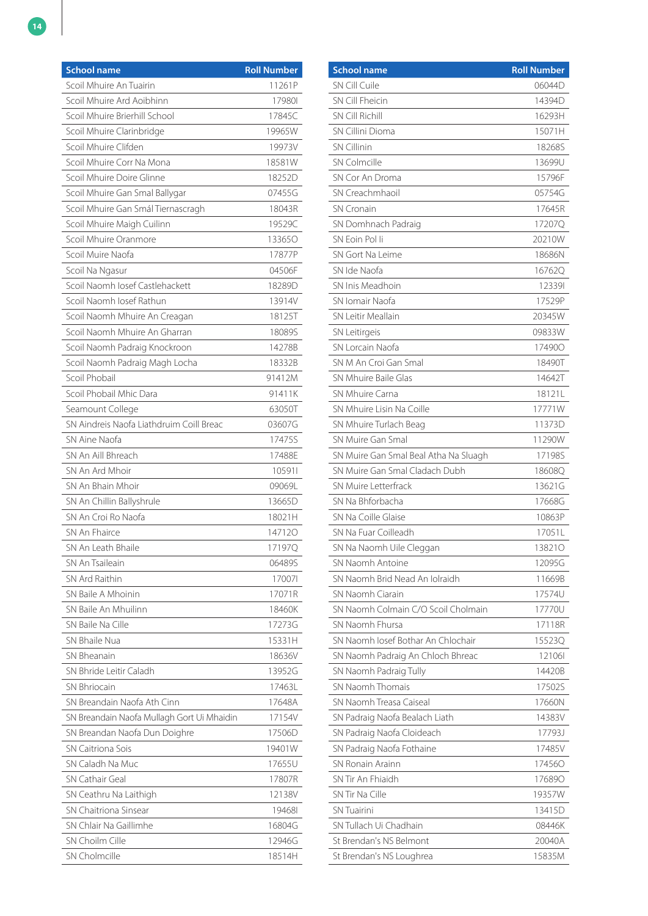| <b>School name</b>                         | <b>Roll Number</b> |
|--------------------------------------------|--------------------|
| Scoil Mhuire An Tuairin                    | 11261P             |
| Scoil Mhuire Ard Aoibhinn                  | 179801             |
| Scoil Mhuire Brierhill School              | 17845C             |
| Scoil Mhuire Clarinbridge                  | 19965W             |
| Scoil Mhuire Clifden                       | 19973V             |
| Scoil Mhuire Corr Na Mona                  | 18581W             |
| Scoil Mhuire Doire Glinne                  | 18252D             |
| Scoil Mhuire Gan Smal Ballygar             | 07455G             |
| Scoil Mhuire Gan Smál Tiernascragh         | 18043R             |
| Scoil Mhuire Maigh Cuilinn                 | 19529C             |
| Scoil Mhuire Oranmore                      | 133650             |
| Scoil Muire Naofa                          | 17877P             |
| Scoil Na Ngasur                            | 04506F             |
| Scoil Naomh Iosef Castlehackett            | 18289D             |
| Scoil Naomh Josef Rathun                   | 13914V             |
| Scoil Naomh Mhuire An Creagan              | 18125T             |
| Scoil Naomh Mhuire An Gharran              | 18089S             |
| Scoil Naomh Padraig Knockroon              | 14278B             |
| Scoil Naomh Padraig Magh Locha             | 18332B             |
| Scoil Phobail                              | 91412M             |
| Scoil Phobail Mhic Dara                    | 91411K             |
| Seamount College                           | 63050T             |
| SN Aindreis Naofa Liathdruim Coill Breac   | 03607G             |
| SN Aine Naofa                              | 17475S             |
| SN An Aill Bhreach                         | 17488E             |
| SN An Ard Mhoir                            | 105911             |
| SN An Bhain Mhoir                          | 09069L             |
| SN An Chillin Ballyshrule                  | 13665D             |
| SN An Croi Ro Naofa                        | 18021H             |
| SN An Fhairce                              | 147120             |
| SN An Leath Bhaile                         | 17197Q             |
| SN An Tsaileain                            | 06489S             |
| SN Ard Raithin                             | 170071             |
| SN Baile A Mhoinin                         | 17071R             |
| SN Baile An Mhuilinn                       | 18460K             |
| SN Baile Na Cille                          | 17273G             |
| SN Bhaile Nua                              | 15331H             |
| SN Bheanain                                | 18636V             |
| SN Bhride Leitir Caladh                    | 13952G             |
| <b>SN Bhriocain</b>                        | 17463L             |
| SN Breandain Naofa Ath Cinn                | 17648A             |
| SN Breandain Naofa Mullagh Gort Ui Mhaidin | 17154V             |
| SN Breandan Naofa Dun Doighre              | 17506D             |
| SN Caitriona Sois                          | 19401W             |
| SN Caladh Na Muc                           | 17655U             |
| SN Cathair Geal                            | 17807R             |
| SN Ceathru Na Laithigh                     | 12138V             |
| SN Chaitriona Sinsear                      | 194681             |
| SN Chlair Na Gaillimhe                     | 16804G             |
| SN Choilm Cille                            | 12946G             |
| SN Cholmcille                              | 18514H             |

| <b>School name</b>                    | <b>Roll Number</b> |
|---------------------------------------|--------------------|
| SN Cill Cuile                         | 06044D             |
| SN Cill Fheicin                       | 14394D             |
| <b>SN Cill Richill</b>                | 16293H             |
| SN Cillini Dioma                      | 15071H             |
| <b>SN Cillinin</b>                    | 182685             |
| <b>SN Colmcille</b>                   | 13699U             |
| SN Cor An Droma                       | 15796F             |
| SN Creachmhaoil                       | 05754G             |
| <b>SN Cronain</b>                     | 17645R             |
| SN Domhnach Padraig                   | 17207Q             |
| SN Foin Polli                         | 20210W             |
| SN Gort Na Leime                      | 18686N             |
| SN Ide Naofa                          | 167620             |
| SN Inis Meadhoin                      | 123391             |
| SN Iomair Naofa                       | 17529P             |
| SN Leitir Meallain                    | 20345W             |
| <b>SN Leitirgeis</b>                  | 09833W             |
| SN Lorcain Naofa                      | 174900             |
| SN M An Croi Gan Smal                 | 18490T             |
| SN Mhuire Baile Glas                  | 14642T             |
| SN Mhuire Carna                       | 18121L             |
| SN Mhuire Lisin Na Coille             | 17771W             |
| SN Mhuire Turlach Beag                | 11373D             |
| SN Muire Gan Smal                     | 11290W             |
| SN Muire Gan Smal Beal Atha Na Sluagh | 17198S             |
| SN Muire Gan Smal Cladach Dubh        | 186080             |
| SN Muire Letterfrack                  | 13621G             |
| SN Na Bhforbacha                      | 17668G             |
| SN Na Coille Glaise                   | 10863P             |
| SN Na Fuar Coilleadh                  | 170511             |
| SN Na Naomh Uile Cleggan              | 138210             |
| SN Naomh Antoine                      | 12095G             |
| SN Naomh Brid Nead An Iolraidh        | 11669B             |
| SN Naomh Ciarain                      | 17574U             |
| SN Naomh Colmain C/O Scoil Cholmain   | 17770U             |
| SN Naomh Fhursa                       | 17118R             |
| SN Naomh Josef Bothar An Chlochair    | 155230             |
| SN Naomh Padraig An Chloch Bhreac     | 121061             |
| SN Naomh Padraig Tully                | 14420B             |
| SN Naomh Thomais                      | 17502S             |
| SN Naomh Treasa Caiseal               | 17660N             |
| SN Padraig Naofa Bealach Liath        | 14383V             |
| SN Padraig Naofa Cloideach            | 17793J             |
| SN Padraig Naofa Fothaine             | 17485V             |
| SN Ronain Arainn                      | 174560             |
| SN Tir An Fhiaidh                     | 176890             |
| SN Tir Na Cille                       | 19357W             |
| <b>SN Tuairini</b>                    | 13415D             |
| SN Tullach Ui Chadhain                | 08446K             |
| St Brendan's NS Belmont               | 20040A             |
| St Brendan's NS Loughrea              | 15835M             |
|                                       |                    |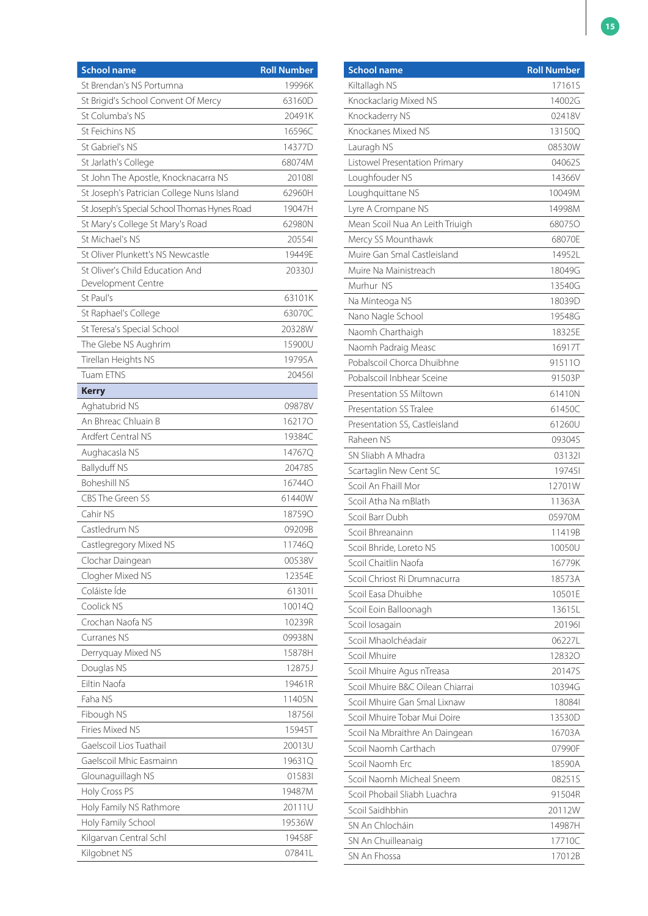| <b>School name</b>                           | <b>Roll Number</b> |
|----------------------------------------------|--------------------|
| St Brendan's NS Portumna                     | 19996K             |
| St Brigid's School Convent Of Mercy          | 63160D             |
| St Columba's NS                              | 20491K             |
| St Feichins NS                               | 16596C             |
| St Gabriel's NS                              | 14377D             |
| St Jarlath's College                         | 68074M             |
| St John The Apostle, Knocknacarra NS         | 201081             |
| St Joseph's Patrician College Nuns Island    | 62960H             |
| St Joseph's Special School Thomas Hynes Road | 19047H             |
| St Mary's College St Mary's Road             | 62980N             |
| St Michael's NS                              | 205541             |
| St Oliver Plunkett's NS Newcastle            | 19449E             |
| St Oliver's Child Education And              | 20330J             |
| Development Centre                           |                    |
| St Paul's                                    | 63101K             |
| St Raphael's College                         | 63070C             |
| St Teresa's Special School                   | 20328W             |
| The Glebe NS Aughrim                         | 15900U             |
| Tirellan Heights NS                          | 19795A             |
| <b>Tuam ETNS</b>                             | 204561             |
| <b>Kerry</b>                                 |                    |
| Aghatubrid NS                                | 09878V             |
| An Bhreac Chluain B                          | 162170             |
| <b>Ardfert Central NS</b>                    | 19384C             |
| Aughacasla NS                                | 14767Q             |
| <b>Ballyduff NS</b>                          | 20478S             |
| <b>Boheshill NS</b>                          | 167440             |
| CBS The Green SS                             | 61440W             |
| Cahir NS                                     | 187590             |
| Castledrum NS                                | 09209B             |
| Castlegregory Mixed NS                       | 11746Q             |
| Clochar Daingean                             | 00538V             |
| Clogher Mixed NS                             | 12354E             |
| Coláiste Íde                                 | 613011             |
| Coolick NS                                   | 10014Q             |
| Crochan Naofa NS                             | 10239R             |
| Curranes NS                                  | 09938N             |
| Derryquay Mixed NS                           | 15878H             |
| Douglas NS                                   | 12875J             |
| <b>Filtin Naofa</b>                          | 19461R             |
| Faha NS                                      | 11405N             |
| Fibough NS                                   | 187561             |
| Firies Mixed NS                              | 15945T             |
| Gaelscoil Lios Tuathail                      | 20013U             |
| Gaelscoil Mhic Easmainn                      | 19631Q             |
| Glounaguillagh NS                            | 015831             |
| Holy Cross PS                                | 19487M             |
| Holy Family NS Rathmore                      | 20111U             |
| Holy Family School                           | 19536W             |
| Kilgarvan Central Schl                       | 19458F             |
| Kilgobnet NS                                 | 07841L             |

| <b>School name</b>               | <b>Roll Number</b> |
|----------------------------------|--------------------|
| Kiltallagh NS                    | 17161S             |
| Knockaclarig Mixed NS            | 14002G             |
| Knockaderry NS                   | 02418V             |
| Knockanes Mixed NS               | 13150Q             |
| Lauragh NS                       | 08530W             |
| Listowel Presentation Primary    | 04062S             |
| Loughfouder NS                   | 14366V             |
| Loughquittane NS                 | 10049M             |
| Lyre A Crompane NS               | 14998M             |
| Mean Scoil Nua An Leith Triuigh  | 680750             |
| Mercy SS Mounthawk               | 68070E             |
| Muire Gan Smal Castleisland      | 14952L             |
| Muire Na Mainistreach            | 18049G             |
| Murhur NS                        | 13540G             |
| Na Minteoga NS                   | 18039D             |
| Nano Nagle School                | 19548G             |
| Naomh Charthaigh                 | 18325E             |
| Naomh Padraig Measc              | 16917T             |
| Pobalscoil Chorca Dhuibhne       | 915110             |
| Pobalscoil Inbhear Sceine        | 91503P             |
| Presentation SS Miltown          | 61410N             |
| <b>Presentation SS Tralee</b>    | 61450C             |
| Presentation SS, Castleisland    | 61260U             |
| Raheen NS                        | 09304S             |
| SN Sliabh A Mhadra               | 031321             |
| Scartaglin New Cent SC           | 197451             |
| Scoil An Fhaill Mor              | 12701W             |
| Scoil Atha Na mBlath             | 11363A             |
| Scoil Barr Dubh                  | 05970M             |
| Scoil Bhreanainn                 | 11419B             |
| Scoil Bhride, Loreto NS          | 10050U             |
| Scoil Chaitlin Naofa             | 16779K             |
| Scoil Chriost Ri Drumnacurra     | 18573A             |
| Scoil Easa Dhuibhe               | 10501E             |
| Scoil Eoin Balloonagh            | 13615L             |
| Scoil losagain                   | 201961             |
| Scoil Mhaolchéadair              | 06227L             |
| Scoil Mhuire                     | 128320             |
| Scoil Mhuire Agus nTreasa        | 20147S             |
| Scoil Mhuire B&C Oilean Chiarrai | 10394G             |
| Scoil Mhuire Gan Smal Lixnaw     | 180841             |
| Scoil Mhuire Tobar Mui Doire     | 13530D             |
| Scoil Na Mbraithre An Daingean   | 16703A             |
| Scoil Naomh Carthach             | 07990F             |
| Scoil Naomh Erc                  | 18590A             |
| Scoil Naomh Micheal Sneem        | 082515             |
| Scoil Phobail Sliabh Luachra     | 91504R             |
| Scoil Saidhbhin                  | 20112W             |
| SN An Chlocháin                  | 14987H             |
| SN An Chuilleanaig               | 17710C             |
| SN An Fhossa                     | 17012B             |
|                                  |                    |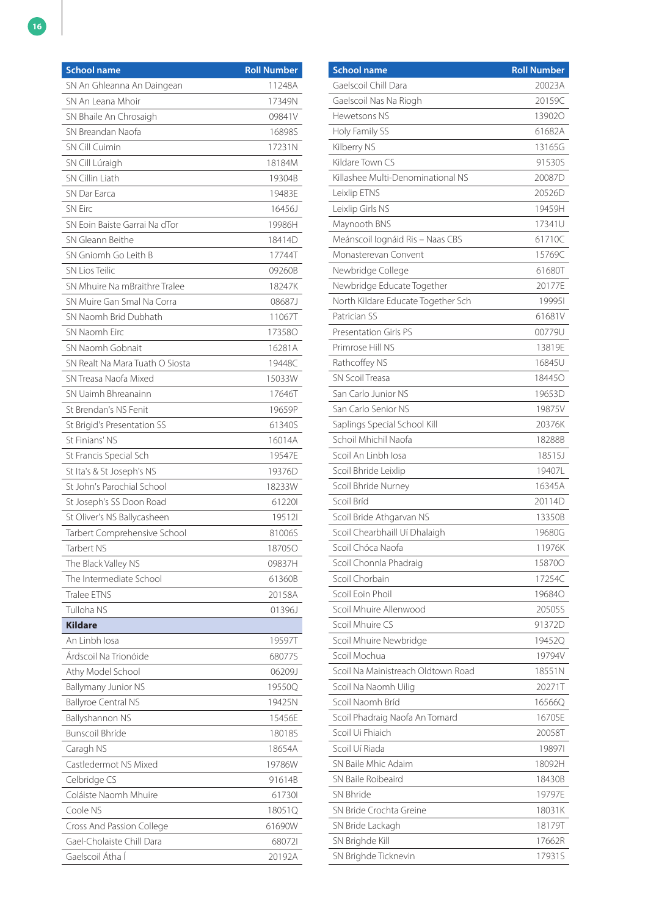| <b>School name</b>              | <b>Roll Number</b> |
|---------------------------------|--------------------|
| SN An Ghleanna An Daingean      | 11248A             |
| SN An Leana Mhoir               | 17349N             |
| SN Bhaile An Chrosaigh          | 09841V             |
| SN Breandan Naofa               | 16898S             |
| <b>SN Cill Cuimin</b>           | 17231N             |
| SN Cill Lúraigh                 | 18184M             |
| SN Cillin Liath                 | 19304B             |
| SN Dar Farca                    | 19483E             |
| <b>SN Eirc</b>                  | 16456J             |
| SN Eoin Baiste Garrai Na dTor   | 19986H             |
| SN Gleann Beithe                | 18414D             |
| SN Gniomh Go Leith B            | 17744T             |
| <b>SN Lios Teilic</b>           | 09260B             |
| SN Mhuire Na mBraithre Tralee   | 18247K             |
| SN Muire Gan Smal Na Corra      | 08687J             |
| SN Naomh Brid Dubhath           | 11067T             |
| SN Naomh Eirc                   | 173580             |
| SN Naomh Gobnait                | 16281A             |
| SN Realt Na Mara Tuath O Siosta | 19448C             |
| SN Treasa Naofa Mixed           | 15033W             |
| SN Uaimh Bhreanainn             | 17646T             |
| St Brendan's NS Fenit           | 19659P             |
| St Brigid's Presentation SS     | 61340S             |
| St Finians' NS                  | 16014A             |
| St Francis Special Sch          | 19547E             |
| St Ita's & St Joseph's NS       | 19376D             |
| St John's Parochial School      | 18233W             |
| St Joseph's SS Doon Road        | 612201             |
| St Oliver's NS Ballycasheen     | 195121             |
| Tarbert Comprehensive School    | 81006S             |
| Tarbert NS                      | 187050             |
| The Black Valley NS             | 09837H             |
| The Intermediate School         | 61360B             |
| Tralee ETNS                     | 20158A             |
| Tulloha NS                      | 01396J             |
| <b>Kildare</b>                  |                    |
| An Linbh Iosa                   | 19597T             |
| Árdscoil Na Trionóide           | 68077S             |
| Athy Model School               | 06209J             |
| Ballymany Junior NS             | 19550Q             |
| <b>Ballyroe Central NS</b>      | 19425N             |
| Ballyshannon NS                 | 15456E             |
| <b>Bunscoil Bhríde</b>          | 18018S             |
| Caragh NS                       | 18654A             |
| Castledermot NS Mixed           | 19786W             |
| Celbridge CS                    | 91614B             |
| Coláiste Naomh Mhuire           | 617301             |
| Coole NS                        | 18051Q             |
| Cross And Passion College       | 61690W             |
| Gael-Cholaiste Chill Dara       | 680721             |
| Gaelscoil Átha Í                | 20192A             |

| <b>School name</b>                 | <b>Roll Number</b> |
|------------------------------------|--------------------|
| Gaelscoil Chill Dara               | 20023A             |
| Gaelscoil Nas Na Riogh             | 20159C             |
| Hewetsons NS                       | 139020             |
| Holy Family SS                     | 61682A             |
| Kilberry NS                        | 13165G             |
| Kildare Town CS                    | 91530S             |
| Killashee Multi-Denominational NS  | 20087D             |
| Leixlip ETNS                       | 20526D             |
| Leixlip Girls NS                   | 19459H             |
| Maynooth BNS                       | 17341U             |
| Meánscoil lognáid Ris - Naas CBS   | 61710C             |
| Monasterevan Convent               | 15769C             |
| Newbridge College                  | 61680T             |
| Newbridge Educate Together         | 20177E             |
| North Kildare Educate Together Sch | 199951             |
| Patrician SS                       | 61681V             |
| <b>Presentation Girls PS</b>       | 00779U             |
| Primrose Hill NS                   | 13819E             |
| Rathcoffey NS                      | 16845U             |
| SN Scoil Treasa                    | 184450             |
| San Carlo Junior NS                | 19653D             |
| San Carlo Senior NS                | 19875V             |
| Saplings Special School Kill       | 20376K             |
| Schoil Mhichil Naofa               | 18288B             |
| Scoil An Linbh Iosa                | 18515J             |
| Scoil Bhride Leixlip               | 19407L             |
| Scoil Bhride Nurney                | 16345A             |
| Scoil Bríd                         | 20114D             |
| Scoil Bride Athgarvan NS           | 13350B             |
| Scoil Chearbhaill Uí Dhalaigh      | 19680G             |
| Scoil Chóca Naofa                  | 11976K             |
| Scoil Chonnla Phadraig             | 158700             |
| Scoil Chorbain                     | 17254C             |
| Scoil Eoin Phoil                   | 196840             |
| Scoil Mhuire Allenwood             | 20505S             |
| Scoil Mhuire CS                    | 91372D             |
| Scoil Mhuire Newbridge             | 19452Q             |
| Scoil Mochua                       | 19794V             |
| Scoil Na Mainistreach Oldtown Road | 18551N             |
| Scoil Na Naomh Uilig               | 20271T             |
| Scoil Naomh Bríd                   | 16566Q             |
| Scoil Phadraig Naofa An Tomard     | 16705E             |
| Scoil Ui Fhiaich                   | 20058T             |
| Scoil Uí Riada                     | 198971             |
| SN Baile Mhic Adaim                | 18092H             |
| SN Baile Roibeaird                 | 18430B             |
| SN Bhride                          | 19797E             |
| SN Bride Crochta Greine            | 18031K             |
| SN Bride Lackagh                   | 18179T             |
| SN Brighde Kill                    | 17662R             |
| SN Brighde Ticknevin               | 17931S             |
|                                    |                    |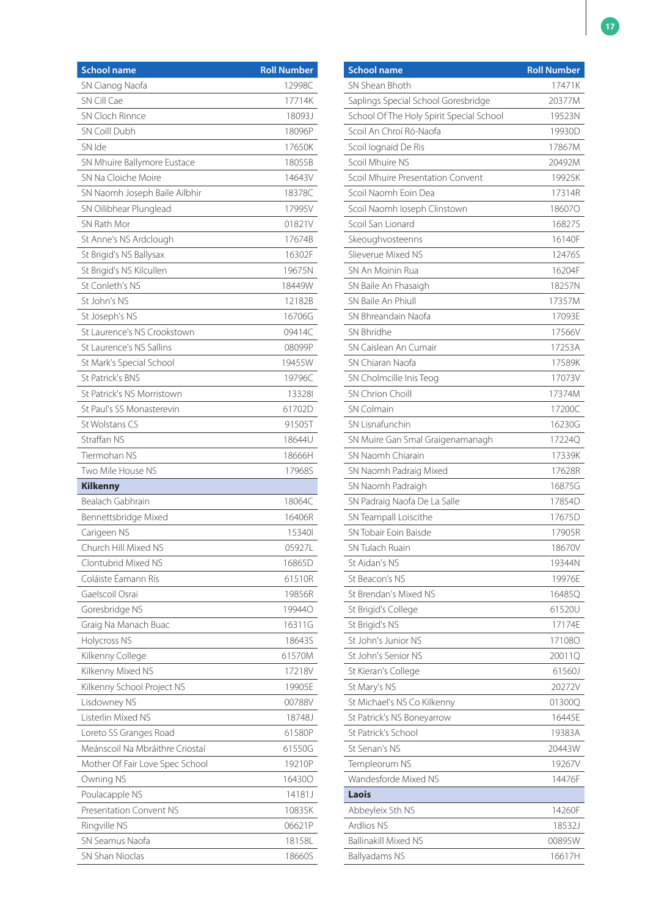| <b>School name</b>              | <b>Roll Number</b> |
|---------------------------------|--------------------|
| SN Cianog Naofa                 | 12998C             |
| SN Cill Cae                     | 17714K             |
| SN Cloch Rinnce                 | 18093J             |
| SN Coill Dubh                   | 18096P             |
| SN Ide                          | 17650K             |
| SN Mhuire Ballymore Eustace     | 18055B             |
| SN Na Cloiche Moire             | 14643V             |
| SN Naomh Joseph Baile Ailbhir   | 18378C             |
| SN Oilibhear Plunglead          | 17995V             |
| SN Rath Mor                     | 01821V             |
| St Anne's NS Ardclough          | 17674B             |
| St Brigid's NS Ballysax         | 16302F             |
| St Brigid's NS Kilcullen        | 19675N             |
| St Conleth's NS                 | 18449W             |
| St John's NS                    | 12182B             |
| St Joseph's NS                  | 16706G             |
| St Laurence's NS Crookstown     | 09414C             |
| St Laurence's NS Sallins        | 08099P             |
| St Mark's Special School        | 19455W             |
| St Patrick's BNS                | 19796C             |
| St Patrick's NS Morristown      | 133281             |
| St Paul's SS Monasterevin       | 61702D             |
| St Wolstans CS                  | 91505T             |
| Straffan NS                     | 18644U             |
| Tiermohan NS                    | 18666H             |
| Two Mile House NS               | 17968S             |
| <b>Kilkenny</b>                 |                    |
| Bealach Gabhrain                | 18064C             |
| Bennettsbridge Mixed            | 16406R             |
| Carigeen NS                     | 153401             |
| Church Hill Mixed NS            | 05927L             |
| Clontubrid Mixed NS             | 16865D             |
| Coláiste Éamann Rís             | 61510R             |
| Gaelscoil Osrai                 | 19856R             |
| Goresbridge NS                  | 19944O             |
| Graig Na Manach Buac            | 16311G             |
| Holycross NS                    | 18643S             |
| Kilkenny College                | 61570M             |
| Kilkenny Mixed NS               | 17218V             |
| Kilkenny School Project NS      | 19905E             |
| Lisdowney NS                    | 00788V             |
| Listerlin Mixed NS              | 18748J             |
| Loreto SS Granges Road          | 61580P             |
| Meánscoil Na Mbráithre Criostaí | 61550G             |
| Mother Of Fair Love Spec School | 19210P             |
| Owning NS                       | 164300             |
| Poulacapple NS                  | 14181J             |
| <b>Presentation Convent NS</b>  | 10835K             |
| Ringville NS                    | 06621P             |
| SN Seamus Naofa                 | 18158L             |
| SN Shan Nioclas                 | 18660S             |

| <b>School name</b>                       | <b>Roll Number</b> |
|------------------------------------------|--------------------|
| SN Shean Bhoth                           | 17471K             |
| Saplings Special School Goresbridge      | 20377M             |
| School Of The Holy Spirit Special School | 19523N             |
| Scoil An Chroí Ró-Naofa                  | 19930D             |
| Scoil lognaid De Ris                     | 17867M             |
| Scoil Mhuire NS                          | 20492M             |
| Scoil Mhuire Presentation Convent        | 19925K             |
| Scoil Naomh Foin Dea                     | 17314R             |
| Scoil Naomh Ioseph Clinstown             | 186070             |
| Scoil San Lionard                        | 16827S             |
| Skeoughvosteenns                         | 16140F             |
| Slieverue Mixed NS                       | 12476S             |
| SN An Moinin Rua                         | 16204F             |
| SN Baile An Fhasaigh                     | 18257N             |
| SN Baile An Phiull                       | 17357M             |
| SN Bhreandain Naofa                      | 17093E             |
| SN Bhridhe                               | 17566V             |
| SN Caislean An Cumair                    | 17253A             |
| SN Chiaran Naofa                         | 17589K             |
| SN Cholmcille Inis Teog                  | 17073V             |
| SN Chrion Choill                         | 17374M             |
| <b>SN Colmain</b>                        | 17200C             |
| SN Lisnafunchin                          | 16230G             |
| SN Muire Gan Smal Graigenamanagh         | 17224Q             |
| SN Naomh Chiarain                        | 17339K             |
| SN Naomh Padraig Mixed                   | 17628R             |
| SN Naomh Padraigh                        | 16875G             |
| SN Padraig Naofa De La Salle             | 17854D             |
| SN Teampall Loiscithe                    | 17675D             |
| SN Tobair Foin Baisde                    | 17905R             |
| SN Tulach Ruain                          | 18670V             |
| St Aidan's NS                            | 19344N             |
| St Beacon's NS                           | 19976E             |
| St Brendan's Mixed NS                    | 16485Q             |
| St Brigid's College                      | 61520U             |
| St Brigid's NS                           | 17174E             |
| St John's Junior NS                      | 171080             |
| St John's Senior NS                      | 20011Q             |
| St Kieran's College                      | 61560J             |
| St Mary's NS                             | 20272V             |
| St Michael's NS Co Kilkenny              | 01300Q             |
| St Patrick's NS Boneyarrow               | 16445E             |
| St Patrick's School                      | 19383A             |
| St Senan's NS                            | 20443W             |
| Templeorum NS                            | 19267V             |
| Wandesforde Mixed NS                     | 14476F             |
| Laois                                    |                    |
| Abbeyleix Sth NS                         | 14260F             |
| <b>Ardlios NS</b>                        | 18532J             |
| <b>Ballinakill Mixed NS</b>              | 00895W             |
| Ballyadams NS                            | 16617H             |
|                                          |                    |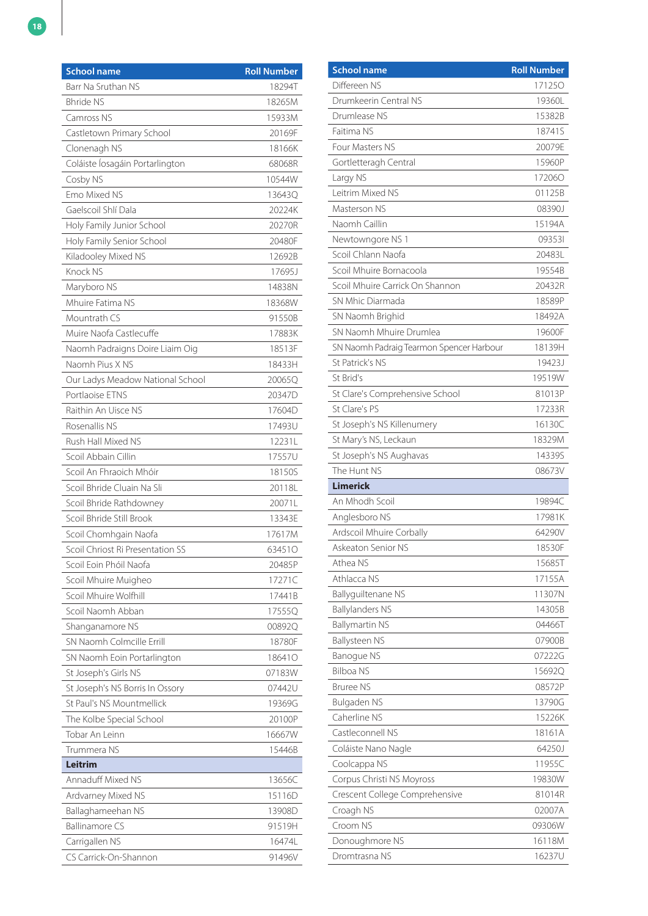| <b>School name</b>               | <b>Roll Number</b> |
|----------------------------------|--------------------|
| Barr Na Sruthan NS               | 18294T             |
| <b>Bhride NS</b>                 | 18265M             |
| Camross NS                       | 15933M             |
| Castletown Primary School        | 20169F             |
| Clonenagh NS                     | 18166K             |
| Coláiste Íosagáin Portarlington  | 68068R             |
| Cosby NS                         | 10544W             |
| <b>Fmo Mixed NS</b>              | 13643Q             |
| Gaelscoil Shlí Dala              | 20224K             |
| Holy Family Junior School        | 20270R             |
| Holy Family Senior School        | 20480F             |
| Kiladooley Mixed NS              | 12692B             |
| Knock NS                         | 17695J             |
| Maryboro NS                      | 14838N             |
| Mhuire Fatima NS                 | 18368W             |
| Mountrath CS                     | 91550B             |
| Muire Naofa Castlecuffe          | 17883K             |
| Naomh Padraigns Doire Liaim Oig  | 18513F             |
| Naomh Pius X NS                  | 18433H             |
| Our Ladys Meadow National School | 20065Q             |
| Portlaoise FTNS                  | 20347D             |
| Raithin An Uisce NS              | 17604D             |
| Rosenallis NS                    | 17493U             |
| Rush Hall Mixed NS               | 12231L             |
| Scoil Abbain Cillin              | 17557U             |
| Scoil An Fhraoich Mhóir          | 18150S             |
| Scoil Bhride Cluain Na Sli       | 20118L             |
| Scoil Bhride Rathdowney          | 20071L             |
| Scoil Bhride Still Brook         | 13343E             |
| Scoil Chomhgain Naofa            | 17617M             |
| Scoil Chriost Ri Presentation SS | 63451O             |
| Scoil Eoin Phóil Naofa           | 20485P             |
| Scoil Mhuire Muigheo             | 17271C             |
| Scoil Mhuire Wolfhill            | 17441B             |
| Scoil Naomh Abban                | 17555Q             |
| Shanganamore NS                  | 00892Q             |
| SN Naomh Colmcille Errill        | 18780F             |
| SN Naomh Eoin Portarlington      | 186410             |
| St Joseph's Girls NS             | 07183W             |
| St Joseph's NS Borris In Ossory  | 07442U             |
| St Paul's NS Mountmellick        | 19369G             |
| The Kolbe Special School         | 20100P             |
| Tobar An Leinn                   | 16667W             |
| Trummera NS                      | 15446B             |
| Leitrim                          |                    |
| Annaduff Mixed NS                | 13656C             |
| Ardvarney Mixed NS               | 15116D             |
| Ballaghameehan NS                | 13908D             |
| <b>Ballinamore CS</b>            | 91519H             |
| Carrigallen NS                   | 16474L             |
| CS Carrick-On-Shannon            | 91496V             |

| <b>School name</b>                       | <b>Roll Number</b> |
|------------------------------------------|--------------------|
| Differeen NS                             | 171250             |
| Drumkeerin Central NS                    | 19360L             |
| Drumlease NS                             | 15382B             |
| Faitima NS                               | 18741S             |
| Four Masters NS                          | 20079E             |
| Gortletteragh Central                    | 15960P             |
| Largy NS                                 | 172060             |
| Leitrim Mixed NS                         | 01125B             |
| Masterson NS                             | 08390J             |
| Naomh Caillin                            | 15194A             |
| Newtowngore NS 1                         | 093531             |
| Scoil Chlann Naofa                       | 20483L             |
| Scoil Mhuire Bornacoola                  | 19554B             |
| Scoil Mhuire Carrick On Shannon          | 20432R             |
| SN Mhic Diarmada                         | 18589P             |
| SN Naomh Brighid                         | 18492A             |
| SN Naomh Mhuire Drumlea                  | 19600F             |
| SN Naomh Padraig Tearmon Spencer Harbour | 18139H             |
| St Patrick's NS                          | 19423J             |
| St Brid's                                | 19519W             |
| St Clare's Comprehensive School          | 81013P             |
| St Clare's PS                            | 17233R             |
| St Joseph's NS Killenumery               | 16130C             |
| St Mary's NS, Leckaun                    | 18329M             |
| St Joseph's NS Aughavas                  | 14339S             |
| The Hunt NS                              | 08673V             |
| <b>Limerick</b>                          |                    |
| An Mhodh Scoil                           | 19894C             |
| Anglesboro NS                            | 17981K             |
| Ardscoil Mhuire Corbally                 | 64290V             |
| Askeaton Senior NS                       | 18530F             |
| Athea NS                                 | 15685T             |
| Athlacca NS                              | 17155A             |
| Ballyguiltenane NS                       | 11307N             |
| <b>Ballylanders NS</b>                   | 14305B             |
| <b>Ballymartin NS</b>                    | 04466T             |
| Ballysteen NS                            | 07900B             |
| <b>Banoque NS</b>                        | 07222G             |
| <b>Bilboa NS</b>                         | 15692Q             |
| <b>Bruree NS</b>                         | 08572P             |
| Bulgaden NS                              | 13790G             |
| Caherline NS                             | 15226K             |
| Castleconnell NS                         | 18161A             |
| Coláiste Nano Nagle                      | 64250J             |
| Coolcappa NS                             | 11955C             |
| Corpus Christi NS Moyross                | 19830W             |
| Crescent College Comprehensive           | 81014R             |
| Croagh NS                                | 02007A             |
| Croom NS                                 | 09306W             |
| Donoughmore NS                           | 16118M             |
| Dromtrasna NS                            | 16237U             |
|                                          |                    |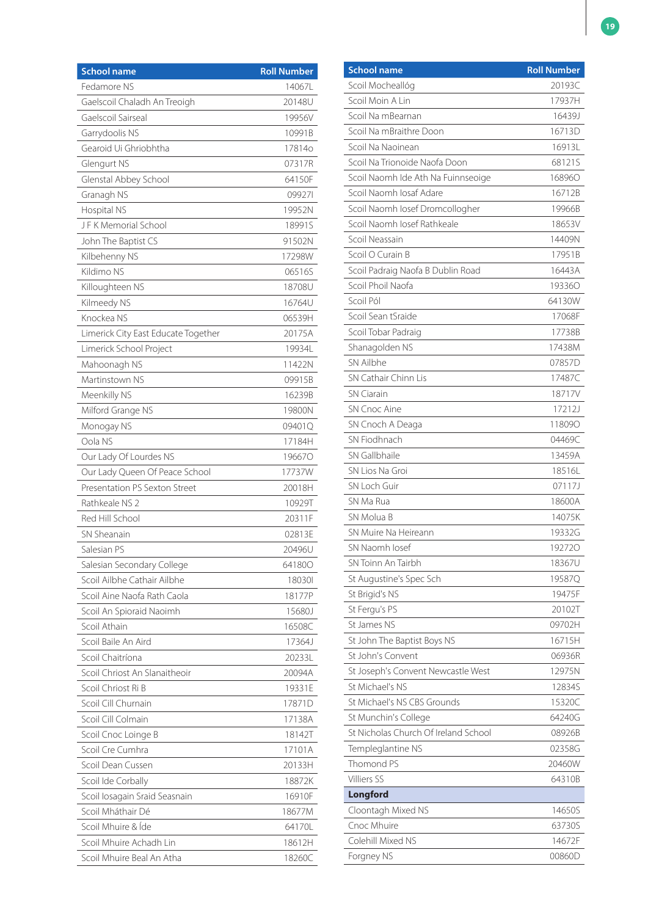| Fedamore NS<br>14067L<br>Gaelscoil Chaladh An Treoigh<br>20148U<br>Gaelscoil Sairseal<br>19956V<br>Garrydoolis NS<br>10991B<br>Gearoid Ui Ghriobhtha<br>17814o<br>Glengurt NS<br>07317R<br>Glenstal Abbey School<br>64150F<br>099271<br>Granagh NS<br>Hospital NS<br>19952N<br>JFK Memorial School<br>18991S<br>John The Baptist CS<br>91502N<br>17298W<br>Kilbehenny NS<br>Kildimo NS<br>06516S<br>18708U<br>Killoughteen NS<br>16764U<br>Kilmeedy NS<br>Knockea NS<br>06539H<br>20175A<br>Limerick City East Educate Together<br>Limerick School Project<br>19934L<br>11422N<br>Mahoonagh NS<br>Martinstown NS<br>09915B<br>Meenkilly NS<br>16239B<br>Milford Grange NS<br>19800N<br>Monogay NS<br>09401Q<br>Oola NS<br>17184H<br>Our Lady Of Lourdes NS<br>196670<br>Our Lady Queen Of Peace School<br>17737W<br>Presentation PS Sexton Street<br>20018H<br>Rathkeale NS 2<br>10929T<br>Red Hill School<br>20311F<br>SN Sheanain<br>02813E<br>Salesian PS<br>20496U<br>Salesian Secondary College<br>64180O<br>Scoil Ailbhe Cathair Ailbhe<br>180301<br>Scoil Aine Naofa Rath Caola<br>18177P<br>Scoil An Spioraid Naoimh<br>15680J<br>Scoil Athain<br>16508C<br>Scoil Baile An Aird<br>17364J |
|---------------------------------------------------------------------------------------------------------------------------------------------------------------------------------------------------------------------------------------------------------------------------------------------------------------------------------------------------------------------------------------------------------------------------------------------------------------------------------------------------------------------------------------------------------------------------------------------------------------------------------------------------------------------------------------------------------------------------------------------------------------------------------------------------------------------------------------------------------------------------------------------------------------------------------------------------------------------------------------------------------------------------------------------------------------------------------------------------------------------------------------------------------------------------------------------------|
|                                                                                                                                                                                                                                                                                                                                                                                                                                                                                                                                                                                                                                                                                                                                                                                                                                                                                                                                                                                                                                                                                                                                                                                                   |
|                                                                                                                                                                                                                                                                                                                                                                                                                                                                                                                                                                                                                                                                                                                                                                                                                                                                                                                                                                                                                                                                                                                                                                                                   |
|                                                                                                                                                                                                                                                                                                                                                                                                                                                                                                                                                                                                                                                                                                                                                                                                                                                                                                                                                                                                                                                                                                                                                                                                   |
|                                                                                                                                                                                                                                                                                                                                                                                                                                                                                                                                                                                                                                                                                                                                                                                                                                                                                                                                                                                                                                                                                                                                                                                                   |
|                                                                                                                                                                                                                                                                                                                                                                                                                                                                                                                                                                                                                                                                                                                                                                                                                                                                                                                                                                                                                                                                                                                                                                                                   |
|                                                                                                                                                                                                                                                                                                                                                                                                                                                                                                                                                                                                                                                                                                                                                                                                                                                                                                                                                                                                                                                                                                                                                                                                   |
|                                                                                                                                                                                                                                                                                                                                                                                                                                                                                                                                                                                                                                                                                                                                                                                                                                                                                                                                                                                                                                                                                                                                                                                                   |
|                                                                                                                                                                                                                                                                                                                                                                                                                                                                                                                                                                                                                                                                                                                                                                                                                                                                                                                                                                                                                                                                                                                                                                                                   |
|                                                                                                                                                                                                                                                                                                                                                                                                                                                                                                                                                                                                                                                                                                                                                                                                                                                                                                                                                                                                                                                                                                                                                                                                   |
|                                                                                                                                                                                                                                                                                                                                                                                                                                                                                                                                                                                                                                                                                                                                                                                                                                                                                                                                                                                                                                                                                                                                                                                                   |
|                                                                                                                                                                                                                                                                                                                                                                                                                                                                                                                                                                                                                                                                                                                                                                                                                                                                                                                                                                                                                                                                                                                                                                                                   |
|                                                                                                                                                                                                                                                                                                                                                                                                                                                                                                                                                                                                                                                                                                                                                                                                                                                                                                                                                                                                                                                                                                                                                                                                   |
|                                                                                                                                                                                                                                                                                                                                                                                                                                                                                                                                                                                                                                                                                                                                                                                                                                                                                                                                                                                                                                                                                                                                                                                                   |
|                                                                                                                                                                                                                                                                                                                                                                                                                                                                                                                                                                                                                                                                                                                                                                                                                                                                                                                                                                                                                                                                                                                                                                                                   |
|                                                                                                                                                                                                                                                                                                                                                                                                                                                                                                                                                                                                                                                                                                                                                                                                                                                                                                                                                                                                                                                                                                                                                                                                   |
|                                                                                                                                                                                                                                                                                                                                                                                                                                                                                                                                                                                                                                                                                                                                                                                                                                                                                                                                                                                                                                                                                                                                                                                                   |
|                                                                                                                                                                                                                                                                                                                                                                                                                                                                                                                                                                                                                                                                                                                                                                                                                                                                                                                                                                                                                                                                                                                                                                                                   |
|                                                                                                                                                                                                                                                                                                                                                                                                                                                                                                                                                                                                                                                                                                                                                                                                                                                                                                                                                                                                                                                                                                                                                                                                   |
|                                                                                                                                                                                                                                                                                                                                                                                                                                                                                                                                                                                                                                                                                                                                                                                                                                                                                                                                                                                                                                                                                                                                                                                                   |
|                                                                                                                                                                                                                                                                                                                                                                                                                                                                                                                                                                                                                                                                                                                                                                                                                                                                                                                                                                                                                                                                                                                                                                                                   |
|                                                                                                                                                                                                                                                                                                                                                                                                                                                                                                                                                                                                                                                                                                                                                                                                                                                                                                                                                                                                                                                                                                                                                                                                   |
|                                                                                                                                                                                                                                                                                                                                                                                                                                                                                                                                                                                                                                                                                                                                                                                                                                                                                                                                                                                                                                                                                                                                                                                                   |
|                                                                                                                                                                                                                                                                                                                                                                                                                                                                                                                                                                                                                                                                                                                                                                                                                                                                                                                                                                                                                                                                                                                                                                                                   |
|                                                                                                                                                                                                                                                                                                                                                                                                                                                                                                                                                                                                                                                                                                                                                                                                                                                                                                                                                                                                                                                                                                                                                                                                   |
|                                                                                                                                                                                                                                                                                                                                                                                                                                                                                                                                                                                                                                                                                                                                                                                                                                                                                                                                                                                                                                                                                                                                                                                                   |
|                                                                                                                                                                                                                                                                                                                                                                                                                                                                                                                                                                                                                                                                                                                                                                                                                                                                                                                                                                                                                                                                                                                                                                                                   |
|                                                                                                                                                                                                                                                                                                                                                                                                                                                                                                                                                                                                                                                                                                                                                                                                                                                                                                                                                                                                                                                                                                                                                                                                   |
|                                                                                                                                                                                                                                                                                                                                                                                                                                                                                                                                                                                                                                                                                                                                                                                                                                                                                                                                                                                                                                                                                                                                                                                                   |
|                                                                                                                                                                                                                                                                                                                                                                                                                                                                                                                                                                                                                                                                                                                                                                                                                                                                                                                                                                                                                                                                                                                                                                                                   |
|                                                                                                                                                                                                                                                                                                                                                                                                                                                                                                                                                                                                                                                                                                                                                                                                                                                                                                                                                                                                                                                                                                                                                                                                   |
|                                                                                                                                                                                                                                                                                                                                                                                                                                                                                                                                                                                                                                                                                                                                                                                                                                                                                                                                                                                                                                                                                                                                                                                                   |
|                                                                                                                                                                                                                                                                                                                                                                                                                                                                                                                                                                                                                                                                                                                                                                                                                                                                                                                                                                                                                                                                                                                                                                                                   |
|                                                                                                                                                                                                                                                                                                                                                                                                                                                                                                                                                                                                                                                                                                                                                                                                                                                                                                                                                                                                                                                                                                                                                                                                   |
|                                                                                                                                                                                                                                                                                                                                                                                                                                                                                                                                                                                                                                                                                                                                                                                                                                                                                                                                                                                                                                                                                                                                                                                                   |
|                                                                                                                                                                                                                                                                                                                                                                                                                                                                                                                                                                                                                                                                                                                                                                                                                                                                                                                                                                                                                                                                                                                                                                                                   |
|                                                                                                                                                                                                                                                                                                                                                                                                                                                                                                                                                                                                                                                                                                                                                                                                                                                                                                                                                                                                                                                                                                                                                                                                   |
|                                                                                                                                                                                                                                                                                                                                                                                                                                                                                                                                                                                                                                                                                                                                                                                                                                                                                                                                                                                                                                                                                                                                                                                                   |
| Scoil Chaitríona<br>20233L                                                                                                                                                                                                                                                                                                                                                                                                                                                                                                                                                                                                                                                                                                                                                                                                                                                                                                                                                                                                                                                                                                                                                                        |
| Scoil Chriost An Slanaitheoir<br>20094A                                                                                                                                                                                                                                                                                                                                                                                                                                                                                                                                                                                                                                                                                                                                                                                                                                                                                                                                                                                                                                                                                                                                                           |
| Scoil Chriost Ri B<br>19331E                                                                                                                                                                                                                                                                                                                                                                                                                                                                                                                                                                                                                                                                                                                                                                                                                                                                                                                                                                                                                                                                                                                                                                      |
| Scoil Cill Churnain<br>17871D                                                                                                                                                                                                                                                                                                                                                                                                                                                                                                                                                                                                                                                                                                                                                                                                                                                                                                                                                                                                                                                                                                                                                                     |
| Scoil Cill Colmain<br>17138A                                                                                                                                                                                                                                                                                                                                                                                                                                                                                                                                                                                                                                                                                                                                                                                                                                                                                                                                                                                                                                                                                                                                                                      |
| Scoil Cnoc Loinge B<br>18142T                                                                                                                                                                                                                                                                                                                                                                                                                                                                                                                                                                                                                                                                                                                                                                                                                                                                                                                                                                                                                                                                                                                                                                     |
| Scoil Cre Cumhra<br>17101A                                                                                                                                                                                                                                                                                                                                                                                                                                                                                                                                                                                                                                                                                                                                                                                                                                                                                                                                                                                                                                                                                                                                                                        |
| Scoil Dean Cussen<br>20133H                                                                                                                                                                                                                                                                                                                                                                                                                                                                                                                                                                                                                                                                                                                                                                                                                                                                                                                                                                                                                                                                                                                                                                       |
| Scoil Ide Corbally<br>18872K                                                                                                                                                                                                                                                                                                                                                                                                                                                                                                                                                                                                                                                                                                                                                                                                                                                                                                                                                                                                                                                                                                                                                                      |
|                                                                                                                                                                                                                                                                                                                                                                                                                                                                                                                                                                                                                                                                                                                                                                                                                                                                                                                                                                                                                                                                                                                                                                                                   |
| Scoil Iosagain Sraid Seasnain<br>16910F                                                                                                                                                                                                                                                                                                                                                                                                                                                                                                                                                                                                                                                                                                                                                                                                                                                                                                                                                                                                                                                                                                                                                           |
| Scoil Mháthair Dé<br>18677M                                                                                                                                                                                                                                                                                                                                                                                                                                                                                                                                                                                                                                                                                                                                                                                                                                                                                                                                                                                                                                                                                                                                                                       |
| Scoil Mhuire & Íde<br>64170L                                                                                                                                                                                                                                                                                                                                                                                                                                                                                                                                                                                                                                                                                                                                                                                                                                                                                                                                                                                                                                                                                                                                                                      |
| Scoil Mhuire Achadh Lin<br>18612H                                                                                                                                                                                                                                                                                                                                                                                                                                                                                                                                                                                                                                                                                                                                                                                                                                                                                                                                                                                                                                                                                                                                                                 |

| 20193C<br>Scoil Mocheallóg<br>Scoil Moin A Lin<br>17937H<br>Scoil Na mBearnan<br>16439J<br>16713D<br>Scoil Na mBraithre Doon<br>Scoil Na Naoinean<br>16913L<br>Scoil Na Trionoide Naofa Doon<br>68121S<br>Scoil Naomh Ide Ath Na Fuinnseoige<br>168960<br>Scoil Naomh Iosaf Adare<br>16712B<br>Scoil Naomh losef Dromcollogher<br>19966B<br>Scoil Naomh Josef Rathkeale<br>18653V<br>Scoil Neassain<br>14409N<br>Scoil O Curain B<br>17951B<br>Scoil Padraig Naofa B Dublin Road<br>16443A<br>Scoil Phoil Naofa<br>193360<br>Scoil Pól<br>64130W<br>Scoil Sean tSraide<br>17068F<br>Scoil Tobar Padraig<br>17738B<br>Shanagolden NS<br>17438M<br>SN Ailbhe<br>07857D<br>SN Cathair Chinn Lis<br>17487C<br><b>SN Ciarain</b><br>18717V<br><b>SN Cnoc Aine</b><br>17212J<br>SN Cnoch A Deaga<br>118090<br>SN Fiodhnach<br>04469C<br>SN Gallbhaile<br>13459A<br>SN Lios Na Groi<br>18516L<br>SN Loch Guir<br>07117J<br>SN Ma Rua<br>18600A<br>SN Molua B<br>14075K<br>SN Muire Na Heireann<br>19332G<br>SN Naomh Iosef<br>192720<br>SN Toinn An Tairbh<br>18367U<br>St Augustine's Spec Sch<br>19587Q<br>19475F<br>St Brigid's NS<br>St Fergu's PS<br>20102T<br>St James NS<br>09702H<br>St John The Baptist Boys NS<br>16715H<br>St John's Convent<br>06936R<br>St Joseph's Convent Newcastle West<br>12975N<br>St Michael's NS<br>12834S<br>St Michael's NS CBS Grounds<br>15320C<br>St Munchin's College<br>64240G<br>St Nicholas Church Of Ireland School<br>08926B<br>02358G<br>Templeglantine NS<br>Thomond PS<br>20460W<br><b>Villiers SS</b><br>64310B<br>Longford<br>Cloontagh Mixed NS<br>14650S<br>Cnoc Mhuire<br>63730S<br>Colehill Mixed NS<br>14672F<br>Forgney NS<br>00860D | <b>School name</b> | <b>Roll Number</b> |
|-----------------------------------------------------------------------------------------------------------------------------------------------------------------------------------------------------------------------------------------------------------------------------------------------------------------------------------------------------------------------------------------------------------------------------------------------------------------------------------------------------------------------------------------------------------------------------------------------------------------------------------------------------------------------------------------------------------------------------------------------------------------------------------------------------------------------------------------------------------------------------------------------------------------------------------------------------------------------------------------------------------------------------------------------------------------------------------------------------------------------------------------------------------------------------------------------------------------------------------------------------------------------------------------------------------------------------------------------------------------------------------------------------------------------------------------------------------------------------------------------------------------------------------------------------------------------------------------------------------------------------------------------------------------------------------------|--------------------|--------------------|
|                                                                                                                                                                                                                                                                                                                                                                                                                                                                                                                                                                                                                                                                                                                                                                                                                                                                                                                                                                                                                                                                                                                                                                                                                                                                                                                                                                                                                                                                                                                                                                                                                                                                                         |                    |                    |
|                                                                                                                                                                                                                                                                                                                                                                                                                                                                                                                                                                                                                                                                                                                                                                                                                                                                                                                                                                                                                                                                                                                                                                                                                                                                                                                                                                                                                                                                                                                                                                                                                                                                                         |                    |                    |
|                                                                                                                                                                                                                                                                                                                                                                                                                                                                                                                                                                                                                                                                                                                                                                                                                                                                                                                                                                                                                                                                                                                                                                                                                                                                                                                                                                                                                                                                                                                                                                                                                                                                                         |                    |                    |
|                                                                                                                                                                                                                                                                                                                                                                                                                                                                                                                                                                                                                                                                                                                                                                                                                                                                                                                                                                                                                                                                                                                                                                                                                                                                                                                                                                                                                                                                                                                                                                                                                                                                                         |                    |                    |
|                                                                                                                                                                                                                                                                                                                                                                                                                                                                                                                                                                                                                                                                                                                                                                                                                                                                                                                                                                                                                                                                                                                                                                                                                                                                                                                                                                                                                                                                                                                                                                                                                                                                                         |                    |                    |
|                                                                                                                                                                                                                                                                                                                                                                                                                                                                                                                                                                                                                                                                                                                                                                                                                                                                                                                                                                                                                                                                                                                                                                                                                                                                                                                                                                                                                                                                                                                                                                                                                                                                                         |                    |                    |
|                                                                                                                                                                                                                                                                                                                                                                                                                                                                                                                                                                                                                                                                                                                                                                                                                                                                                                                                                                                                                                                                                                                                                                                                                                                                                                                                                                                                                                                                                                                                                                                                                                                                                         |                    |                    |
|                                                                                                                                                                                                                                                                                                                                                                                                                                                                                                                                                                                                                                                                                                                                                                                                                                                                                                                                                                                                                                                                                                                                                                                                                                                                                                                                                                                                                                                                                                                                                                                                                                                                                         |                    |                    |
|                                                                                                                                                                                                                                                                                                                                                                                                                                                                                                                                                                                                                                                                                                                                                                                                                                                                                                                                                                                                                                                                                                                                                                                                                                                                                                                                                                                                                                                                                                                                                                                                                                                                                         |                    |                    |
|                                                                                                                                                                                                                                                                                                                                                                                                                                                                                                                                                                                                                                                                                                                                                                                                                                                                                                                                                                                                                                                                                                                                                                                                                                                                                                                                                                                                                                                                                                                                                                                                                                                                                         |                    |                    |
|                                                                                                                                                                                                                                                                                                                                                                                                                                                                                                                                                                                                                                                                                                                                                                                                                                                                                                                                                                                                                                                                                                                                                                                                                                                                                                                                                                                                                                                                                                                                                                                                                                                                                         |                    |                    |
|                                                                                                                                                                                                                                                                                                                                                                                                                                                                                                                                                                                                                                                                                                                                                                                                                                                                                                                                                                                                                                                                                                                                                                                                                                                                                                                                                                                                                                                                                                                                                                                                                                                                                         |                    |                    |
|                                                                                                                                                                                                                                                                                                                                                                                                                                                                                                                                                                                                                                                                                                                                                                                                                                                                                                                                                                                                                                                                                                                                                                                                                                                                                                                                                                                                                                                                                                                                                                                                                                                                                         |                    |                    |
|                                                                                                                                                                                                                                                                                                                                                                                                                                                                                                                                                                                                                                                                                                                                                                                                                                                                                                                                                                                                                                                                                                                                                                                                                                                                                                                                                                                                                                                                                                                                                                                                                                                                                         |                    |                    |
|                                                                                                                                                                                                                                                                                                                                                                                                                                                                                                                                                                                                                                                                                                                                                                                                                                                                                                                                                                                                                                                                                                                                                                                                                                                                                                                                                                                                                                                                                                                                                                                                                                                                                         |                    |                    |
|                                                                                                                                                                                                                                                                                                                                                                                                                                                                                                                                                                                                                                                                                                                                                                                                                                                                                                                                                                                                                                                                                                                                                                                                                                                                                                                                                                                                                                                                                                                                                                                                                                                                                         |                    |                    |
|                                                                                                                                                                                                                                                                                                                                                                                                                                                                                                                                                                                                                                                                                                                                                                                                                                                                                                                                                                                                                                                                                                                                                                                                                                                                                                                                                                                                                                                                                                                                                                                                                                                                                         |                    |                    |
|                                                                                                                                                                                                                                                                                                                                                                                                                                                                                                                                                                                                                                                                                                                                                                                                                                                                                                                                                                                                                                                                                                                                                                                                                                                                                                                                                                                                                                                                                                                                                                                                                                                                                         |                    |                    |
|                                                                                                                                                                                                                                                                                                                                                                                                                                                                                                                                                                                                                                                                                                                                                                                                                                                                                                                                                                                                                                                                                                                                                                                                                                                                                                                                                                                                                                                                                                                                                                                                                                                                                         |                    |                    |
|                                                                                                                                                                                                                                                                                                                                                                                                                                                                                                                                                                                                                                                                                                                                                                                                                                                                                                                                                                                                                                                                                                                                                                                                                                                                                                                                                                                                                                                                                                                                                                                                                                                                                         |                    |                    |
|                                                                                                                                                                                                                                                                                                                                                                                                                                                                                                                                                                                                                                                                                                                                                                                                                                                                                                                                                                                                                                                                                                                                                                                                                                                                                                                                                                                                                                                                                                                                                                                                                                                                                         |                    |                    |
|                                                                                                                                                                                                                                                                                                                                                                                                                                                                                                                                                                                                                                                                                                                                                                                                                                                                                                                                                                                                                                                                                                                                                                                                                                                                                                                                                                                                                                                                                                                                                                                                                                                                                         |                    |                    |
|                                                                                                                                                                                                                                                                                                                                                                                                                                                                                                                                                                                                                                                                                                                                                                                                                                                                                                                                                                                                                                                                                                                                                                                                                                                                                                                                                                                                                                                                                                                                                                                                                                                                                         |                    |                    |
|                                                                                                                                                                                                                                                                                                                                                                                                                                                                                                                                                                                                                                                                                                                                                                                                                                                                                                                                                                                                                                                                                                                                                                                                                                                                                                                                                                                                                                                                                                                                                                                                                                                                                         |                    |                    |
|                                                                                                                                                                                                                                                                                                                                                                                                                                                                                                                                                                                                                                                                                                                                                                                                                                                                                                                                                                                                                                                                                                                                                                                                                                                                                                                                                                                                                                                                                                                                                                                                                                                                                         |                    |                    |
|                                                                                                                                                                                                                                                                                                                                                                                                                                                                                                                                                                                                                                                                                                                                                                                                                                                                                                                                                                                                                                                                                                                                                                                                                                                                                                                                                                                                                                                                                                                                                                                                                                                                                         |                    |                    |
|                                                                                                                                                                                                                                                                                                                                                                                                                                                                                                                                                                                                                                                                                                                                                                                                                                                                                                                                                                                                                                                                                                                                                                                                                                                                                                                                                                                                                                                                                                                                                                                                                                                                                         |                    |                    |
|                                                                                                                                                                                                                                                                                                                                                                                                                                                                                                                                                                                                                                                                                                                                                                                                                                                                                                                                                                                                                                                                                                                                                                                                                                                                                                                                                                                                                                                                                                                                                                                                                                                                                         |                    |                    |
|                                                                                                                                                                                                                                                                                                                                                                                                                                                                                                                                                                                                                                                                                                                                                                                                                                                                                                                                                                                                                                                                                                                                                                                                                                                                                                                                                                                                                                                                                                                                                                                                                                                                                         |                    |                    |
|                                                                                                                                                                                                                                                                                                                                                                                                                                                                                                                                                                                                                                                                                                                                                                                                                                                                                                                                                                                                                                                                                                                                                                                                                                                                                                                                                                                                                                                                                                                                                                                                                                                                                         |                    |                    |
|                                                                                                                                                                                                                                                                                                                                                                                                                                                                                                                                                                                                                                                                                                                                                                                                                                                                                                                                                                                                                                                                                                                                                                                                                                                                                                                                                                                                                                                                                                                                                                                                                                                                                         |                    |                    |
|                                                                                                                                                                                                                                                                                                                                                                                                                                                                                                                                                                                                                                                                                                                                                                                                                                                                                                                                                                                                                                                                                                                                                                                                                                                                                                                                                                                                                                                                                                                                                                                                                                                                                         |                    |                    |
|                                                                                                                                                                                                                                                                                                                                                                                                                                                                                                                                                                                                                                                                                                                                                                                                                                                                                                                                                                                                                                                                                                                                                                                                                                                                                                                                                                                                                                                                                                                                                                                                                                                                                         |                    |                    |
|                                                                                                                                                                                                                                                                                                                                                                                                                                                                                                                                                                                                                                                                                                                                                                                                                                                                                                                                                                                                                                                                                                                                                                                                                                                                                                                                                                                                                                                                                                                                                                                                                                                                                         |                    |                    |
|                                                                                                                                                                                                                                                                                                                                                                                                                                                                                                                                                                                                                                                                                                                                                                                                                                                                                                                                                                                                                                                                                                                                                                                                                                                                                                                                                                                                                                                                                                                                                                                                                                                                                         |                    |                    |
|                                                                                                                                                                                                                                                                                                                                                                                                                                                                                                                                                                                                                                                                                                                                                                                                                                                                                                                                                                                                                                                                                                                                                                                                                                                                                                                                                                                                                                                                                                                                                                                                                                                                                         |                    |                    |
|                                                                                                                                                                                                                                                                                                                                                                                                                                                                                                                                                                                                                                                                                                                                                                                                                                                                                                                                                                                                                                                                                                                                                                                                                                                                                                                                                                                                                                                                                                                                                                                                                                                                                         |                    |                    |
|                                                                                                                                                                                                                                                                                                                                                                                                                                                                                                                                                                                                                                                                                                                                                                                                                                                                                                                                                                                                                                                                                                                                                                                                                                                                                                                                                                                                                                                                                                                                                                                                                                                                                         |                    |                    |
|                                                                                                                                                                                                                                                                                                                                                                                                                                                                                                                                                                                                                                                                                                                                                                                                                                                                                                                                                                                                                                                                                                                                                                                                                                                                                                                                                                                                                                                                                                                                                                                                                                                                                         |                    |                    |
|                                                                                                                                                                                                                                                                                                                                                                                                                                                                                                                                                                                                                                                                                                                                                                                                                                                                                                                                                                                                                                                                                                                                                                                                                                                                                                                                                                                                                                                                                                                                                                                                                                                                                         |                    |                    |
|                                                                                                                                                                                                                                                                                                                                                                                                                                                                                                                                                                                                                                                                                                                                                                                                                                                                                                                                                                                                                                                                                                                                                                                                                                                                                                                                                                                                                                                                                                                                                                                                                                                                                         |                    |                    |
|                                                                                                                                                                                                                                                                                                                                                                                                                                                                                                                                                                                                                                                                                                                                                                                                                                                                                                                                                                                                                                                                                                                                                                                                                                                                                                                                                                                                                                                                                                                                                                                                                                                                                         |                    |                    |
|                                                                                                                                                                                                                                                                                                                                                                                                                                                                                                                                                                                                                                                                                                                                                                                                                                                                                                                                                                                                                                                                                                                                                                                                                                                                                                                                                                                                                                                                                                                                                                                                                                                                                         |                    |                    |
|                                                                                                                                                                                                                                                                                                                                                                                                                                                                                                                                                                                                                                                                                                                                                                                                                                                                                                                                                                                                                                                                                                                                                                                                                                                                                                                                                                                                                                                                                                                                                                                                                                                                                         |                    |                    |
|                                                                                                                                                                                                                                                                                                                                                                                                                                                                                                                                                                                                                                                                                                                                                                                                                                                                                                                                                                                                                                                                                                                                                                                                                                                                                                                                                                                                                                                                                                                                                                                                                                                                                         |                    |                    |
|                                                                                                                                                                                                                                                                                                                                                                                                                                                                                                                                                                                                                                                                                                                                                                                                                                                                                                                                                                                                                                                                                                                                                                                                                                                                                                                                                                                                                                                                                                                                                                                                                                                                                         |                    |                    |
|                                                                                                                                                                                                                                                                                                                                                                                                                                                                                                                                                                                                                                                                                                                                                                                                                                                                                                                                                                                                                                                                                                                                                                                                                                                                                                                                                                                                                                                                                                                                                                                                                                                                                         |                    |                    |
|                                                                                                                                                                                                                                                                                                                                                                                                                                                                                                                                                                                                                                                                                                                                                                                                                                                                                                                                                                                                                                                                                                                                                                                                                                                                                                                                                                                                                                                                                                                                                                                                                                                                                         |                    |                    |
|                                                                                                                                                                                                                                                                                                                                                                                                                                                                                                                                                                                                                                                                                                                                                                                                                                                                                                                                                                                                                                                                                                                                                                                                                                                                                                                                                                                                                                                                                                                                                                                                                                                                                         |                    |                    |
|                                                                                                                                                                                                                                                                                                                                                                                                                                                                                                                                                                                                                                                                                                                                                                                                                                                                                                                                                                                                                                                                                                                                                                                                                                                                                                                                                                                                                                                                                                                                                                                                                                                                                         |                    |                    |
|                                                                                                                                                                                                                                                                                                                                                                                                                                                                                                                                                                                                                                                                                                                                                                                                                                                                                                                                                                                                                                                                                                                                                                                                                                                                                                                                                                                                                                                                                                                                                                                                                                                                                         |                    |                    |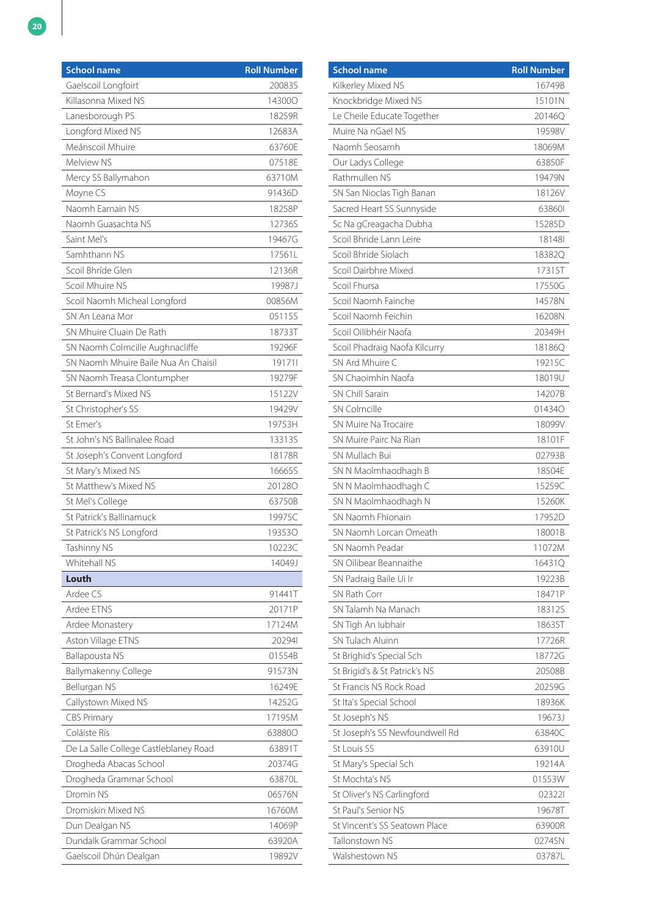| <b>School name</b>                    | <b>Roll Number</b> |
|---------------------------------------|--------------------|
| Gaelscoil Longfoirt                   | 20083S             |
| Killasonna Mixed NS                   | 143000             |
| Lanesborough PS                       | 18259R             |
| Longford Mixed NS                     | 12683A             |
| Meánscoil Mhuire                      | 63760E             |
| Melview NS                            | 07518E             |
| Mercy SS Ballymahon                   | 63710M             |
| Moyne CS                              | 91436D             |
| Naomh Earnain NS                      | 18258P             |
| Naomh Guasachta NS                    | 12736S             |
| Saint Mel's                           | 19467G             |
| Samhthann NS                          | 17561L             |
| Scoil Bhríde Glen                     | 12136R             |
| Scoil Mhuire NS                       | 19987J             |
| Scoil Naomh Micheal Longford          | 00856M             |
| SN An Leana Mor                       | 05115S             |
| SN Mhuire Cluain De Rath              | 18733T             |
| SN Naomh Colmcille Aughnacliffe       | 19296F             |
| SN Naomh Mhuire Baile Nua An Chaisil  | 191711             |
| SN Naomh Treasa Clontumpher           | 19279F             |
| St Bernard's Mixed NS                 | 15122V             |
| St Christopher's SS                   | 19429V             |
| St Emer's                             | 19753H             |
| St John's NS Ballinalee Road          | 13313S             |
| St Joseph's Convent Longford          | 18178R             |
| St Mary's Mixed NS                    | 16665S             |
| St Matthew's Mixed NS                 | 201280             |
| St Mel's College                      | 63750B             |
| St Patrick's Ballinamuck              | 19975C             |
| St Patrick's NS Longford              | 193530             |
| Tashinny NS                           | 10223C             |
| Whitehall NS                          | 14049J             |
| Louth                                 |                    |
| Ardee CS                              | 91441T             |
| Ardee ETNS                            | 20171P             |
| Ardee Monastery                       | 17124M             |
| Aston Village ETNS                    | 202941             |
| <b>Ballapousta NS</b>                 | 01554B             |
| Ballymakenny College                  | 91573N             |
| Bellurgan NS                          | 16249E             |
| Callystown Mixed NS                   | 14252G             |
| <b>CBS Primary</b>                    | 17195M             |
| Coláiste Rís                          | 638800             |
| De La Salle College Castleblaney Road | 63891T             |
| Drogheda Abacas School                | 20374G             |
| Drogheda Grammar School               | 63870L             |
| Dromin NS                             | 06576N             |
| Dromiskin Mixed NS                    | 16760M             |
| Dun Dealgan NS                        | 14069P             |
| Dundalk Grammar School                | 63920A             |
| Gaelscoil Dhún Dealgan                | 19892V             |

| <b>School name</b>             | <b>Roll Number</b> |
|--------------------------------|--------------------|
| Kilkerley Mixed NS             | 16749B             |
| Knockbridge Mixed NS           | 15101N             |
| Le Cheile Educate Together     | 20146Q             |
| Muire Na nGael NS              | 19598V             |
| Naomh Seosamh                  | 18069M             |
| Our Ladys College              | 63850F             |
| Rathmullen NS                  | 19479N             |
| SN San Nioclas Tigh Banan      | 18126V             |
| Sacred Heart SS Sunnyside      | 638601             |
| Sc Na gCreagacha Dubha         | 15285D             |
| Scoil Bhride Lann Leire        | 181481             |
| Scoil Bhride Siolach           | 18382Q             |
| Scoil Dairbhre Mixed           | 17315T             |
| Scoil Fhursa                   | 17550G             |
| Scoil Naomh Fainche            | 14578N             |
| Scoil Naomh Feichin            | 16208N             |
| Scoil Oilibhéir Naofa          | 20349H             |
| Scoil Phadraig Naofa Kilcurry  | 18186Q             |
| SN Ard Mhuire C                | 19215C             |
| SN Chaoimhin Naofa             | 18019U             |
| SN Chill Sarain                | 14207B             |
| <b>SN Colmcille</b>            | 014340             |
| SN Muire Na Trocaire           | 18099V             |
| SN Muire Pairc Na Rian         | 18101F             |
| SN Mullach Bui                 | 02793B             |
| SN N Maolmhaodhagh B           | 18504E             |
| SN N Maolmhaodhagh C           | 15259C             |
| SN N Maolmhaodhagh N           | 15260K             |
| SN Naomh Fhionain              | 17952D             |
| SN Naomh Lorcan Omeath         | 18001B             |
| SN Naomh Peadar                | 11072M             |
| SN Oilibear Beannaithe         | 16431Q             |
| SN Padraig Baile Ui Ir         | 19223B             |
| SN Rath Corr                   | 18471P             |
| SN Talamh Na Manach            | 18312S             |
| SN Tigh An lubhair             | 18635T             |
| SN Tulach Aluinn               | 17726R             |
| St Brighid's Special Sch       | 18772G             |
| St Brigid's & St Patrick's NS  | 20508B             |
| St Francis NS Rock Road        | 20259G             |
| St Ita's Special School        | 18936K             |
| St Joseph's NS                 | 19673J             |
| St Joseph's SS Newfoundwell Rd | 63840C             |
| St Louis SS                    | 63910U             |
| St Mary's Special Sch          | 19214A             |
| St Mochta's NS                 | 01553W             |
| St Oliver's NS Carlingford     | 023221             |
| St Paul's Senior NS            | 19678T             |
| St Vincent's SS Seatown Place  | 63900R             |
| Tallonstown NS                 | 02745N             |
| Walshestown NS                 | 03787L             |
|                                |                    |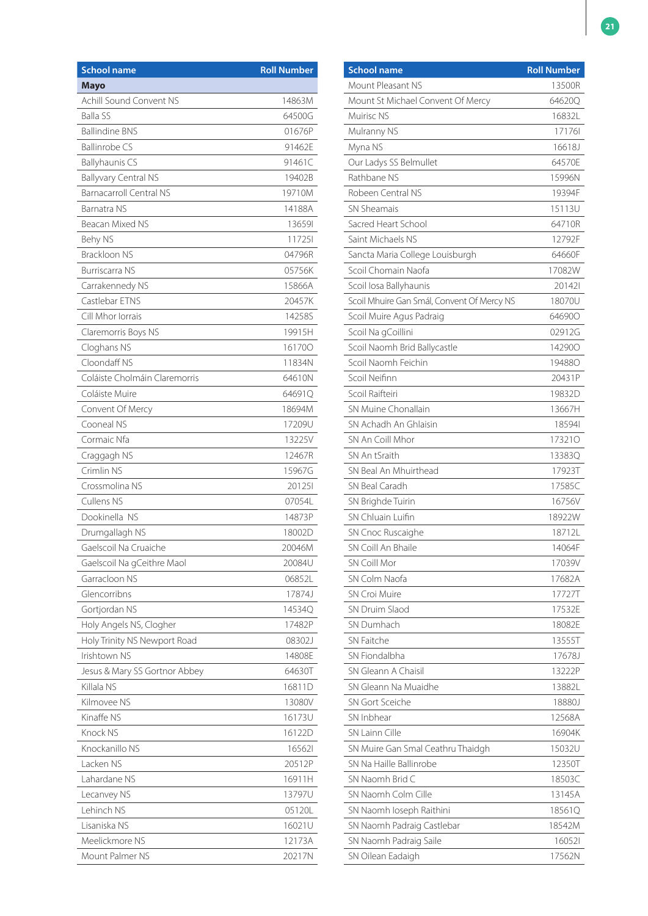| <b>School name</b>             | <b>Roll Number</b> |
|--------------------------------|--------------------|
| <b>Mayo</b>                    |                    |
| <b>Achill Sound Convent NS</b> | 14863M             |
| <b>Balla SS</b>                | 64500G             |
| <b>Ballindine BNS</b>          | 01676P             |
| <b>Ballinrobe CS</b>           | 91462E             |
| <b>Ballyhaunis CS</b>          | 91461C             |
| <b>Ballyvary Central NS</b>    | 19402B             |
| <b>Barnacarroll Central NS</b> | 19710M             |
| Barnatra NS                    | 14188A             |
| Beacan Mixed NS                | 136591             |
| Behy NS                        | 117251             |
| <b>Brackloon NS</b>            | 04796R             |
| <b>Burriscarra NS</b>          | 05756K             |
| Carrakennedy NS                | 15866A             |
| Castlebar ETNS                 | 20457K             |
| Cill Mhor Iorrais              | 14258S             |
| Claremorris Boys NS            | 19915H             |
| Cloghans NS                    | 161700             |
| Cloondaff NS                   | 11834N             |
| Coláiste Cholmáin Claremorris  | 64610N             |
| Coláiste Muire                 | 646910             |
| Convent Of Mercy               | 18694M             |
| Cooneal NS                     | 17209U             |
| Cormaic Nfa                    | 13225V             |
| Craggagh NS                    | 12467R             |
| Crimlin NS                     | 15967G             |
| Crossmolina NS                 | 201251             |
| Cullens NS                     | 07054L             |
| Dookinella NS                  | 14873P             |
| Drumgallagh NS                 | 18002D             |
| Gaelscoil Na Cruaiche          | 20046M             |
| Gaelscoil Na gCeithre Maol     | 20084U             |
| Garracloon NS                  | 06852L             |
| Glencorribns                   | 17874J             |
| Gortjordan NS                  | 14534Q             |
| Holy Angels NS, Clogher        | 17482P             |
| Holy Trinity NS Newport Road   | 08302J             |
| Irishtown NS                   | 14808E             |
| Jesus & Mary SS Gortnor Abbey  | 64630T             |
| Killala NS                     | 16811D             |
| Kilmovee NS                    | 13080V             |
| Kinaffe NS                     | 16173U             |
| <b>Knock NS</b>                | 16122D             |
| Knockanillo NS                 | 165621             |
| Lacken NS                      | 20512P             |
| Lahardane NS                   | 16911H             |
| Lecanvey NS                    | 13797U             |
| Lehinch NS                     | 05120L             |
| Lisaniska NS                   | 16021U             |
| Meelickmore NS                 | 12173A             |
| Mount Palmer NS                | 20217N             |

| <b>School name</b>                         | <b>Roll Number</b> |
|--------------------------------------------|--------------------|
| Mount Pleasant NS                          | 13500R             |
| Mount St Michael Convent Of Mercy          | 64620Q             |
| Muirisc NS                                 | 16832L             |
| Mulranny NS                                | 171761             |
| Myna NS                                    | 16618J             |
| Our Ladys SS Belmullet                     | 64570E             |
| Rathbane NS                                | 15996N             |
| Robeen Central NS                          | 19394F             |
| <b>SN Sheamais</b>                         | 15113U             |
| Sacred Heart School                        | 64710R             |
| Saint Michaels NS                          | 12792F             |
| Sancta Maria College Louisburgh            | 64660F             |
| Scoil Chomain Naofa                        | 17082W             |
| Scoil Iosa Ballyhaunis                     | 201421             |
| Scoil Mhuire Gan Smál, Convent Of Mercy NS | 18070U             |
| Scoil Muire Agus Padraig                   | 646900             |
| Scoil Na gCoillini                         | 02912G             |
| Scoil Naomh Brid Ballycastle               | 142900             |
| Scoil Naomh Feichin                        | <b>194880</b>      |
| Scoil Neifinn                              | 20431P             |
| Scoil Raifteiri                            | 19832D             |
| SN Muine Chonallain                        | 13667H             |
| SN Achadh An Ghlaisin                      | 185941             |
| SN An Coill Mhor                           | 173210             |
| SN An tSraith                              | 13383Q             |
| SN Beal An Mhuirthead                      | 17923T             |
| SN Beal Caradh                             | 17585C             |
| SN Brighde Tuirin                          | 16756V             |
| SN Chluain Luifin                          | 18922W             |
| SN Cnoc Ruscaighe                          | 18712L             |
| SN Coill An Bhaile                         | 14064F             |
| SN Coill Mor                               | 17039V             |
| SN Colm Naofa                              | 17682A             |
| <b>SN Croi Muire</b>                       | 17727T             |
| <b>SN Druim Slaod</b>                      | 17532E             |
| SN Dumhach                                 | 18082E             |
| SN Faitche                                 | 13555T             |
| SN Fiondalbha                              | 17678J             |
| SN Gleann A Chaisil                        | 13222P             |
| SN Gleann Na Muaidhe                       | 13882L             |
| SN Gort Sceiche                            | 18880J             |
| SN Inbhear                                 | 12568A             |
| SN Lainn Cille                             | 16904K             |
| SN Muire Gan Smal Ceathru Thaidgh          | 15032U             |
| SN Na Haille Ballinrobe                    | 12350T             |
| SN Naomh Brid C                            | 18503C             |
| SN Naomh Colm Cille                        | 13145A             |
| SN Naomh Ioseph Raithini                   | 18561Q             |
| SN Naomh Padraig Castlebar                 | 18542M             |
| SN Naomh Padraig Saile                     | 160521             |
| SN Oilean Eadaigh                          | 17562N             |
|                                            |                    |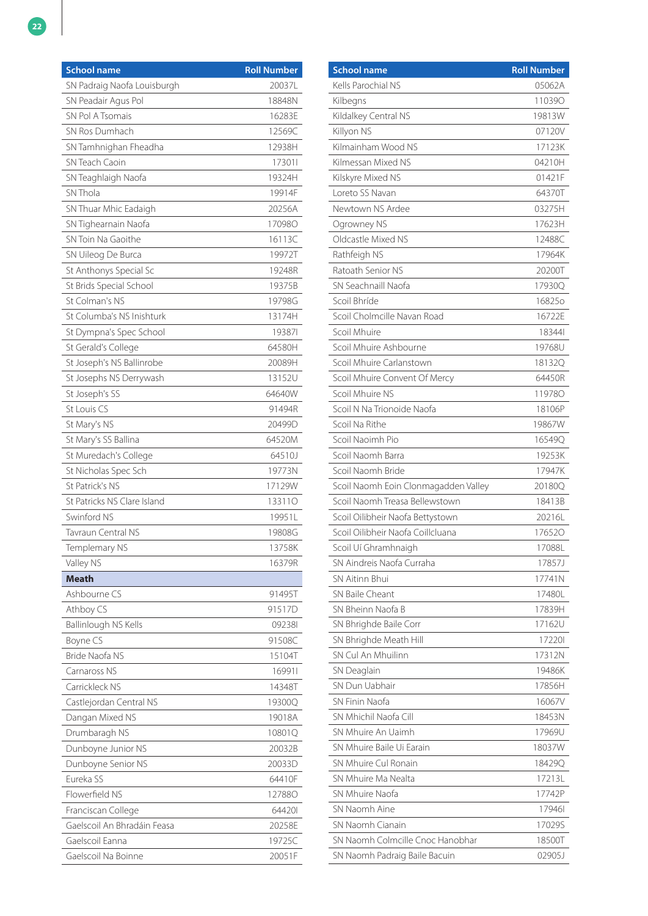| <b>School name</b>          | <b>Roll Number</b> |
|-----------------------------|--------------------|
| SN Padraig Naofa Louisburgh | 20037L             |
| SN Peadair Agus Pol         | 18848N             |
| SN Pol A Tsomais            | 16283E             |
| SN Ros Dumhach              | 12569C             |
| SN Tamhnighan Fheadha       | 12938H             |
| <b>SN Teach Caoin</b>       | 173011             |
| SN Teaghlaigh Naofa         | 19324H             |
| SN Thola                    | 19914F             |
| SN Thuar Mhic Eadaigh       | 20256A             |
| SN Tighearnain Naofa        | 17098O             |
| SN Toin Na Gaoithe          | 16113C             |
| SN Uileog De Burca          | 19972T             |
| St Anthonys Special Sc      | 19248R             |
| St Brids Special School     | 19375B             |
| St Colman's NS              | 19798G             |
| St Columba's NS Inishturk   | 13174H             |
| St Dympna's Spec School     | 193871             |
| St Gerald's College         | 64580H             |
| St Joseph's NS Ballinrobe   | 20089H             |
| St Josephs NS Derrywash     | 13152U             |
| St Joseph's SS              | 64640W             |
| St Louis CS                 | 91494R             |
| St Mary's NS                | 20499D             |
| St Mary's SS Ballina        | 64520M             |
| St Muredach's College       | 64510J             |
| St Nicholas Spec Sch        | 19773N             |
| St Patrick's NS             | 17129W             |
| St Patricks NS Clare Island | 133110             |
| Swinford NS                 | 19951L             |
| Tavraun Central NS          | 19808G             |
| Templemary NS               | 13758K             |
| Valley NS                   | 16379R             |
| Meath                       |                    |
| Ashbourne CS                | 91495T             |
| Athboy CS                   | 91517D             |
| Ballinlough NS Kells        | 092381             |
| Boyne CS                    | 91508C             |
| Bride Naofa NS              | 15104T             |
| Carnaross NS                | 169911             |
| Carrickleck NS              | 14348T             |
| Castlejordan Central NS     | 19300Q             |
| Dangan Mixed NS             | 19018A             |
| Drumbaragh NS               | 10801Q             |
| Dunboyne Junior NS          | 20032B             |
| Dunboyne Senior NS          | 20033D             |
| Eureka SS                   | 64410F             |
| Flowerfield NS              | 12788O             |
| Franciscan College          | 644201             |
| Gaelscoil An Bhradáin Feasa | 20258E             |
| Gaelscoil Eanna             | 19725C             |
| Gaelscoil Na Boinne         | 20051F             |

| <b>School name</b>                   | <b>Roll Number</b> |
|--------------------------------------|--------------------|
| Kells Parochial NS                   | 05062A             |
| Kilbegns                             | 110390             |
| Kildalkey Central NS                 | 19813W             |
| Killyon NS                           | 07120V             |
| Kilmainham Wood NS                   | 17123K             |
| Kilmessan Mixed NS                   | 04210H             |
| Kilskyre Mixed NS                    | 01421F             |
| Loreto SS Navan                      | 64370T             |
| Newtown NS Ardee                     | 03275H             |
| Ogrowney NS                          | 17623H             |
| Oldcastle Mixed NS                   | 12488C             |
| Rathfeigh NS                         | 17964K             |
| Ratoath Senior NS                    | 20200T             |
| SN Seachnaill Naofa                  | 17930Q             |
| Scoil Bhríde                         | 168250             |
| Scoil Cholmcille Navan Road          | 16722F             |
| Scoil Mhuire                         | 183441             |
| Scoil Mhuire Ashbourne               | 19768U             |
| Scoil Mhuire Carlanstown             | 181320             |
| Scoil Mhuire Convent Of Mercy        | 64450R             |
| Scoil Mhuire NS                      | 119780             |
| Scoil N Na Trionoide Naofa           | 18106P             |
| Scoil Na Rithe                       | 19867W             |
| Scoil Naoimh Pio                     | 16549Q             |
| Scoil Naomh Barra                    | 19253K             |
| Scoil Naomh Bride                    | 17947K             |
| Scoil Naomh Eoin Clonmagadden Valley | 20180Q             |
| Scoil Naomh Treasa Bellewstown       | 18413B             |
| Scoil Oilibheir Naofa Bettystown     | 202161             |
| Scoil Oilibheir Naofa Coillcluana    | 176520             |
| Scoil Uí Ghramhnaigh                 | 17088L             |
| SN Aindreis Naofa Curraha            | 17857J             |
| <b>SN Aitinn Bhui</b>                | 17741N             |
| SN Baile Cheant                      | 17480L             |
| SN Bheinn Naofa B                    | 17839H             |
| SN Bhrighde Baile Corr               | 17162U             |
| SN Bhrighde Meath Hill               | 172201             |
| SN Cul An Mhuilinn                   | 17312N             |
| SN Deaglain                          | 19486K             |
| SN Dun Uabhair                       | 17856H             |
| SN Finin Naofa                       | 16067V             |
| SN Mhichil Naofa Cill                | 18453N             |
| SN Mhuire An Uaimh                   | 17969U             |
| SN Mhuire Baile Ui Earain            | 18037W             |
| SN Mhuire Cul Ronain                 | 18429Q             |
| SN Mhuire Ma Nealta                  |                    |
|                                      | 17213L             |
| SN Mhuire Naofa                      | 17742P             |
| SN Naomh Aine                        | 179461             |
| SN Naomh Cianain                     | 17029S             |
| SN Naomh Colmcille Cnoc Hanobhar     | 18500T             |
| SN Naomh Padraig Baile Bacuin        | 02905J             |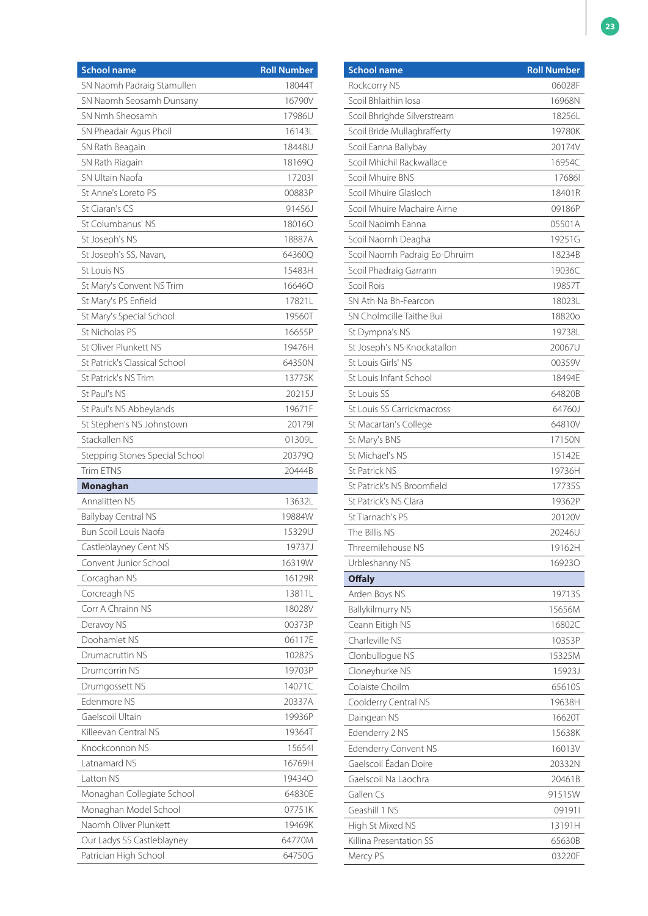| <b>School name</b>             | <b>Roll Number</b> |
|--------------------------------|--------------------|
| SN Naomh Padraig Stamullen     | 18044T             |
| SN Naomh Seosamh Dunsany       | 16790V             |
| SN Nmh Sheosamh                | 17986U             |
| SN Pheadair Agus Phoil         | 16143L             |
| SN Rath Beagain                | 18448U             |
| SN Rath Riagain                | 18169Q             |
| SN Ultain Naofa                | 172031             |
| St Anne's Loreto PS            | 00883P             |
| St Ciaran's CS                 | 91456J             |
| St Columbanus' NS              | 180160             |
| St Joseph's NS                 | 18887A             |
| St Joseph's SS, Navan,         | 64360Q             |
| St Louis NS                    | 15483H             |
| St Mary's Convent NS Trim      | 166460             |
| St Mary's PS Enfield           | 17821L             |
| St Mary's Special School       | 19560T             |
| St Nicholas PS                 | 16655P             |
| St Oliver Plunkett NS          | 19476H             |
| St Patrick's Classical School  | 64350N             |
| St Patrick's NS Trim           | 13775K             |
| St Paul's NS                   | 20215J             |
| St Paul's NS Abbeylands        | 19671F             |
| St Stephen's NS Johnstown      | 201791             |
| Stackallen NS                  | 01309L             |
| Stepping Stones Special School | 20379Q             |
| Trim ETNS                      | 20444B             |
| Monaghan                       |                    |
| Annalitten NS                  | 13632L             |
| <b>Ballybay Central NS</b>     | 19884W             |
| Bun Scoil Louis Naofa          | 15329U             |
| Castleblayney Cent NS          | 19737J             |
| Convent Junior School          | 16319W             |
| Corcaghan NS                   | 16129R             |
| Corcreagh NS                   | 13811L             |
| Corr A Chrainn NS              | 18028V             |
| Deravoy NS                     | 00373P             |
| Doohamlet NS                   | 06117E             |
| Drumacruttin NS                | 10282S             |
| Drumcorrin NS                  | 19703P             |
| Drumgossett NS                 | 14071C             |
| Edenmore NS                    | 20337A             |
| Gaelscoil Ultain               | 19936P             |
| Killeevan Central NS           | 19364T             |
| Knockconnon NS                 | 15654              |
| Latnamard NS                   | 16769H             |
| Latton NS                      | <b>194340</b>      |
| Monaghan Collegiate School     | 64830E             |
| Monaghan Model School          | 07751K             |
| Naomh Oliver Plunkett          | 19469K             |
| Our Ladys SS Castleblayney     | 64770M             |
| Patrician High School          | 64750G             |

| <b>School name</b>                | <b>Roll Number</b> |
|-----------------------------------|--------------------|
| Rockcorry NS                      | 06028F             |
| Scoil Bhlaithin Iosa              | 16968N             |
| Scoil Bhrighde Silverstream       | 18256L             |
| Scoil Bride Mullaghrafferty       | 19780K             |
| Scoil Eanna Ballybay              | 20174V             |
| Scoil Mhichil Rackwallace         | 16954C             |
| Scoil Mhuire BNS                  | 176861             |
| Scoil Mhuire Glasloch             | 18401R             |
| Scoil Mhuire Machaire Airne       | 09186P             |
| Scoil Naoimh Eanna                | 05501A             |
| Scoil Naomh Deagha                | 19251G             |
| Scoil Naomh Padraig Eo-Dhruim     | 18234B             |
| Scoil Phadraig Garrann            | 19036C             |
| Scoil Rois                        | 19857T             |
| SN Ath Na Bh-Fearcon              | 18023L             |
| SN Cholmcille Taithe Bui          | 18820o             |
| St Dympna's NS                    | 19738L             |
| St Joseph's NS Knockatallon       | 20067U             |
| St Louis Girls' NS                | 00359V             |
| St Louis Infant School            | 18494E             |
| St Louis SS                       | 64820B             |
| St Louis SS Carrickmacross        | 64760J             |
| St Macartan's College             | 64810V             |
| St Mary's BNS                     | 17150N             |
| St Michael's NS                   | 15142E             |
| <b>St Patrick NS</b>              | 19736H             |
| St Patrick's NS Broomfield        | 17735S             |
| St Patrick's NS Clara             | 19362P             |
| St Tiarnach's PS                  | 20120V             |
| The Billis NS                     | 20246U             |
| Threemilehouse NS                 | 19162H             |
| Urbleshanny NS                    | 169230             |
| <b>Offaly</b>                     |                    |
| Arden Boys NS                     | 19713S             |
| <b>Ballykilmurry NS</b>           | 15656M             |
| Ceann Eitigh NS                   | 16802C             |
| Charleville NS                    |                    |
|                                   | 10353P<br>15325M   |
| Clonbullogue NS                   |                    |
| Cloneyhurke NS<br>Colaiste Choilm | 15923J             |
|                                   | 65610S             |
| Coolderry Central NS              | 19638H             |
| Daingean NS                       | 16620T             |
| Edenderry 2 NS                    | 15638K             |
| Edenderry Convent NS              | 16013V             |
| Gaelscoil Éadan Doire             | 20332N             |
| Gaelscoil Na Laochra              | 20461B             |
| Gallen Cs                         | 91515W             |
| Geashill 1 NS                     | 091911             |
| High St Mixed NS                  | 13191H             |
| Killina Presentation SS           | 65630B             |
| Mercy PS                          | 03220F             |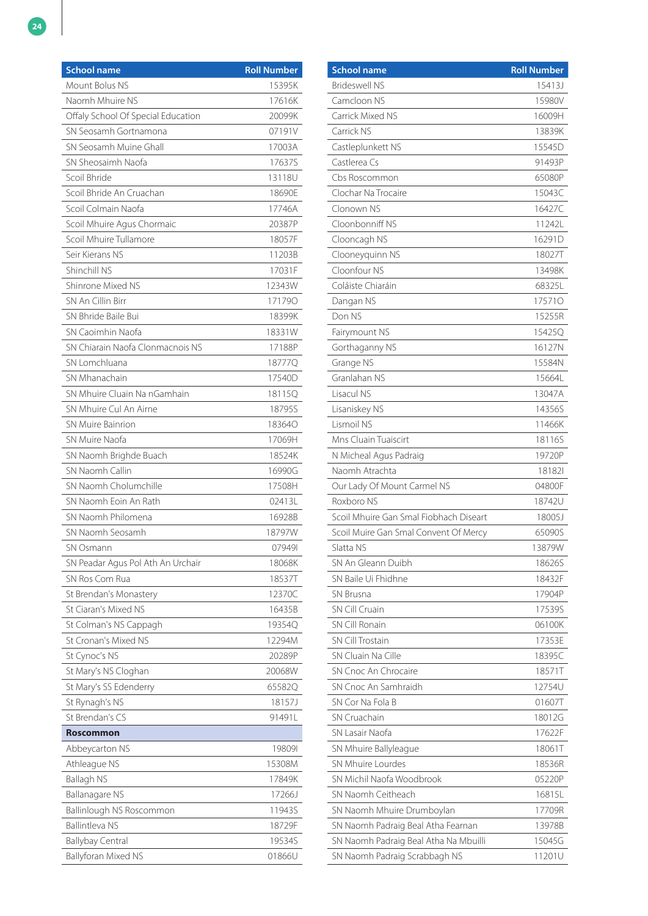| Mount Bolus NS<br>15395K<br>Naomh Mhuire NS<br>17616K<br>Offaly School Of Special Education<br>20099K<br>SN Seosamh Gortnamona<br>07191V<br>SN Seosamh Muine Ghall<br>17003A<br>SN Sheosaimh Naofa<br>17637S<br>Scoil Bhride<br>13118U<br>Scoil Bhride An Cruachan<br>18690E<br>Scoil Colmain Naofa<br>17746A<br>Scoil Mhuire Agus Chormaic<br>20387P<br>Scoil Mhuire Tullamore<br>18057F<br>Seir Kierans NS<br>11203B<br>Shinchill NS<br>17031F<br>Shinrone Mixed NS<br>12343W<br>SN An Cillin Birr<br>171790<br>SN Bhride Baile Bui<br>18399K<br>SN Caoimhin Naofa<br>18331W<br>SN Chiarain Naofa Clonmacnois NS<br>17188P<br>SN Lomchluana<br>18777Q<br>SN Mhanachain<br>17540D<br>SN Mhuire Cluain Na nGamhain<br>18115Q<br>SN Mhuire Cul An Airne<br>18795S<br>SN Muire Bainrion<br>18364O<br>SN Muire Naofa<br>17069H<br>SN Naomh Brighde Buach<br>18524K<br>SN Naomh Callin<br>16990G<br>SN Naomh Cholumchille<br>17508H<br>SN Naomh Eoin An Rath<br>02413L<br>SN Naomh Philomena<br>16928B<br>SN Naomh Seosamh<br>18797W<br>079491<br>SN Osmann<br>SN Peadar Agus Pol Ath An Urchair<br>18068K<br>SN Ros Com Rua<br>18537T<br>St Brendan's Monastery<br>12370C<br>St Ciaran's Mixed NS<br>16435B<br>St Colman's NS Cappagh<br>19354Q<br>St Cronan's Mixed NS<br>12294M<br>St Cynoc's NS<br>20289P<br>20068W<br>St Mary's NS Cloghan<br>65582Q<br>St Mary's SS Edenderry<br>St Rynagh's NS<br>18157J<br>St Brendan's CS<br>91491L<br><b>Roscommon</b><br>Abbeycarton NS<br>198091<br>Athleague NS<br>15308M<br>17849K<br>Ballagh NS<br><b>Ballanagare NS</b><br>17266J<br>Ballinlough NS Roscommon<br>11943S<br><b>Ballintleva NS</b><br>18729F<br>19534S<br><b>Ballybay Central</b> | <b>School name</b>         | <b>Roll Number</b> |
|---------------------------------------------------------------------------------------------------------------------------------------------------------------------------------------------------------------------------------------------------------------------------------------------------------------------------------------------------------------------------------------------------------------------------------------------------------------------------------------------------------------------------------------------------------------------------------------------------------------------------------------------------------------------------------------------------------------------------------------------------------------------------------------------------------------------------------------------------------------------------------------------------------------------------------------------------------------------------------------------------------------------------------------------------------------------------------------------------------------------------------------------------------------------------------------------------------------------------------------------------------------------------------------------------------------------------------------------------------------------------------------------------------------------------------------------------------------------------------------------------------------------------------------------------------------------------------------------------------------------------------------------------------------------------------------------|----------------------------|--------------------|
|                                                                                                                                                                                                                                                                                                                                                                                                                                                                                                                                                                                                                                                                                                                                                                                                                                                                                                                                                                                                                                                                                                                                                                                                                                                                                                                                                                                                                                                                                                                                                                                                                                                                                             |                            |                    |
|                                                                                                                                                                                                                                                                                                                                                                                                                                                                                                                                                                                                                                                                                                                                                                                                                                                                                                                                                                                                                                                                                                                                                                                                                                                                                                                                                                                                                                                                                                                                                                                                                                                                                             |                            |                    |
|                                                                                                                                                                                                                                                                                                                                                                                                                                                                                                                                                                                                                                                                                                                                                                                                                                                                                                                                                                                                                                                                                                                                                                                                                                                                                                                                                                                                                                                                                                                                                                                                                                                                                             |                            |                    |
|                                                                                                                                                                                                                                                                                                                                                                                                                                                                                                                                                                                                                                                                                                                                                                                                                                                                                                                                                                                                                                                                                                                                                                                                                                                                                                                                                                                                                                                                                                                                                                                                                                                                                             |                            |                    |
|                                                                                                                                                                                                                                                                                                                                                                                                                                                                                                                                                                                                                                                                                                                                                                                                                                                                                                                                                                                                                                                                                                                                                                                                                                                                                                                                                                                                                                                                                                                                                                                                                                                                                             |                            |                    |
|                                                                                                                                                                                                                                                                                                                                                                                                                                                                                                                                                                                                                                                                                                                                                                                                                                                                                                                                                                                                                                                                                                                                                                                                                                                                                                                                                                                                                                                                                                                                                                                                                                                                                             |                            |                    |
|                                                                                                                                                                                                                                                                                                                                                                                                                                                                                                                                                                                                                                                                                                                                                                                                                                                                                                                                                                                                                                                                                                                                                                                                                                                                                                                                                                                                                                                                                                                                                                                                                                                                                             |                            |                    |
|                                                                                                                                                                                                                                                                                                                                                                                                                                                                                                                                                                                                                                                                                                                                                                                                                                                                                                                                                                                                                                                                                                                                                                                                                                                                                                                                                                                                                                                                                                                                                                                                                                                                                             |                            |                    |
|                                                                                                                                                                                                                                                                                                                                                                                                                                                                                                                                                                                                                                                                                                                                                                                                                                                                                                                                                                                                                                                                                                                                                                                                                                                                                                                                                                                                                                                                                                                                                                                                                                                                                             |                            |                    |
|                                                                                                                                                                                                                                                                                                                                                                                                                                                                                                                                                                                                                                                                                                                                                                                                                                                                                                                                                                                                                                                                                                                                                                                                                                                                                                                                                                                                                                                                                                                                                                                                                                                                                             |                            |                    |
|                                                                                                                                                                                                                                                                                                                                                                                                                                                                                                                                                                                                                                                                                                                                                                                                                                                                                                                                                                                                                                                                                                                                                                                                                                                                                                                                                                                                                                                                                                                                                                                                                                                                                             |                            |                    |
|                                                                                                                                                                                                                                                                                                                                                                                                                                                                                                                                                                                                                                                                                                                                                                                                                                                                                                                                                                                                                                                                                                                                                                                                                                                                                                                                                                                                                                                                                                                                                                                                                                                                                             |                            |                    |
|                                                                                                                                                                                                                                                                                                                                                                                                                                                                                                                                                                                                                                                                                                                                                                                                                                                                                                                                                                                                                                                                                                                                                                                                                                                                                                                                                                                                                                                                                                                                                                                                                                                                                             |                            |                    |
|                                                                                                                                                                                                                                                                                                                                                                                                                                                                                                                                                                                                                                                                                                                                                                                                                                                                                                                                                                                                                                                                                                                                                                                                                                                                                                                                                                                                                                                                                                                                                                                                                                                                                             |                            |                    |
|                                                                                                                                                                                                                                                                                                                                                                                                                                                                                                                                                                                                                                                                                                                                                                                                                                                                                                                                                                                                                                                                                                                                                                                                                                                                                                                                                                                                                                                                                                                                                                                                                                                                                             |                            |                    |
|                                                                                                                                                                                                                                                                                                                                                                                                                                                                                                                                                                                                                                                                                                                                                                                                                                                                                                                                                                                                                                                                                                                                                                                                                                                                                                                                                                                                                                                                                                                                                                                                                                                                                             |                            |                    |
|                                                                                                                                                                                                                                                                                                                                                                                                                                                                                                                                                                                                                                                                                                                                                                                                                                                                                                                                                                                                                                                                                                                                                                                                                                                                                                                                                                                                                                                                                                                                                                                                                                                                                             |                            |                    |
|                                                                                                                                                                                                                                                                                                                                                                                                                                                                                                                                                                                                                                                                                                                                                                                                                                                                                                                                                                                                                                                                                                                                                                                                                                                                                                                                                                                                                                                                                                                                                                                                                                                                                             |                            |                    |
|                                                                                                                                                                                                                                                                                                                                                                                                                                                                                                                                                                                                                                                                                                                                                                                                                                                                                                                                                                                                                                                                                                                                                                                                                                                                                                                                                                                                                                                                                                                                                                                                                                                                                             |                            |                    |
|                                                                                                                                                                                                                                                                                                                                                                                                                                                                                                                                                                                                                                                                                                                                                                                                                                                                                                                                                                                                                                                                                                                                                                                                                                                                                                                                                                                                                                                                                                                                                                                                                                                                                             |                            |                    |
|                                                                                                                                                                                                                                                                                                                                                                                                                                                                                                                                                                                                                                                                                                                                                                                                                                                                                                                                                                                                                                                                                                                                                                                                                                                                                                                                                                                                                                                                                                                                                                                                                                                                                             |                            |                    |
|                                                                                                                                                                                                                                                                                                                                                                                                                                                                                                                                                                                                                                                                                                                                                                                                                                                                                                                                                                                                                                                                                                                                                                                                                                                                                                                                                                                                                                                                                                                                                                                                                                                                                             |                            |                    |
|                                                                                                                                                                                                                                                                                                                                                                                                                                                                                                                                                                                                                                                                                                                                                                                                                                                                                                                                                                                                                                                                                                                                                                                                                                                                                                                                                                                                                                                                                                                                                                                                                                                                                             |                            |                    |
|                                                                                                                                                                                                                                                                                                                                                                                                                                                                                                                                                                                                                                                                                                                                                                                                                                                                                                                                                                                                                                                                                                                                                                                                                                                                                                                                                                                                                                                                                                                                                                                                                                                                                             |                            |                    |
|                                                                                                                                                                                                                                                                                                                                                                                                                                                                                                                                                                                                                                                                                                                                                                                                                                                                                                                                                                                                                                                                                                                                                                                                                                                                                                                                                                                                                                                                                                                                                                                                                                                                                             |                            |                    |
|                                                                                                                                                                                                                                                                                                                                                                                                                                                                                                                                                                                                                                                                                                                                                                                                                                                                                                                                                                                                                                                                                                                                                                                                                                                                                                                                                                                                                                                                                                                                                                                                                                                                                             |                            |                    |
|                                                                                                                                                                                                                                                                                                                                                                                                                                                                                                                                                                                                                                                                                                                                                                                                                                                                                                                                                                                                                                                                                                                                                                                                                                                                                                                                                                                                                                                                                                                                                                                                                                                                                             |                            |                    |
|                                                                                                                                                                                                                                                                                                                                                                                                                                                                                                                                                                                                                                                                                                                                                                                                                                                                                                                                                                                                                                                                                                                                                                                                                                                                                                                                                                                                                                                                                                                                                                                                                                                                                             |                            |                    |
|                                                                                                                                                                                                                                                                                                                                                                                                                                                                                                                                                                                                                                                                                                                                                                                                                                                                                                                                                                                                                                                                                                                                                                                                                                                                                                                                                                                                                                                                                                                                                                                                                                                                                             |                            |                    |
|                                                                                                                                                                                                                                                                                                                                                                                                                                                                                                                                                                                                                                                                                                                                                                                                                                                                                                                                                                                                                                                                                                                                                                                                                                                                                                                                                                                                                                                                                                                                                                                                                                                                                             |                            |                    |
|                                                                                                                                                                                                                                                                                                                                                                                                                                                                                                                                                                                                                                                                                                                                                                                                                                                                                                                                                                                                                                                                                                                                                                                                                                                                                                                                                                                                                                                                                                                                                                                                                                                                                             |                            |                    |
|                                                                                                                                                                                                                                                                                                                                                                                                                                                                                                                                                                                                                                                                                                                                                                                                                                                                                                                                                                                                                                                                                                                                                                                                                                                                                                                                                                                                                                                                                                                                                                                                                                                                                             |                            |                    |
|                                                                                                                                                                                                                                                                                                                                                                                                                                                                                                                                                                                                                                                                                                                                                                                                                                                                                                                                                                                                                                                                                                                                                                                                                                                                                                                                                                                                                                                                                                                                                                                                                                                                                             |                            |                    |
|                                                                                                                                                                                                                                                                                                                                                                                                                                                                                                                                                                                                                                                                                                                                                                                                                                                                                                                                                                                                                                                                                                                                                                                                                                                                                                                                                                                                                                                                                                                                                                                                                                                                                             |                            |                    |
|                                                                                                                                                                                                                                                                                                                                                                                                                                                                                                                                                                                                                                                                                                                                                                                                                                                                                                                                                                                                                                                                                                                                                                                                                                                                                                                                                                                                                                                                                                                                                                                                                                                                                             |                            |                    |
|                                                                                                                                                                                                                                                                                                                                                                                                                                                                                                                                                                                                                                                                                                                                                                                                                                                                                                                                                                                                                                                                                                                                                                                                                                                                                                                                                                                                                                                                                                                                                                                                                                                                                             |                            |                    |
|                                                                                                                                                                                                                                                                                                                                                                                                                                                                                                                                                                                                                                                                                                                                                                                                                                                                                                                                                                                                                                                                                                                                                                                                                                                                                                                                                                                                                                                                                                                                                                                                                                                                                             |                            |                    |
|                                                                                                                                                                                                                                                                                                                                                                                                                                                                                                                                                                                                                                                                                                                                                                                                                                                                                                                                                                                                                                                                                                                                                                                                                                                                                                                                                                                                                                                                                                                                                                                                                                                                                             |                            |                    |
|                                                                                                                                                                                                                                                                                                                                                                                                                                                                                                                                                                                                                                                                                                                                                                                                                                                                                                                                                                                                                                                                                                                                                                                                                                                                                                                                                                                                                                                                                                                                                                                                                                                                                             |                            |                    |
|                                                                                                                                                                                                                                                                                                                                                                                                                                                                                                                                                                                                                                                                                                                                                                                                                                                                                                                                                                                                                                                                                                                                                                                                                                                                                                                                                                                                                                                                                                                                                                                                                                                                                             |                            |                    |
|                                                                                                                                                                                                                                                                                                                                                                                                                                                                                                                                                                                                                                                                                                                                                                                                                                                                                                                                                                                                                                                                                                                                                                                                                                                                                                                                                                                                                                                                                                                                                                                                                                                                                             |                            |                    |
|                                                                                                                                                                                                                                                                                                                                                                                                                                                                                                                                                                                                                                                                                                                                                                                                                                                                                                                                                                                                                                                                                                                                                                                                                                                                                                                                                                                                                                                                                                                                                                                                                                                                                             |                            |                    |
|                                                                                                                                                                                                                                                                                                                                                                                                                                                                                                                                                                                                                                                                                                                                                                                                                                                                                                                                                                                                                                                                                                                                                                                                                                                                                                                                                                                                                                                                                                                                                                                                                                                                                             |                            |                    |
|                                                                                                                                                                                                                                                                                                                                                                                                                                                                                                                                                                                                                                                                                                                                                                                                                                                                                                                                                                                                                                                                                                                                                                                                                                                                                                                                                                                                                                                                                                                                                                                                                                                                                             |                            |                    |
|                                                                                                                                                                                                                                                                                                                                                                                                                                                                                                                                                                                                                                                                                                                                                                                                                                                                                                                                                                                                                                                                                                                                                                                                                                                                                                                                                                                                                                                                                                                                                                                                                                                                                             |                            |                    |
|                                                                                                                                                                                                                                                                                                                                                                                                                                                                                                                                                                                                                                                                                                                                                                                                                                                                                                                                                                                                                                                                                                                                                                                                                                                                                                                                                                                                                                                                                                                                                                                                                                                                                             |                            |                    |
|                                                                                                                                                                                                                                                                                                                                                                                                                                                                                                                                                                                                                                                                                                                                                                                                                                                                                                                                                                                                                                                                                                                                                                                                                                                                                                                                                                                                                                                                                                                                                                                                                                                                                             |                            |                    |
|                                                                                                                                                                                                                                                                                                                                                                                                                                                                                                                                                                                                                                                                                                                                                                                                                                                                                                                                                                                                                                                                                                                                                                                                                                                                                                                                                                                                                                                                                                                                                                                                                                                                                             |                            |                    |
|                                                                                                                                                                                                                                                                                                                                                                                                                                                                                                                                                                                                                                                                                                                                                                                                                                                                                                                                                                                                                                                                                                                                                                                                                                                                                                                                                                                                                                                                                                                                                                                                                                                                                             |                            |                    |
|                                                                                                                                                                                                                                                                                                                                                                                                                                                                                                                                                                                                                                                                                                                                                                                                                                                                                                                                                                                                                                                                                                                                                                                                                                                                                                                                                                                                                                                                                                                                                                                                                                                                                             |                            |                    |
|                                                                                                                                                                                                                                                                                                                                                                                                                                                                                                                                                                                                                                                                                                                                                                                                                                                                                                                                                                                                                                                                                                                                                                                                                                                                                                                                                                                                                                                                                                                                                                                                                                                                                             | <b>Ballyforan Mixed NS</b> | 01866U             |

| <b>School name</b>                     | <b>Roll Number</b> |
|----------------------------------------|--------------------|
| <b>Brideswell NS</b>                   | 15413J             |
| Camcloon NS                            | 15980V             |
| Carrick Mixed NS                       | 16009H             |
| Carrick NS                             | 13839K             |
| Castleplunkett NS                      | 15545D             |
| Castlerea Cs                           | 91493P             |
| Cbs Roscommon                          | 65080P             |
| Clochar Na Trocaire                    | 15043C             |
| Clonown NS                             | 16427C             |
| Cloonbonniff NS                        | 11242L             |
| Clooncagh NS                           | 16291D             |
| Clooneyquinn NS                        | 18027T             |
| Cloonfour NS                           | 13498K             |
| Coláiste Chiaráin                      | 68325L             |
| Dangan NS                              | 175710             |
| Don NS                                 | 15255R             |
| Fairymount NS                          | 15425Q             |
| Gorthaganny NS                         | 16127N             |
| Grange NS                              | 15584N             |
| Granlahan NS                           | 15664L             |
| Lisacul NS                             | 13047A             |
| Lisaniskey NS                          | 14356S             |
| Lismoil NS                             | 11466K             |
| Mns Cluain Tuaiscirt                   | 18116S             |
| N Micheal Agus Padraig                 | 19720P             |
| Naomh Atrachta                         | 181821             |
| Our Lady Of Mount Carmel NS            | 04800F             |
| Roxboro NS                             | 18742U             |
| Scoil Mhuire Gan Smal Fiobhach Diseart | 18005J             |
| Scoil Muire Gan Smal Convent Of Mercy  | 65090S             |
| Slatta NS                              | 13879W             |
| SN An Gleann Duibh                     | 18626S             |
| SN Baile Ui Fhidhne                    | 18432F             |
| <b>SN Brusna</b>                       | 17904P             |
| SN Cill Cruain                         | 17539S             |
| SN Cill Ronain                         | 06100K             |
| <b>SN Cill Trostain</b>                | 17353E             |
| SN Cluain Na Cille                     | 18395C             |
| SN Cnoc An Chrocaire                   | 18571T             |
| SN Cnoc An Samhraidh                   | 12754U             |
| SN Cor Na Fola B                       | 01607T             |
| <b>SN Cruachain</b>                    | 18012G             |
| SN Lasair Naofa                        | 17622F             |
| SN Mhuire Ballyleague                  | 18061T             |
| SN Mhuire Lourdes                      | 18536R             |
| SN Michil Naofa Woodbrook              | 05220P             |
| SN Naomh Ceitheach                     | 16815L             |
| SN Naomh Mhuire Drumboylan             | 17709R             |
| SN Naomh Padraig Beal Atha Fearnan     | 13978B             |
| SN Naomh Padraig Beal Atha Na Mbuilli  | 15045G             |
| SN Naomh Padraig Scrabbagh NS          | 11201U             |
|                                        |                    |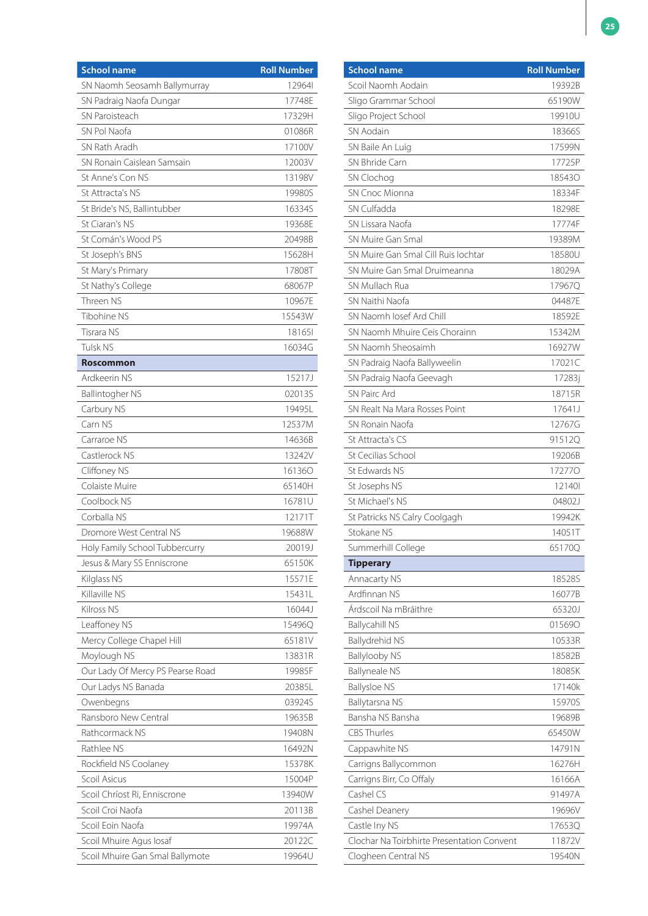| <b>School name</b>               | <b>Roll Number</b> |
|----------------------------------|--------------------|
| SN Naomh Seosamh Ballymurray     | 129641             |
| SN Padraig Naofa Dungar          | 17748E             |
| SN Paroisteach                   | 17329H             |
| SN Pol Naofa                     | 01086R             |
| SN Rath Aradh                    | 17100V             |
| SN Ronain Caislean Samsain       | 12003V             |
| St Anne's Con NS                 | 13198V             |
| St Attracta's NS                 | 19980S             |
| St Bride's NS, Ballintubber      | 16334S             |
| St Ciaran's NS                   | 19368E             |
| St Comán's Wood PS               | 20498B             |
| St Joseph's BNS                  | 15628H             |
| St Mary's Primary                | 17808T             |
| St Nathy's College               | 68067P             |
| Threen NS                        | 10967E             |
| Tibohine NS                      | 15543W             |
| Tisrara NS                       | 181651             |
| Tulsk NS                         | 16034G             |
| <b>Roscommon</b>                 |                    |
| Ardkeerin NS                     | 15217J             |
| Ballintogher NS                  | 02013S             |
| Carbury NS                       | 19495L             |
| Carn NS                          | 12537M             |
| Carraroe NS                      | 14636B             |
| Castlerock NS                    | 13242V             |
| Cliffoney NS                     | 161360             |
| Colaiste Muire                   | 65140H             |
| Coolbock NS                      | 16781U             |
| Corballa NS                      | 12171T             |
| Dromore West Central NS          | 19688W             |
| Holy Family School Tubbercurry   | 20019J             |
| Jesus & Mary SS Enniscrone       | 65150K             |
| Kilglass NS                      | 15571E             |
| Killaville NS                    | 15431L             |
| Kilross NS                       | 16044J             |
| Leaffoney NS                     | 15496Q             |
| Mercy College Chapel Hill        | 65181V             |
| Moylough NS                      | 13831R             |
| Our Lady Of Mercy PS Pearse Road | 19985F             |
| Our Ladys NS Banada              | 20385L             |
| Owenbegns                        | 03924S             |
| Ransboro New Central             | 19635B             |
| Rathcormack NS                   | 19408N             |
| Rathlee NS                       | 16492N             |
| Rockfield NS Coolaney            | 15378K             |
| Scoil Asicus                     | 15004P             |
| Scoil Chríost Ri, Enniscrone     | 13940W             |
| Scoil Croi Naofa                 | 20113B             |
| Scoil Eoin Naofa                 | 19974A             |
| Scoil Mhuire Agus Iosaf          | 20122C             |
| Scoil Mhuire Gan Smal Ballymote  | 19964U             |

| <b>School name</b>                         | <b>Roll Number</b> |
|--------------------------------------------|--------------------|
| Scoil Naomh Aodain                         | 19392B             |
| Sligo Grammar School                       | 65190W             |
| Sligo Project School                       | 19910U             |
| SN Aodain                                  | 18366S             |
| SN Baile An Luig                           | 17599N             |
| SN Bhride Carn                             | 17725P             |
| SN Clochog                                 | 185430             |
| <b>SN Cnoc Mionna</b>                      | 18334F             |
| SN Culfadda                                | 18298E             |
| SN Lissara Naofa                           | 17774F             |
| SN Muire Gan Smal                          | 19389M             |
| SN Muire Gan Smal Cill Ruis Jochtar        | 18580U             |
| SN Muire Gan Smal Druimeanna               | 18029A             |
| SN Mullach Rua                             | 17967Q             |
| SN Naithi Naofa                            | 04487E             |
| SN Naomh Josef Ard Chill                   | 18592E             |
| SN Naomh Mhuire Ceis Chorainn              | 15342M             |
| SN Naomh Sheosaimh                         | 16927W             |
| SN Padraig Naofa Ballyweelin               | 17021C             |
| SN Padraig Naofa Geevagh                   | 17283j             |
| <b>SN Pairc Ard</b>                        | 18715R             |
| SN Realt Na Mara Rosses Point              | 17641J             |
| SN Ronain Naofa                            | 12767G             |
| St Attracta's CS                           | 91512Q             |
| St Cecilias School                         | 19206B             |
| St Edwards NS                              | 172770             |
| St Josephs NS                              | 121401             |
| St Michael's NS                            | 04802J             |
| St Patricks NS Calry Coolgagh              | 19942K             |
| Stokane NS                                 | 14051T             |
| Summerhill College                         | 651700             |
| <b>Tipperary</b>                           |                    |
| Annacarty NS                               | 18528S             |
| Ardfinnan NS                               | 16077B             |
| Árdscoil Na mBráithre                      | 65320J             |
| <b>Ballycahill NS</b>                      | 015690             |
| Ballydrehid NS                             | 10533R             |
| <b>Ballylooby NS</b>                       | 18582B             |
| <b>Ballyneale NS</b>                       | 18085K             |
| <b>Ballysloe NS</b>                        | 17140k             |
| Ballytarsna NS                             | 15970S             |
| Bansha NS Bansha                           | 19689B             |
| <b>CBS Thurles</b>                         | 65450W             |
| Cappawhite NS                              | 14791N             |
| Carrigns Ballycommon                       | 16276H             |
| Carrigns Birr, Co Offaly                   | 16166A             |
| Cashel CS                                  | 91497A             |
| Cashel Deanery                             | 19696V             |
| Castle Iny NS                              | 17653Q             |
| Clochar Na Toirbhirte Presentation Convent | 11872V             |
| Clogheen Central NS                        | 19540N             |
|                                            |                    |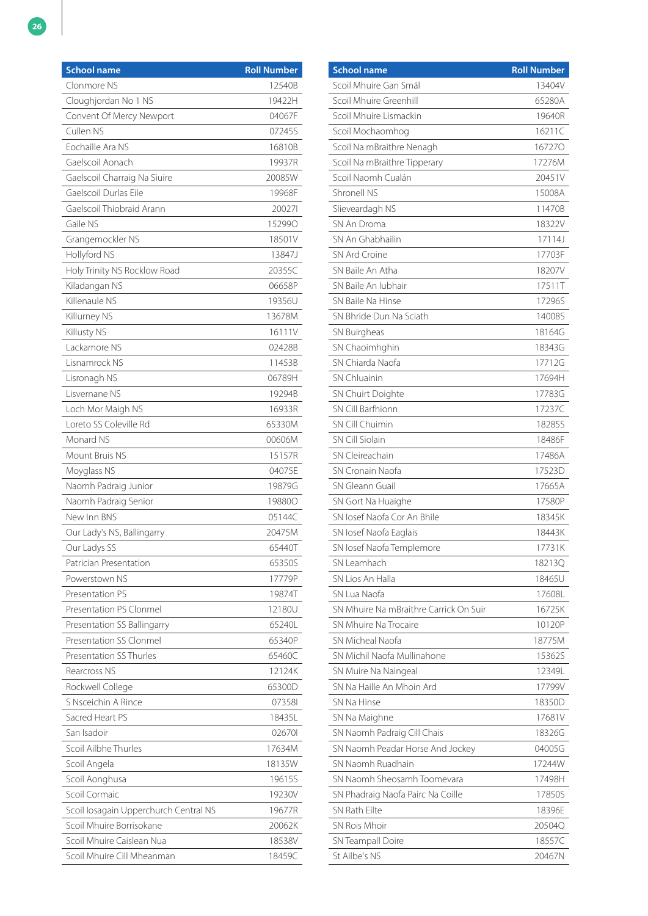| 12540B<br>Clonmore NS<br>Cloughjordan No 1 NS<br>19422H<br>Convent Of Mercy Newport<br>04067F<br>Cullen NS<br>07245S<br>Eochaille Ara NS<br>16810B<br>Gaelscoil Aonach<br>19937R<br>Gaelscoil Charraig Na Siuire<br>20085W<br>Gaelscoil Durlas Eile<br>19968F<br>Gaelscoil Thiobraid Arann<br>200271<br>Gaile NS<br>152990<br>Grangemockler NS<br>18501V<br>Hollyford NS<br>13847J<br>Holy Trinity NS Rocklow Road<br>20355C<br>Kiladangan NS<br>06658P<br>Killenaule NS<br>19356U<br>13678M<br>Killurney NS<br>Killusty NS<br>16111V<br>Lackamore NS<br>02428B<br>Lisnamrock NS<br>11453B<br>Lisronagh NS<br>06789H<br>19294B<br>Lisvernane NS<br>Loch Mor Maigh NS<br>16933R<br>Loreto SS Coleville Rd<br>65330M<br>Monard NS<br>00606M<br>Mount Bruis NS<br>15157R<br>Moyglass NS<br>04075E<br>Naomh Padraig Junior<br>19879G<br>Naomh Padraig Senior<br>198800<br>New Inn BNS<br>05144C<br>Our Lady's NS, Ballingarry<br>20475M<br>Our Ladys SS<br>65440T<br>Patrician Presentation<br>65350S<br>Powerstown NS<br>17779P<br>Presentation PS<br>19874T<br>Presentation PS Clonmel<br>12180U<br>65240L<br>Presentation SS Ballingarry<br>Presentation SS Clonmel<br>65340P<br>Presentation SS Thurles<br>65460C<br>Rearcross NS<br>12124K<br>Rockwell College<br>65300D<br>S Nsceichin A Rince<br>073581<br>Sacred Heart PS<br>18435L<br>San Isadoir<br>026701<br>Scoil Ailbhe Thurles<br>17634M<br>Scoil Angela<br>18135W<br>19615S<br>Scoil Aonghusa<br>Scoil Cormaic<br>19230V<br>Scoil Iosagain Upperchurch Central NS<br>19677R<br>Scoil Mhuire Borrisokane<br>20062K<br>Scoil Mhuire Caislean Nua<br>18538V | <b>School name</b>         | <b>Roll Number</b> |
|---------------------------------------------------------------------------------------------------------------------------------------------------------------------------------------------------------------------------------------------------------------------------------------------------------------------------------------------------------------------------------------------------------------------------------------------------------------------------------------------------------------------------------------------------------------------------------------------------------------------------------------------------------------------------------------------------------------------------------------------------------------------------------------------------------------------------------------------------------------------------------------------------------------------------------------------------------------------------------------------------------------------------------------------------------------------------------------------------------------------------------------------------------------------------------------------------------------------------------------------------------------------------------------------------------------------------------------------------------------------------------------------------------------------------------------------------------------------------------------------------------------------------------------------------------------------------------------------------------------------|----------------------------|--------------------|
|                                                                                                                                                                                                                                                                                                                                                                                                                                                                                                                                                                                                                                                                                                                                                                                                                                                                                                                                                                                                                                                                                                                                                                                                                                                                                                                                                                                                                                                                                                                                                                                                                     |                            |                    |
|                                                                                                                                                                                                                                                                                                                                                                                                                                                                                                                                                                                                                                                                                                                                                                                                                                                                                                                                                                                                                                                                                                                                                                                                                                                                                                                                                                                                                                                                                                                                                                                                                     |                            |                    |
|                                                                                                                                                                                                                                                                                                                                                                                                                                                                                                                                                                                                                                                                                                                                                                                                                                                                                                                                                                                                                                                                                                                                                                                                                                                                                                                                                                                                                                                                                                                                                                                                                     |                            |                    |
|                                                                                                                                                                                                                                                                                                                                                                                                                                                                                                                                                                                                                                                                                                                                                                                                                                                                                                                                                                                                                                                                                                                                                                                                                                                                                                                                                                                                                                                                                                                                                                                                                     |                            |                    |
|                                                                                                                                                                                                                                                                                                                                                                                                                                                                                                                                                                                                                                                                                                                                                                                                                                                                                                                                                                                                                                                                                                                                                                                                                                                                                                                                                                                                                                                                                                                                                                                                                     |                            |                    |
|                                                                                                                                                                                                                                                                                                                                                                                                                                                                                                                                                                                                                                                                                                                                                                                                                                                                                                                                                                                                                                                                                                                                                                                                                                                                                                                                                                                                                                                                                                                                                                                                                     |                            |                    |
|                                                                                                                                                                                                                                                                                                                                                                                                                                                                                                                                                                                                                                                                                                                                                                                                                                                                                                                                                                                                                                                                                                                                                                                                                                                                                                                                                                                                                                                                                                                                                                                                                     |                            |                    |
|                                                                                                                                                                                                                                                                                                                                                                                                                                                                                                                                                                                                                                                                                                                                                                                                                                                                                                                                                                                                                                                                                                                                                                                                                                                                                                                                                                                                                                                                                                                                                                                                                     |                            |                    |
|                                                                                                                                                                                                                                                                                                                                                                                                                                                                                                                                                                                                                                                                                                                                                                                                                                                                                                                                                                                                                                                                                                                                                                                                                                                                                                                                                                                                                                                                                                                                                                                                                     |                            |                    |
|                                                                                                                                                                                                                                                                                                                                                                                                                                                                                                                                                                                                                                                                                                                                                                                                                                                                                                                                                                                                                                                                                                                                                                                                                                                                                                                                                                                                                                                                                                                                                                                                                     |                            |                    |
|                                                                                                                                                                                                                                                                                                                                                                                                                                                                                                                                                                                                                                                                                                                                                                                                                                                                                                                                                                                                                                                                                                                                                                                                                                                                                                                                                                                                                                                                                                                                                                                                                     |                            |                    |
|                                                                                                                                                                                                                                                                                                                                                                                                                                                                                                                                                                                                                                                                                                                                                                                                                                                                                                                                                                                                                                                                                                                                                                                                                                                                                                                                                                                                                                                                                                                                                                                                                     |                            |                    |
|                                                                                                                                                                                                                                                                                                                                                                                                                                                                                                                                                                                                                                                                                                                                                                                                                                                                                                                                                                                                                                                                                                                                                                                                                                                                                                                                                                                                                                                                                                                                                                                                                     |                            |                    |
|                                                                                                                                                                                                                                                                                                                                                                                                                                                                                                                                                                                                                                                                                                                                                                                                                                                                                                                                                                                                                                                                                                                                                                                                                                                                                                                                                                                                                                                                                                                                                                                                                     |                            |                    |
|                                                                                                                                                                                                                                                                                                                                                                                                                                                                                                                                                                                                                                                                                                                                                                                                                                                                                                                                                                                                                                                                                                                                                                                                                                                                                                                                                                                                                                                                                                                                                                                                                     |                            |                    |
|                                                                                                                                                                                                                                                                                                                                                                                                                                                                                                                                                                                                                                                                                                                                                                                                                                                                                                                                                                                                                                                                                                                                                                                                                                                                                                                                                                                                                                                                                                                                                                                                                     |                            |                    |
|                                                                                                                                                                                                                                                                                                                                                                                                                                                                                                                                                                                                                                                                                                                                                                                                                                                                                                                                                                                                                                                                                                                                                                                                                                                                                                                                                                                                                                                                                                                                                                                                                     |                            |                    |
|                                                                                                                                                                                                                                                                                                                                                                                                                                                                                                                                                                                                                                                                                                                                                                                                                                                                                                                                                                                                                                                                                                                                                                                                                                                                                                                                                                                                                                                                                                                                                                                                                     |                            |                    |
|                                                                                                                                                                                                                                                                                                                                                                                                                                                                                                                                                                                                                                                                                                                                                                                                                                                                                                                                                                                                                                                                                                                                                                                                                                                                                                                                                                                                                                                                                                                                                                                                                     |                            |                    |
|                                                                                                                                                                                                                                                                                                                                                                                                                                                                                                                                                                                                                                                                                                                                                                                                                                                                                                                                                                                                                                                                                                                                                                                                                                                                                                                                                                                                                                                                                                                                                                                                                     |                            |                    |
|                                                                                                                                                                                                                                                                                                                                                                                                                                                                                                                                                                                                                                                                                                                                                                                                                                                                                                                                                                                                                                                                                                                                                                                                                                                                                                                                                                                                                                                                                                                                                                                                                     |                            |                    |
|                                                                                                                                                                                                                                                                                                                                                                                                                                                                                                                                                                                                                                                                                                                                                                                                                                                                                                                                                                                                                                                                                                                                                                                                                                                                                                                                                                                                                                                                                                                                                                                                                     |                            |                    |
|                                                                                                                                                                                                                                                                                                                                                                                                                                                                                                                                                                                                                                                                                                                                                                                                                                                                                                                                                                                                                                                                                                                                                                                                                                                                                                                                                                                                                                                                                                                                                                                                                     |                            |                    |
|                                                                                                                                                                                                                                                                                                                                                                                                                                                                                                                                                                                                                                                                                                                                                                                                                                                                                                                                                                                                                                                                                                                                                                                                                                                                                                                                                                                                                                                                                                                                                                                                                     |                            |                    |
|                                                                                                                                                                                                                                                                                                                                                                                                                                                                                                                                                                                                                                                                                                                                                                                                                                                                                                                                                                                                                                                                                                                                                                                                                                                                                                                                                                                                                                                                                                                                                                                                                     |                            |                    |
|                                                                                                                                                                                                                                                                                                                                                                                                                                                                                                                                                                                                                                                                                                                                                                                                                                                                                                                                                                                                                                                                                                                                                                                                                                                                                                                                                                                                                                                                                                                                                                                                                     |                            |                    |
|                                                                                                                                                                                                                                                                                                                                                                                                                                                                                                                                                                                                                                                                                                                                                                                                                                                                                                                                                                                                                                                                                                                                                                                                                                                                                                                                                                                                                                                                                                                                                                                                                     |                            |                    |
|                                                                                                                                                                                                                                                                                                                                                                                                                                                                                                                                                                                                                                                                                                                                                                                                                                                                                                                                                                                                                                                                                                                                                                                                                                                                                                                                                                                                                                                                                                                                                                                                                     |                            |                    |
|                                                                                                                                                                                                                                                                                                                                                                                                                                                                                                                                                                                                                                                                                                                                                                                                                                                                                                                                                                                                                                                                                                                                                                                                                                                                                                                                                                                                                                                                                                                                                                                                                     |                            |                    |
|                                                                                                                                                                                                                                                                                                                                                                                                                                                                                                                                                                                                                                                                                                                                                                                                                                                                                                                                                                                                                                                                                                                                                                                                                                                                                                                                                                                                                                                                                                                                                                                                                     |                            |                    |
|                                                                                                                                                                                                                                                                                                                                                                                                                                                                                                                                                                                                                                                                                                                                                                                                                                                                                                                                                                                                                                                                                                                                                                                                                                                                                                                                                                                                                                                                                                                                                                                                                     |                            |                    |
|                                                                                                                                                                                                                                                                                                                                                                                                                                                                                                                                                                                                                                                                                                                                                                                                                                                                                                                                                                                                                                                                                                                                                                                                                                                                                                                                                                                                                                                                                                                                                                                                                     |                            |                    |
|                                                                                                                                                                                                                                                                                                                                                                                                                                                                                                                                                                                                                                                                                                                                                                                                                                                                                                                                                                                                                                                                                                                                                                                                                                                                                                                                                                                                                                                                                                                                                                                                                     |                            |                    |
|                                                                                                                                                                                                                                                                                                                                                                                                                                                                                                                                                                                                                                                                                                                                                                                                                                                                                                                                                                                                                                                                                                                                                                                                                                                                                                                                                                                                                                                                                                                                                                                                                     |                            |                    |
|                                                                                                                                                                                                                                                                                                                                                                                                                                                                                                                                                                                                                                                                                                                                                                                                                                                                                                                                                                                                                                                                                                                                                                                                                                                                                                                                                                                                                                                                                                                                                                                                                     |                            |                    |
|                                                                                                                                                                                                                                                                                                                                                                                                                                                                                                                                                                                                                                                                                                                                                                                                                                                                                                                                                                                                                                                                                                                                                                                                                                                                                                                                                                                                                                                                                                                                                                                                                     |                            |                    |
|                                                                                                                                                                                                                                                                                                                                                                                                                                                                                                                                                                                                                                                                                                                                                                                                                                                                                                                                                                                                                                                                                                                                                                                                                                                                                                                                                                                                                                                                                                                                                                                                                     |                            |                    |
|                                                                                                                                                                                                                                                                                                                                                                                                                                                                                                                                                                                                                                                                                                                                                                                                                                                                                                                                                                                                                                                                                                                                                                                                                                                                                                                                                                                                                                                                                                                                                                                                                     |                            |                    |
|                                                                                                                                                                                                                                                                                                                                                                                                                                                                                                                                                                                                                                                                                                                                                                                                                                                                                                                                                                                                                                                                                                                                                                                                                                                                                                                                                                                                                                                                                                                                                                                                                     |                            |                    |
|                                                                                                                                                                                                                                                                                                                                                                                                                                                                                                                                                                                                                                                                                                                                                                                                                                                                                                                                                                                                                                                                                                                                                                                                                                                                                                                                                                                                                                                                                                                                                                                                                     |                            |                    |
|                                                                                                                                                                                                                                                                                                                                                                                                                                                                                                                                                                                                                                                                                                                                                                                                                                                                                                                                                                                                                                                                                                                                                                                                                                                                                                                                                                                                                                                                                                                                                                                                                     |                            |                    |
|                                                                                                                                                                                                                                                                                                                                                                                                                                                                                                                                                                                                                                                                                                                                                                                                                                                                                                                                                                                                                                                                                                                                                                                                                                                                                                                                                                                                                                                                                                                                                                                                                     |                            |                    |
|                                                                                                                                                                                                                                                                                                                                                                                                                                                                                                                                                                                                                                                                                                                                                                                                                                                                                                                                                                                                                                                                                                                                                                                                                                                                                                                                                                                                                                                                                                                                                                                                                     |                            |                    |
|                                                                                                                                                                                                                                                                                                                                                                                                                                                                                                                                                                                                                                                                                                                                                                                                                                                                                                                                                                                                                                                                                                                                                                                                                                                                                                                                                                                                                                                                                                                                                                                                                     |                            |                    |
|                                                                                                                                                                                                                                                                                                                                                                                                                                                                                                                                                                                                                                                                                                                                                                                                                                                                                                                                                                                                                                                                                                                                                                                                                                                                                                                                                                                                                                                                                                                                                                                                                     |                            |                    |
|                                                                                                                                                                                                                                                                                                                                                                                                                                                                                                                                                                                                                                                                                                                                                                                                                                                                                                                                                                                                                                                                                                                                                                                                                                                                                                                                                                                                                                                                                                                                                                                                                     |                            |                    |
|                                                                                                                                                                                                                                                                                                                                                                                                                                                                                                                                                                                                                                                                                                                                                                                                                                                                                                                                                                                                                                                                                                                                                                                                                                                                                                                                                                                                                                                                                                                                                                                                                     |                            |                    |
|                                                                                                                                                                                                                                                                                                                                                                                                                                                                                                                                                                                                                                                                                                                                                                                                                                                                                                                                                                                                                                                                                                                                                                                                                                                                                                                                                                                                                                                                                                                                                                                                                     |                            |                    |
|                                                                                                                                                                                                                                                                                                                                                                                                                                                                                                                                                                                                                                                                                                                                                                                                                                                                                                                                                                                                                                                                                                                                                                                                                                                                                                                                                                                                                                                                                                                                                                                                                     |                            |                    |
|                                                                                                                                                                                                                                                                                                                                                                                                                                                                                                                                                                                                                                                                                                                                                                                                                                                                                                                                                                                                                                                                                                                                                                                                                                                                                                                                                                                                                                                                                                                                                                                                                     |                            |                    |
|                                                                                                                                                                                                                                                                                                                                                                                                                                                                                                                                                                                                                                                                                                                                                                                                                                                                                                                                                                                                                                                                                                                                                                                                                                                                                                                                                                                                                                                                                                                                                                                                                     | Scoil Mhuire Cill Mheanman | 18459C             |

| <b>School name</b>                     | <b>Roll Number</b> |
|----------------------------------------|--------------------|
| Scoil Mhuire Gan Smál                  | 13404V             |
| Scoil Mhuire Greenhill                 | 65280A             |
| Scoil Mhuire Lismackin                 | 19640R             |
| Scoil Mochaomhog                       | 16211C             |
| Scoil Na mBraithre Nenagh              | 167270             |
| Scoil Na mBraithre Tipperary           | 17276M             |
| Scoil Naomh Cualán                     | 20451V             |
| Shronell NS                            | 15008A             |
| Slieveardagh NS                        | 11470B             |
| SN An Droma                            | 18322V             |
| SN An Ghabhailin                       | 17114J             |
| SN Ard Croine                          | 17703F             |
| SN Baile An Atha                       | 18207V             |
| SN Baile An Jubhair                    | 17511T             |
| SN Baile Na Hinse                      | 17296S             |
| SN Bhride Dun Na Sciath                | 14008S             |
| SN Buirgheas                           | 18164G             |
| SN Chaoimhghin                         | 18343G             |
| SN Chiarda Naofa                       | 17712G             |
| SN Chluainin                           | 17694H             |
| SN Chuirt Doighte                      | 17783G             |
| SN Cill Barfhionn                      | 17237C             |
| SN Cill Chuimin                        | <b>18285S</b>      |
| <b>SN Cill Siolain</b>                 | 18486F             |
| SN Cleireachain                        | 17486A             |
| SN Cronain Naofa                       | 17523D             |
| SN Gleann Guail                        | 17665A             |
| SN Gort Na Huaighe                     | 17580P             |
| SN Josef Naofa Cor An Bhile            | 18345K             |
| SN losef Naofa Eaglais                 | 18443K             |
| SN losef Naofa Templemore              | 17731K             |
| SN Leamhach                            | 18213Q             |
| SN Lios An Halla                       | 18465U             |
| SN Lua Naofa                           | 17608L             |
| SN Mhuire Na mBraithre Carrick On Suir | 16725K             |
| SN Mhuire Na Trocaire                  | 10120P             |
| SN Micheal Naofa                       | 18775M             |
| SN Michil Naofa Mullinahone            | 15362S             |
| SN Muire Na Naingeal                   | 12349L             |
| SN Na Haille An Mhoin Ard              | 17799V             |
| SN Na Hinse                            | 18350D             |
| SN Na Maighne                          | 17681V             |
| SN Naomh Padraig Cill Chais            | 18326G             |
| SN Naomh Peadar Horse And Jockey       | 04005G             |
| SN Naomh Ruadhain                      | 17244W             |
| SN Naomh Sheosamh Toomevara            | 17498H             |
| SN Phadraig Naofa Pairc Na Coille      | 17850S             |
| SN Rath Eilte                          | 18396E             |
| <b>SN Rois Mhoir</b>                   | 20504Q             |
| SN Teampall Doire                      | 18557C             |
| St Ailbe's NS                          | 20467N             |
|                                        |                    |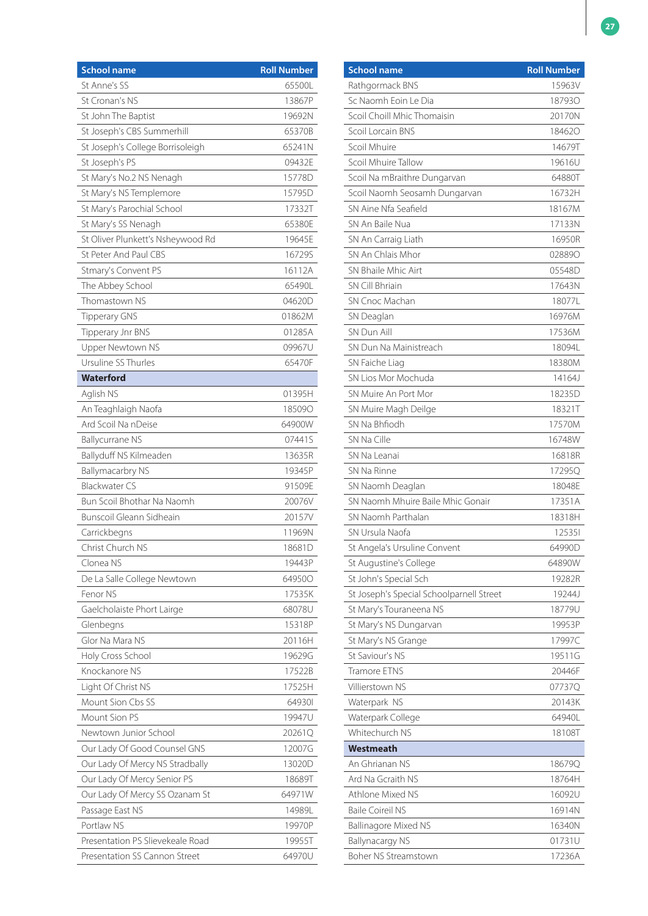| <b>School name</b>                | <b>Roll Number</b> |
|-----------------------------------|--------------------|
| St Anne's SS                      | 65500L             |
| St Cronan's NS                    | 13867P             |
| St John The Baptist               | 19692N             |
| St Joseph's CBS Summerhill        | 65370B             |
| St Joseph's College Borrisoleigh  | 65241N             |
| St Joseph's PS                    | 09432E             |
| St Mary's No.2 NS Nenagh          | 15778D             |
| St Mary's NS Templemore           | 15795D             |
| St Mary's Parochial School        | 17332T             |
| St Mary's SS Nenagh               | 65380E             |
| St Oliver Plunkett's Nsheywood Rd | 19645E             |
| St Peter And Paul CBS             | 16729S             |
| Stmary's Convent PS               | 16112A             |
| The Abbey School                  | 65490L             |
| Thomastown NS                     | 04620D             |
| <b>Tipperary GNS</b>              | 01862M             |
| Tipperary Jnr BNS                 | 01285A             |
| Upper Newtown NS                  | 09967U             |
| Ursuline SS Thurles               | 65470F             |
| <b>Waterford</b>                  |                    |
| Aglish NS                         | 01395H             |
| An Teaghlaigh Naofa               | 185090             |
| Ard Scoil Na nDeise               | 64900W             |
| <b>Ballycurrane NS</b>            | 07441S             |
| Ballyduff NS Kilmeaden            | 13635R             |
| <b>Ballymacarbry NS</b>           | 19345P             |
| <b>Blackwater CS</b>              | 91509E             |
| Bun Scoil Bhothar Na Naomh        | 20076V             |
| Bunscoil Gleann Sidheain          | 20157V             |
| Carrickbegns                      | 11969N             |
| Christ Church NS                  | 18681D             |
| Clonea NS                         | 19443P             |
| De La Salle College Newtown       | 649500             |
| Fenor NS                          | 17535K             |
| Gaelcholaiste Phort Lairge        | 68078U             |
| Glenbegns                         | 15318P             |
| Glor Na Mara NS                   | 20116H             |
| Holy Cross School                 | 19629G             |
| Knockanore NS                     | 17522B             |
| Light Of Christ NS                | 17525H             |
| Mount Sion Cbs SS                 | 649301             |
| Mount Sion PS                     | 19947U             |
| Newtown Junior School             | 20261Q             |
| Our Lady Of Good Counsel GNS      | 12007G             |
| Our Lady Of Mercy NS Stradbally   | 13020D             |
| Our Lady Of Mercy Senior PS       | 18689T             |
| Our Lady Of Mercy SS Ozanam St    | 64971W             |
| Passage East NS                   | 14989L             |
| Portlaw NS                        | 19970P             |
| Presentation PS Slievekeale Road  | 19955T             |
| Presentation SS Cannon Street     | 64970U             |

| <b>School name</b>                       | <b>Roll Number</b> |
|------------------------------------------|--------------------|
| Rathgormack BNS                          | 15963V             |
| Sc Naomh Foin Le Dia                     | 187930             |
| Scoil Choill Mhic Thomaisin              | 20170N             |
| Scoil Lorcain BNS                        | 184620             |
| Scoil Mhuire                             | 14679T             |
| Scoil Mhuire Tallow                      | 19616U             |
| Scoil Na mBraithre Dungarvan             | 64880T             |
| Scoil Naomh Seosamh Dungarvan            | 16732H             |
| SN Aine Nfa Seafield                     | 18167M             |
| SN An Baile Nua                          | 17133N             |
| SN An Carraig Liath                      | 16950R             |
| SN An Chlais Mhor                        | 028890             |
| SN Bhaile Mhic Airt                      | 05548D             |
| SN Cill Bhriain                          | 17643N             |
| SN Cnoc Machan                           | 18077L             |
| SN Deaglan                               | 16976M             |
| SN Dun Aill                              | 17536M             |
| SN Dun Na Mainistreach                   | 18094L             |
| SN Faiche Liag                           | 18380M             |
| SN Lios Mor Mochuda                      | 14164J             |
| SN Muire An Port Mor                     | 18235D             |
| SN Muire Magh Deilge                     | 18321T             |
| SN Na Bhfiodh                            | 17570M             |
| SN Na Cille                              | 16748W             |
| SN Na Leanai                             | 16818R             |
| SN Na Rinne                              | 17295Q             |
| SN Naomh Deaglan                         | 18048E             |
| SN Naomh Mhuire Baile Mhic Gonair        | 17351A             |
| SN Naomh Parthalan                       | 18318H             |
| SN Ursula Naofa                          | 125351             |
| St Angela's Ursuline Convent             | 64990D             |
| St Augustine's College                   | 64890W             |
| St John's Special Sch                    | 19282R             |
| St Joseph's Special Schoolparnell Street | 19244J             |
| St Mary's Touraneena NS                  | 18779U             |
| St Mary's NS Dungarvan                   | 19953P             |
| St Mary's NS Grange                      | 17997C             |
| St Saviour's NS                          | 19511G             |
| Tramore ETNS                             | 20446F             |
| Villierstown NS                          | 07737Q             |
| Waterpark NS                             | 20143K             |
| Waterpark College                        | 64940L             |
| Whitechurch NS                           | 18108T             |
| Westmeath                                |                    |
| An Ghrianan NS                           | 18679Q             |
| Ard Na Gcraith NS                        | 18764H             |
| Athlone Mixed NS                         | 16092U             |
| <b>Baile Coireil NS</b>                  | 16914N             |
| <b>Ballinagore Mixed NS</b>              | 16340N             |
| <b>Ballynacargy NS</b>                   | 01731U             |
| Boher NS Streamstown                     | 17236A             |
|                                          |                    |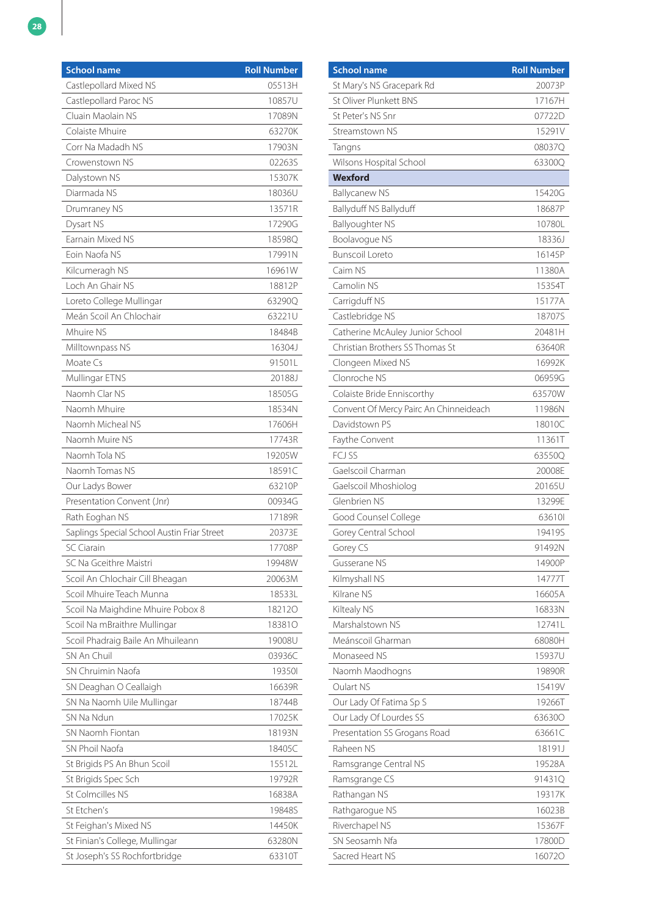| <b>School name</b>                          | <b>Roll Number</b> |
|---------------------------------------------|--------------------|
| Castlepollard Mixed NS                      | 05513H             |
| Castlepollard Paroc NS                      | 10857U             |
| Cluain Maolain NS                           | 17089N             |
| Colaiste Mhuire                             | 63270K             |
| Corr Na Madadh NS                           | 17903N             |
| Crowenstown NS                              | 02263S             |
| Dalystown NS                                | 15307K             |
| Diarmada NS                                 | 18036U             |
| Drumraney NS                                | 13571R             |
| Dysart NS                                   | 17290G             |
| Earnain Mixed NS                            | 18598Q             |
| Eoin Naofa NS                               | 17991N             |
| Kilcumeragh NS                              | 16961W             |
| Loch An Ghair NS                            | 18812P             |
| Loreto College Mullingar                    | 632900             |
| Meán Scoil An Chlochair                     | 63221U             |
| Mhuire NS                                   | 18484B             |
| Milltownpass NS                             | 16304J             |
| Moate Cs                                    | 91501L             |
| Mullingar ETNS                              | 20188J             |
| Naomh Clar NS                               | 18505G             |
| Naomh Mhuire                                | 18534N             |
| Naomh Micheal NS                            | 17606H             |
| Naomh Muire NS                              | 17743R             |
| Naomh Tola NS                               | 19205W             |
| Naomh Tomas NS                              | 18591C             |
| Our Ladys Bower                             | 63210P             |
| Presentation Convent (Jnr)                  | 00934G             |
| Rath Eoghan NS                              | 17189R             |
| Saplings Special School Austin Friar Street | 20373E             |
| <b>SC Ciarain</b>                           | 17708P             |
| SC Na Gceithre Maistri                      | 19948W             |
| Scoil An Chlochair Cill Bheagan             | 20063M             |
| Scoil Mhuire Teach Munna                    | 18533L             |
| Scoil Na Maighdine Mhuire Pobox 8           | 182120             |
| Scoil Na mBraithre Mullingar                | 183810             |
| Scoil Phadraig Baile An Mhuileann           | 19008U             |
| SN An Chuil                                 | 03936C             |
| SN Chruimin Naofa                           | 193501             |
| SN Deaghan O Ceallaigh                      | 16639R             |
| SN Na Naomh Uile Mullingar                  | 18744B             |
| SN Na Ndun                                  | 17025K             |
| SN Naomh Fiontan                            | 18193N             |
| SN Phoil Naofa                              | 18405C             |
| St Brigids PS An Bhun Scoil                 | 15512L             |
| St Brigids Spec Sch                         | 19792R             |
| St Colmcilles NS                            | 16838A             |
| St Etchen's                                 | 19848S             |
| St Feighan's Mixed NS                       | 14450K             |
| St Finian's College, Mullingar              | 63280N             |
| St Joseph's SS Rochfortbridge               | 63310T             |

| <b>School name</b>                     | <b>Roll Number</b> |
|----------------------------------------|--------------------|
| St Mary's NS Gracepark Rd              | 20073P             |
| St Oliver Plunkett BNS                 | 17167H             |
| St Peter's NS Snr                      | 07722D             |
| Streamstown NS                         | 15291V             |
| Tangns                                 | 08037Q             |
| Wilsons Hospital School                | 63300Q             |
| <b>Wexford</b>                         |                    |
| <b>Ballycanew NS</b>                   | 15420G             |
| Ballyduff NS Ballyduff                 | 18687P             |
| Ballyoughter NS                        | 10780L             |
| Boolavogue NS                          | 18336J             |
| <b>Bunscoil Loreto</b>                 | 16145P             |
| Caim NS                                | 11380A             |
| Camolin NS                             | 15354T             |
| Carrigduff NS                          | 15177A             |
| Castlebridge NS                        | 18707S             |
| Catherine McAuley Junior School        | 20481H             |
| Christian Brothers SS Thomas St        | 63640R             |
| Clongeen Mixed NS                      | 16992K             |
| Clonroche NS                           | 06959G             |
| Colaiste Bride Enniscorthy             | 63570W             |
| Convent Of Mercy Pairc An Chinneideach | 11986N             |
| Davidstown PS                          | 18010C             |
| Faythe Convent                         | 11361T             |
| FCJ SS                                 | 63550Q             |
| Gaelscoil Charman                      | 20008E             |
| Gaelscoil Mhoshiolog                   | 20165U             |
| Glenbrien NS                           | 13299E             |
| Good Counsel College                   | 636101             |
| Gorey Central School                   | 19419S             |
| Gorey CS                               | 91492N             |
| Gusserane NS                           | 14900P             |
| Kilmyshall NS                          | 14777T             |
| Kilrane NS                             | 16605A             |
| Kiltealy NS                            | 16833N             |
| Marshalstown NS                        | 12741L             |
| Meánscoil Gharman                      | 68080H             |
| Monaseed NS                            | 15937U             |
| Naomh Maodhogns                        | 19890R             |
| <b>Oulart NS</b>                       | 15419V             |
| Our Lady Of Fatima Sp S                | 19266T             |
| Our Lady Of Lourdes SS                 | 636300             |
| Presentation SS Grogans Road           | 63661C             |
| Raheen NS                              | 18191J             |
| Ramsgrange Central NS                  | 19528A             |
| Ramsgrange CS                          | 91431Q             |
| Rathangan NS                           | 19317K             |
| Rathgarogue NS                         | 16023B             |
| Riverchapel NS                         | 15367F             |
| SN Seosamh Nfa                         | 17800D             |
| Sacred Heart NS                        | 160720             |
|                                        |                    |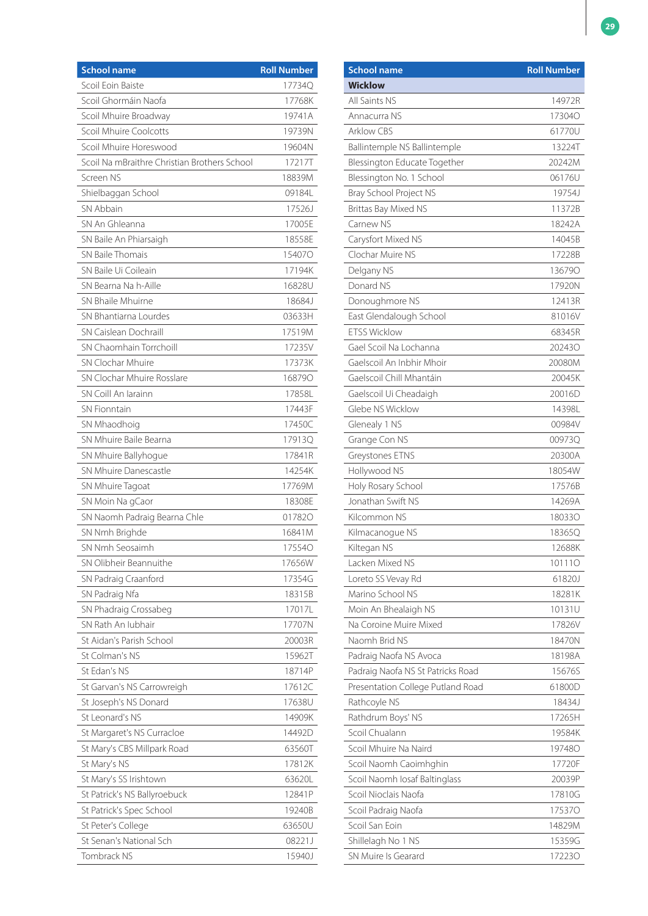| <b>School name</b>                           | <b>Roll Number</b> |
|----------------------------------------------|--------------------|
| Scoil Eoin Baiste                            | 17734Q             |
| Scoil Ghormáin Naofa                         | 17768K             |
| Scoil Mhuire Broadway                        | 19741A             |
| Scoil Mhuire Coolcotts                       | 19739N             |
| Scoil Mhuire Horeswood                       | 19604N             |
| Scoil Na mBraithre Christian Brothers School | 17217T             |
| Screen NS                                    | 18839M             |
| Shielbaggan School                           | 091841             |
| SN Abbain                                    | 17526J             |
| SN An Ghleanna                               | 17005E             |
| SN Baile An Phiarsaigh                       | 18558E             |
| SN Baile Thomais                             | 154070             |
| SN Baile Ui Coileain                         | 17194K             |
| SN Bearna Na h-Aille                         | 16828U             |
| SN Bhaile Mhuirne                            | 18684J             |
| SN Bhantiarna Lourdes                        | 03633H             |
| SN Caislean Dochraill                        | 17519M             |
| SN Chaomhain Torrchoill                      | 17235V             |
| SN Clochar Mhuire                            | 17373K             |
| SN Clochar Mhuire Rosslare                   | 168790             |
| SN Coill An Iarainn                          | 17858L             |
| <b>SN Fionntain</b>                          | 17443F             |
| SN Mhaodhoig                                 | 17450C             |
| SN Mhuire Baile Bearna                       | 17913Q             |
| SN Mhuire Ballyhogue                         | 17841R             |
| SN Mhuire Danescastle                        | 14254K             |
| SN Mhuire Tagoat                             | 17769M             |
| SN Moin Na gCaor                             | 18308E             |
| SN Naomh Padraig Bearna Chle                 | 017820             |
| SN Nmh Brighde                               | 16841M             |
| SN Nmh Seosaimh                              | 175540             |
| SN Olibheir Beannuithe                       | 17656W             |
| SN Padraig Craanford                         | 17354G             |
| SN Padraig Nfa                               | 18315B             |
| SN Phadraig Crossabeg                        | 17017L             |
| SN Rath An Iubhair                           | 17707N             |
| St Aidan's Parish School                     | 20003R             |
| St Colman's NS                               | 15962T             |
| St Edan's NS                                 | 18714P             |
| St Garvan's NS Carrowreigh                   | 17612C             |
| St Joseph's NS Donard                        | 17638U             |
| St Leonard's NS                              | 14909K             |
| St Margaret's NS Curracloe                   | 14492D             |
| St Mary's CBS Millpark Road                  | 63560T             |
| St Mary's NS                                 | 17812K             |
| St Mary's SS Irishtown                       | 63620L             |
| St Patrick's NS Ballyroebuck                 | 12841P             |
| St Patrick's Spec School                     | 19240B             |
| St Peter's College                           | 63650U             |
| St Senan's National Sch                      | 08221J             |
| Tombrack NS                                  | 15940J             |

| <b>School name</b>                | <b>Roll Number</b> |
|-----------------------------------|--------------------|
| <b>Wicklow</b>                    |                    |
| All Saints NS                     | 14972R             |
| Annacurra NS                      | <b>173040</b>      |
| <b>Arklow CBS</b>                 | 61770U             |
| Ballintemple NS Ballintemple      | 13224T             |
| Blessington Educate Together      | 20242M             |
| Blessington No. 1 School          | 06176U             |
| Bray School Project NS            | 19754J             |
| Brittas Bay Mixed NS              | 11372B             |
| Carnew NS                         | 18242A             |
| Carysfort Mixed NS                | 14045B             |
| Clochar Muire NS                  | 17228B             |
| Delgany NS                        | 136790             |
| Donard NS                         | 17920N             |
| Donoughmore NS                    | 12413R             |
| East Glendalough School           | 81016V             |
| <b>ETSS Wicklow</b>               | 68345R             |
| Gael Scoil Na Lochanna            | 202430             |
| Gaelscoil An Inbhir Mhoir         | 20080M             |
| Gaelscoil Chill Mhantáin          | 20045K             |
| Gaelscoil Ui Cheadaigh            | 20016D             |
| Glebe NS Wicklow                  | 14398L             |
| Glenealy 1 NS                     | 00984V             |
| Grange Con NS                     | 00973Q             |
| Greystones ETNS                   | 20300A             |
| Hollywood NS                      | 18054W             |
| Holy Rosary School                | 17576B             |
| Jonathan Swift NS                 | 14269A             |
| Kilcommon NS                      | 180330             |
| Kilmacanogue NS                   | 18365Q             |
| Kiltegan NS                       | 12688K             |
| Lacken Mixed NS                   | 101110             |
| Loreto SS Vevay Rd                | 61820J             |
| Marino School NS                  | 18281K             |
| Moin An Bhealaigh NS              | 10131U             |
| Na Coroine Muire Mixed            | 17826V             |
| Naomh Brid NS                     | 18470N             |
| Padraig Naofa NS Avoca            | 18198A             |
| Padraig Naofa NS St Patricks Road | 15676S             |
| Presentation College Putland Road | 61800D             |
| Rathcoyle NS                      | 18434J             |
| Rathdrum Boys' NS                 | 17265H             |
| Scoil Chualann                    | 19584K             |
| Scoil Mhuire Na Naird             | 19748O             |
| Scoil Naomh Caoimhghin            | 17720F             |
| Scoil Naomh Iosaf Baltinglass     | 20039P             |
| Scoil Nioclais Naofa              | 17810G             |
| Scoil Padraig Naofa               | 175370             |
| Scoil San Eoin                    | 14829M             |
| Shillelagh No 1 NS                | 15359G             |
| SN Muire Is Gearard               |                    |
|                                   | 172230             |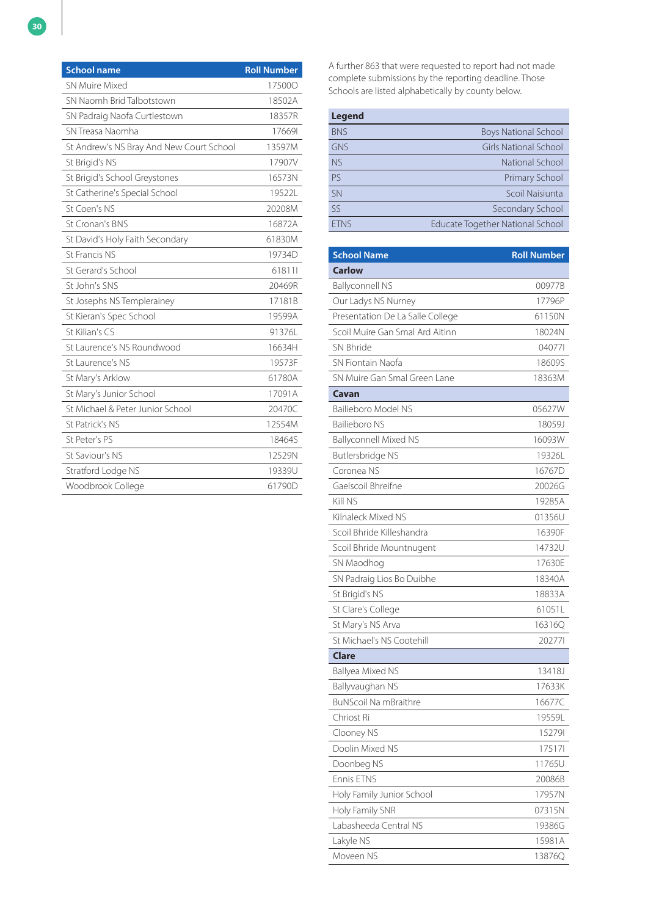| <b>School name</b>                       | <b>Roll Number</b> |
|------------------------------------------|--------------------|
| <b>SN Muire Mixed</b>                    | 175000             |
| SN Naomh Brid Talbotstown                | 18502A             |
| SN Padraig Naofa Curtlestown             | 18357R             |
| SN Treasa Naomha                         | 176691             |
| St Andrew's NS Bray And New Court School | 13597M             |
| St Brigid's NS                           | 17907V             |
| St Brigid's School Greystones            | 16573N             |
| St Catherine's Special School            | 19522L             |
| St Coen's NS                             | 20208M             |
| St Cronan's BNS                          | 16872A             |
| St David's Holy Faith Secondary          | 61830M             |
| St Francis NS                            | 19734D             |
| St Gerard's School                       | 618111             |
| St John's SNS                            | 20469R             |
| St Josephs NS Templerainey               | 17181B             |
| St Kieran's Spec School                  | 19599A             |
| St Kilian's CS                           | 91376L             |
| St Laurence's NS Roundwood               | 16634H             |
| St Laurence's NS                         | 19573F             |
| St Mary's Arklow                         | 61780A             |
| St Mary's Junior School                  | 17091A             |
| St Michael & Peter Junior School         | 20470C             |
| St Patrick's NS                          | 12554M             |
| St Peter's PS                            | 18464S             |
| St Saviour's NS                          | 12529N             |
| Stratford Lodge NS                       | 19339U             |
| Woodbrook College                        | 61790D             |

A further 863 that were requested to report had not made complete submissions by the reporting deadline. Those Schools are listed alphabetically by county below.

| <b>Legend</b> |                                         |
|---------------|-----------------------------------------|
| <b>BNS</b>    | <b>Boys National School</b>             |
| <b>GNS</b>    | <b>Girls National School</b>            |
| <b>NS</b>     | National School                         |
| <b>PS</b>     | Primary School                          |
| <b>SN</b>     | Scoil Naisiunta                         |
| SS            | Secondary School                        |
| <b>FTNS</b>   | <b>Educate Together National School</b> |

| <b>School Name</b>               | <b>Roll Number</b> |
|----------------------------------|--------------------|
| <b>Carlow</b>                    |                    |
| <b>Ballyconnell NS</b>           | 00977B             |
| Our Ladys NS Nurney              | 17796P             |
| Presentation De La Salle College | 61150N             |
| Scoil Muire Gan Smal Ard Aitinn  | 18024N             |
| SN Bhride                        | 040771             |
| SN Fiontain Naofa                | 18609S             |
| SN Muire Gan Smal Green Lane     | 18363M             |
| Cavan                            |                    |
| Bailieboro Model NS              | 05627W             |
| <b>Bailieboro NS</b>             | 18059J             |
| <b>Ballyconnell Mixed NS</b>     | 16093W             |
| Butlersbridge NS                 | 19326L             |
| Coronea NS                       | 16767D             |
| Gaelscoil Bhreifne               | 20026G             |
| Kill NS                          | 19285A             |
| Kilnaleck Mixed NS               | 01356U             |
| Scoil Bhride Killeshandra        | 16390F             |
| Scoil Bhride Mountnugent         | 14732U             |
| SN Maodhog                       | 17630E             |
| SN Padraig Lios Bo Duibhe        | 18340A             |
| St Brigid's NS                   | 18833A             |
| St Clare's College               | 61051L             |
| St Mary's NS Arva                | 16316Q             |
| St Michael's NS Cootehill        | 202771             |
| Clare                            |                    |
| Ballyea Mixed NS                 | 13418J             |
| Ballyvaughan NS                  | 17633K             |
| <b>BuNScoil Na mBraithre</b>     | 16677C             |
| Chriost Ri                       | 19559L             |
| Clooney NS                       | 152791             |
| Doolin Mixed NS                  | 175171             |
| Doonbeg NS                       | 11765U             |
| <b>Fnnis FTNS</b>                | 20086B             |
| Holy Family Junior School        | 17957N             |
| Holy Family SNR                  | 07315N             |
| Labasheeda Central NS            | 19386G             |
| Lakyle NS                        | 15981A             |
| Moveen NS                        | 13876Q             |
|                                  |                    |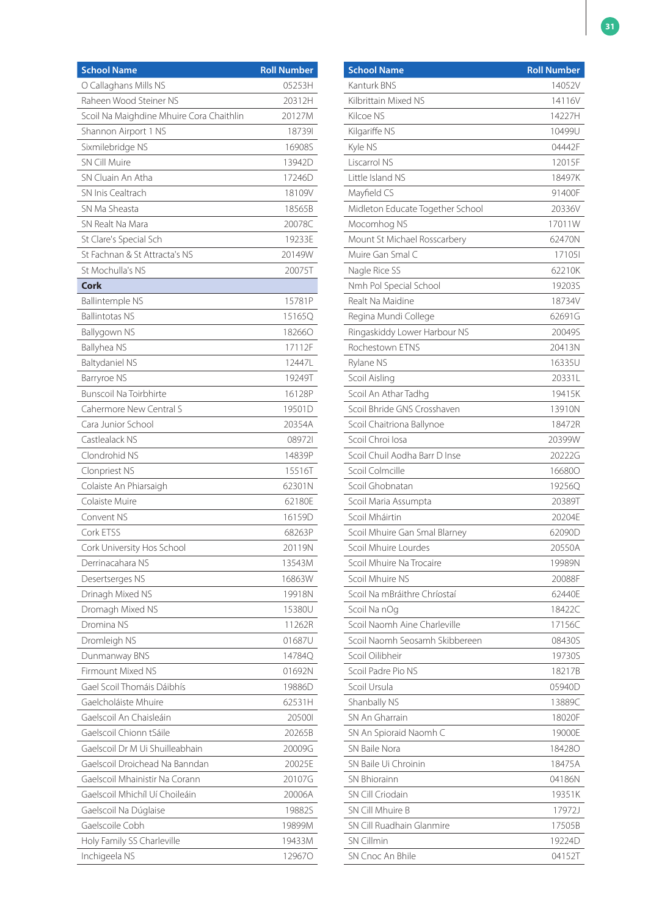| <b>School Name</b>                       | <b>Roll Number</b> |
|------------------------------------------|--------------------|
| O Callaghans Mills NS                    | 05253H             |
| Raheen Wood Steiner NS                   | 20312H             |
| Scoil Na Maighdine Mhuire Cora Chaithlin | 20127M             |
| Shannon Airport 1 NS                     | 187391             |
| Sixmilebridge NS                         | 16908S             |
| <b>SN Cill Muire</b>                     | 13942D             |
| SN Cluain An Atha                        | 17246D             |
| SN Inis Cealtrach                        | 18109V             |
| SN Ma Sheasta                            | 18565B             |
| SN Realt Na Mara                         | 20078C             |
| St Clare's Special Sch                   | 19233E             |
| St Fachnan & St Attracta's NS            | 20149W             |
| St Mochulla's NS                         | 20075T             |
| <b>Cork</b>                              |                    |
| <b>Ballintemple NS</b>                   | 15781P             |
| <b>Ballintotas NS</b>                    | 15165Q             |
| Ballygown NS                             | 182660             |
| Ballyhea NS                              | 17112F             |
| Baltydaniel NS                           | 12447L             |
| Barryroe NS                              | 19249T             |
| <b>Bunscoil Na Toirbhirte</b>            | 16128P             |
| Cahermore New Central S                  | 19501D             |
| Cara Junior School                       | 20354A             |
| Castlealack NS                           | 089721             |
| Clondrohid NS                            | 14839P             |
| Clonpriest NS                            | 15516T             |
| Colaiste An Phiarsaigh                   | 62301N             |
| Colaiste Muire                           | 62180E             |
| Convent NS                               | 16159D             |
| Cork ETSS                                | 68263P             |
| Cork University Hos School               | 20119N             |
| Derrinacahara NS                         | 13543M             |
| Desertserges NS                          | 16863W             |
| Drinagh Mixed NS                         | 19918N             |
| Dromagh Mixed NS                         | 15380U             |
| Dromina NS                               | 11262R             |
| Dromleigh NS                             | 01687U             |
| Dunmanway BNS                            | 14784Q             |
| Firmount Mixed NS                        | 01692N             |
| Gael Scoil Thomáis Dáibhís               | 19886D             |
| Gaelcholáiste Mhuire                     | 62531H             |
| Gaelscoil An Chaisleáin                  | 205001             |
| Gaelscoil Chionn tSáile                  | 20265B             |
| Gaelscoil Dr M Ui Shuilleabhain          | 20009G             |
| Gaelscoil Droichead Na Banndan           | 20025E             |
| Gaelscoil Mhainistir Na Corann           | 20107G             |
| Gaelscoil Mhichíl Uí Choileáin           | 20006A             |
| Gaelscoil Na Dúglaise                    | 19882S             |
| Gaelscoile Cobh                          | 19899M             |
| Holy Family SS Charleville               | 19433M             |
| Inchigeela NS                            | 129670             |

| <b>School Name</b>               | <b>Roll Number</b> |
|----------------------------------|--------------------|
| Kanturk BNS                      | 14052V             |
| Kilbrittain Mixed NS             | 14116V             |
| Kilcoe NS                        | 14227H             |
| Kilgariffe NS                    | 10499U             |
| Kyle NS                          | 04442F             |
| Liscarrol NS                     | 12015F             |
| Little Island NS                 | 18497K             |
| Mayfield CS                      | 91400F             |
| Midleton Educate Together School | 20336V             |
| Mocomhog NS                      | 17011W             |
| Mount St Michael Rosscarbery     | 62470N             |
| Muire Gan Smal C                 | 171051             |
| Nagle Rice SS                    | 62210K             |
| Nmh Pol Special School           | 19203S             |
| Realt Na Maidine                 | 18734V             |
| Regina Mundi College             | 62691G             |
| Ringaskiddy Lower Harbour NS     | 20049S             |
| <b>Rochestown FTNS</b>           | 20413N             |
| Rylane NS                        | 16335U             |
| Scoil Aisling                    | 20331L             |
| Scoil An Athar Tadhg             | 19415K             |
| Scoil Bhride GNS Crosshaven      | 13910N             |
| Scoil Chaitriona Ballynoe        | 18472R             |
| Scoil Chroi Iosa                 | 20399W             |
| Scoil Chuil Aodha Barr D Inse    | 20222G             |
| Scoil Colmcille                  | 166800             |
| Scoil Ghobnatan                  | 19256Q             |
| Scoil Maria Assumpta             | 20389T             |
| Scoil Mháirtin                   | 20204E             |
| Scoil Mhuire Gan Smal Blarney    | 62090D             |
| Scoil Mhuire Lourdes             | 20550A             |
| Scoil Mhuire Na Trocaire         | 19989N             |
| Scoil Mhuire NS                  | 20088F             |
| Scoil Na mBráithre Chríostaí     | 62440E             |
| Scoil Na nOg                     | 18422C             |
| Scoil Naomh Aine Charleville     | 17156C             |
| Scoil Naomh Seosamh Skibbereen   | 08430S             |
| Scoil Oilibheir                  | 19730S             |
| Scoil Padre Pio NS               | 18217B             |
| Scoil Ursula                     | 05940D             |
| Shanbally NS                     | 13889C             |
| SN An Gharrain                   | 18020F             |
| SN An Spioraid Naomh C           | 19000E             |
| SN Baile Nora                    | 184280             |
| SN Baile Ui Chroinin             | 18475A             |
| <b>SN Bhiorainn</b>              | 04186N             |
| SN Cill Criodain                 | 19351K             |
| SN Cill Mhuire B                 | 17972J             |
| SN Cill Ruadhain Glanmire        | 17505B             |
| <b>SN Cillmin</b>                | 19224D             |
| SN Cnoc An Bhile                 | 04152T             |
|                                  |                    |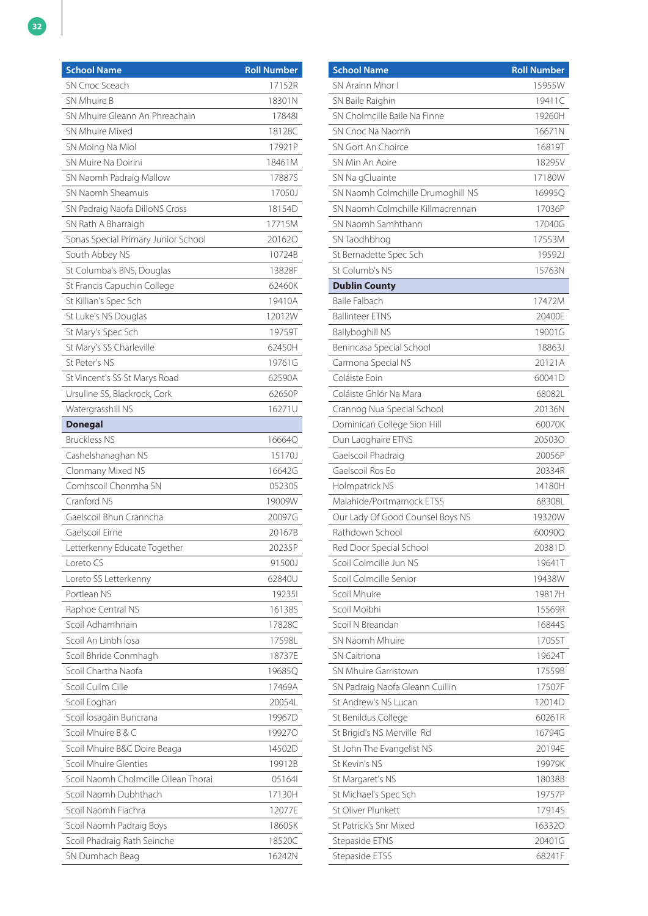| <b>School Name</b>                   | <b>Roll Number</b> |
|--------------------------------------|--------------------|
| SN Cnoc Sceach                       | 17152R             |
| SN Mhuire B                          | 18301N             |
| SN Mhuire Gleann An Phreachain       | 178481             |
| SN Mhuire Mixed                      | 18128C             |
| SN Moing Na Miol                     | 17921P             |
| SN Muire Na Doirini                  | 18461M             |
| SN Naomh Padraig Mallow              | 17887S             |
| SN Naomh Sheamuis                    | 17050J             |
| SN Padraig Naofa DilloNS Cross       | 18154D             |
| SN Rath A Bharraigh                  | 17715M             |
| Sonas Special Primary Junior School  | 201620             |
| South Abbey NS                       | 10724B             |
| St Columba's BNS, Douglas            | 13828F             |
| St Francis Capuchin College          | 62460K             |
| St Killian's Spec Sch                | 19410A             |
| St Luke's NS Douglas                 | 12012W             |
| St Mary's Spec Sch                   | 19759T             |
| St Mary's SS Charleville             | 62450H             |
| St Peter's NS                        | 19761G             |
| St Vincent's SS St Marys Road        | 62590A             |
| Ursuline SS, Blackrock, Cork         | 62650P             |
| Watergrasshill NS                    | 16271U             |
| <b>Donegal</b>                       |                    |
| <b>Bruckless NS</b>                  | 16664Q             |
| Cashelshanaghan NS                   | 15170J             |
| Clonmany Mixed NS                    | 16642G             |
| Comhscoil Chonmha SN                 | 05230S             |
| Cranford NS                          | 19009W             |
| Gaelscoil Bhun Cranncha              | 20097G             |
| Gaelscoil Eirne                      | 20167B             |
| Letterkenny Educate Together         | 20235P             |
| Loreto CS                            | 91500J             |
| Loreto SS Letterkenny                | 62840U             |
| Portlean NS                          | 192351             |
| Raphoe Central NS                    | 16138S             |
| Scoil Adhamhnain                     | 17828C             |
| Scoil An Linbh Íosa                  | 17598L             |
| Scoil Bhride Conmhagh                | 18737E             |
| Scoil Chartha Naofa                  | 19685Q             |
| Scoil Cuilm Cille                    | 17469A             |
| Scoil Eoghan                         | 20054L             |
| Scoil Íosagáin Buncrana              | 19967D             |
| Scoil Mhuire B & C                   | 199270             |
| Scoil Mhuire B&C Doire Beaga         | 14502D             |
| Scoil Mhuire Glenties                | 19912B             |
| Scoil Naomh Cholmcille Oilean Thorai | 051641             |
| Scoil Naomh Dubhthach                | 17130H             |
| Scoil Naomh Fiachra                  | 12077E             |
| Scoil Naomh Padraig Boys             | 18605K             |
| Scoil Phadraig Rath Seinche          | 18520C             |
| SN Dumhach Beag                      | 16242N             |

| <b>School Name</b>                | <b>Roll Number</b> |
|-----------------------------------|--------------------|
| SN Arainn Mhor I                  | 15955W             |
| SN Baile Raighin                  | 19411C             |
| SN Cholmcille Baile Na Finne      | 19260H             |
| SN Cnoc Na Naomh                  | 16671N             |
| SN Gort An Choirce                | 16819T             |
| SN Min An Aoire                   | 18295V             |
| SN Na gCluainte                   | 17180W             |
| SN Naomh Colmchille Drumoghill NS | 16995Q             |
| SN Naomh Colmchille Killmacrennan | 17036P             |
| SN Naomh Samhthann                | 17040G             |
| SN Taodhbhog                      | 17553M             |
| St Bernadette Spec Sch            | 19592J             |
| St Columb's NS                    | 15763N             |
| <b>Dublin County</b>              |                    |
| <b>Baile Falbach</b>              | 17472M             |
| <b>Ballinteer ETNS</b>            | 20400E             |
| <b>Ballyboghill NS</b>            | 19001G             |
| Benincasa Special School          | 18863J             |
| Carmona Special NS                | 20121A             |
| Coláiste Foin                     | 60041D             |
| Coláiste Ghlór Na Mara            | 68082L             |
| Crannog Nua Special School        | 20136N             |
| Dominican College Sion Hill       | 60070K             |
| Dun Laoghaire ETNS                | 205030             |
| Gaelscoil Phadraig                | 20056P             |
| Gaelscoil Ros Eo                  | 20334R             |
| Holmpatrick NS                    | 14180H             |
| Malahide/Portmarnock ETSS         | 68308L             |
| Our Lady Of Good Counsel Boys NS  | 19320W             |
| Rathdown School                   | 60090Q             |
| Red Door Special School           | 20381D             |
| Scoil Colmcille Jun NS            | 19641T             |
| Scoil Colmcille Senior            | 19438W             |
| Scoil Mhuire                      | 19817H             |
| Scoil Moibhi                      | 15569R             |
| Scoil N Breandan                  | 16844S             |
| SN Naomh Mhuire                   | 17055T             |
| <b>SN Caitriona</b>               | 19624T             |
| SN Mhuire Garristown              | 17559B             |
| SN Padraig Naofa Gleann Cuillin   | 17507F             |
| St Andrew's NS Lucan              | 12014D             |
| St Benildus College               | 60261R             |
| St Brigid's NS Merville Rd        | 16794G             |
| St John The Evangelist NS         | 20194E             |
| St Kevin's NS                     | 19979K             |
|                                   |                    |
| St Margaret's NS                  | 18038B             |
| St Michael's Spec Sch             | 19757P             |
| St Oliver Plunkett                | 17914S             |
| St Patrick's Snr Mixed            | 163320             |
| Stepaside ETNS                    | 20401G             |
| Stepaside ETSS                    | 68241F             |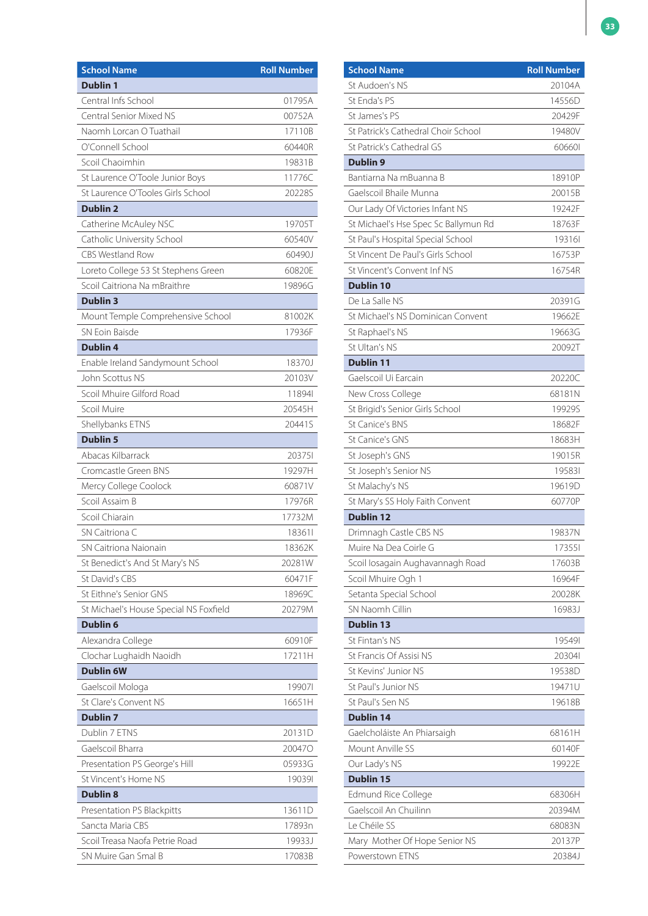| <b>School Name</b>                     | <b>Roll Number</b> |
|----------------------------------------|--------------------|
| <b>Dublin 1</b>                        |                    |
| Central Infs School                    | 01795A             |
| Central Senior Mixed NS                | 00752A             |
| Naomh Lorcan O Tuathail                | 17110B             |
| O'Connell School                       | 60440R             |
| Scoil Chaoimhin                        | 19831B             |
| St Laurence O'Toole Junior Boys        | 11776C             |
| St Laurence O'Tooles Girls School      | 20228S             |
| <b>Dublin 2</b>                        |                    |
| Catherine McAuley NSC                  | 19705T             |
| Catholic University School             | 60540V             |
| <b>CBS Westland Row</b>                | 60490J             |
| Loreto College 53 St Stephens Green    | 60820E             |
| Scoil Caitriona Na mBraithre           | 19896G             |
| <b>Dublin 3</b>                        |                    |
| Mount Temple Comprehensive School      | 81002K             |
| SN Eoin Baisde                         | 17936F             |
| <b>Dublin 4</b>                        |                    |
| Enable Ireland Sandymount School       | 18370J             |
| John Scottus NS                        | 20103V             |
| Scoil Mhuire Gilford Road              | 118941             |
| Scoil Muire                            | 20545H             |
| Shellybanks ETNS                       | 20441S             |
| <b>Dublin 5</b>                        |                    |
| Abacas Kilbarrack                      | 203751             |
| Cromcastle Green BNS                   | 19297H             |
| Mercy College Coolock                  | 60871V             |
| Scoil Assaim B                         | 17976R             |
| Scoil Chiarain                         | 17732M             |
| SN Caitriona C                         | 183611             |
| <b>SN Caitriona Naionain</b>           | 18362K             |
| St Benedict's And St Mary's NS         | 20281W             |
| St David's CBS                         | 60471F             |
| St Fithne's Senior GNS                 | 18969C             |
| St Michael's House Special NS Foxfield | 20279M             |
| <b>Dublin 6</b>                        |                    |
| Alexandra College                      | 60910F             |
| Clochar Lughaidh Naoidh                | 17211H             |
| <b>Dublin 6W</b>                       |                    |
| Gaelscoil Mologa                       | 199071             |
| St Clare's Convent NS                  | 16651H             |
| <b>Dublin 7</b>                        |                    |
| Dublin 7 ETNS                          | 20131D             |
| Gaelscoil Bharra                       | 200470             |
| Presentation PS George's Hill          | 05933G             |
| St Vincent's Home NS                   | 190391             |
| <b>Dublin 8</b>                        |                    |
| Presentation PS Blackpitts             | 13611D             |
| Sancta Maria CBS                       | 17893n             |
| Scoil Treasa Naofa Petrie Road         | 19933J             |
| SN Muire Gan Smal B                    | 17083B             |

| <b>School Name</b>                   | <b>Roll Number</b> |
|--------------------------------------|--------------------|
| St Audoen's NS                       | 20104A             |
| St Enda's PS                         | 14556D             |
| St James's PS                        | 20429F             |
| St Patrick's Cathedral Choir School  | 19480V             |
| St Patrick's Cathedral GS            | 606601             |
| <b>Dublin 9</b>                      |                    |
| Bantiarna Na mBuanna B               | 18910P             |
| Gaelscoil Bhaile Munna               | 20015B             |
| Our Lady Of Victories Infant NS      | 19242F             |
| St Michael's Hse Spec Sc Ballymun Rd | 18763F             |
| St Paul's Hospital Special School    | 193161             |
| St Vincent De Paul's Girls School    | 16753P             |
| St Vincent's Convent Inf NS          | 16754R             |
| <b>Dublin 10</b>                     |                    |
| De La Salle NS                       | 20391G             |
| St Michael's NS Dominican Convent    | 19662E             |
| St Raphael's NS                      | 19663G             |
| St Ultan's NS                        | 20092T             |
| <b>Dublin 11</b>                     |                    |
| Gaelscoil Ui Earcain                 | 20220C             |
| New Cross College                    | 68181N             |
| St Brigid's Senior Girls School      | 19929S             |
| <b>St Canice's BNS</b>               | 18682F             |
| St Canice's GNS                      | 18683H             |
| St Joseph's GNS                      | 19015R             |
| St Joseph's Senior NS                | 195831             |
| St Malachy's NS                      | 19619D             |
| St Mary's SS Holy Faith Convent      | 60770P             |
| <b>Dublin 12</b>                     |                    |
| Drimnagh Castle CBS NS               | 19837N             |
| Muire Na Dea Coirle G                | 173551             |
| Scoil Iosagain Aughavannagh Road     | 17603B             |
| Scoil Mhuire Ogh 1                   | 16964F             |
| Setanta Special School               | 20028K             |
| SN Naomh Cillin                      | 16983J             |
| <b>Dublin 13</b>                     |                    |
| St Fintan's NS                       | 195491             |
| St Francis Of Assisi NS              | 203041             |
| St Kevins' Junior NS                 | 19538D             |
| St Paul's Junior NS                  | 19471U             |
| St Paul's Sen NS                     | 19618B             |
| <b>Dublin 14</b>                     |                    |
| Gaelcholáiste An Phiarsaigh          | 68161H             |
| Mount Anville SS                     | 60140F             |
| Our Lady's NS                        | 19922E             |
| <b>Dublin 15</b>                     |                    |
| <b>Edmund Rice College</b>           | 68306H             |
| Gaelscoil An Chuilinn                | 20394M             |
| Le Chéile SS                         | 68083N             |
| Mary Mother Of Hope Senior NS        | 20137P             |
|                                      |                    |
| Powerstown ETNS                      | 20384J             |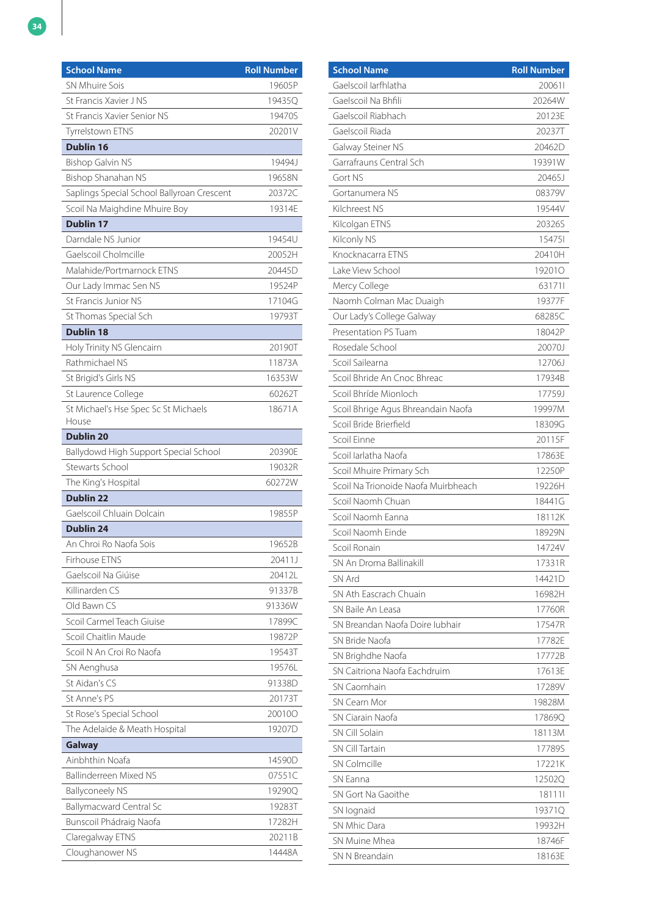| <b>School Name</b>                         | <b>Roll Number</b> |
|--------------------------------------------|--------------------|
| <b>SN Mhuire Sois</b>                      | 19605P             |
| St Francis Xavier J NS                     | 19435Q             |
| St Francis Xavier Senior NS                | 19470S             |
| <b>Tyrrelstown ETNS</b>                    | 20201V             |
| <b>Dublin 16</b>                           |                    |
| <b>Bishop Galvin NS</b>                    | 19494J             |
| Bishop Shanahan NS                         | 19658N             |
| Saplings Special School Ballyroan Crescent | 20372C             |
| Scoil Na Maighdine Mhuire Boy              | 19314E             |
| <b>Dublin 17</b>                           |                    |
| Darndale NS Junior                         | 19454U             |
| Gaelscoil Cholmcille                       | 20052H             |
| Malahide/Portmarnock ETNS                  | 20445D             |
| Our Lady Immac Sen NS                      | 19524P             |
| St Francis Junior NS                       | 17104G             |
| St Thomas Special Sch                      | 19793T             |
| <b>Dublin 18</b>                           |                    |
| Holy Trinity NS Glencairn                  | 20190T             |
| Rathmichael NS                             | 11873A             |
| St Brigid's Girls NS                       | 16353W             |
| St Laurence College                        | 60262T             |
| St Michael's Hse Spec Sc St Michaels       | 18671A             |
| House                                      |                    |
| <b>Dublin 20</b>                           |                    |
| Ballydowd High Support Special School      | 20390E             |
| Stewarts School                            | 19032R             |
| The King's Hospital                        | 60272W             |
| <b>Dublin 22</b>                           |                    |
| Gaelscoil Chluain Dolcain                  | 19855P             |
| <b>Dublin 24</b>                           |                    |
| An Chroi Ro Naofa Sois                     | 19652B             |
| Firhouse ETNS                              | 20411J             |
| Gaelscoil Na Giúise                        | 20412L             |
| Killinarden CS                             | 91337B             |
| Old Bawn CS                                | 91336W             |
| Scoil Carmel Teach Giuise                  | 17899C             |
| Scoil Chaitlin Maude                       | 19872P             |
| Scoil N An Croi Ro Naofa                   | 19543T             |
| SN Aenghusa                                | 19576L             |
| St Aidan's CS                              | 91338D             |
| St Anne's PS                               | 20173T             |
| St Rose's Special School                   | 200100             |
| The Adelaide & Meath Hospital              | 19207D             |
| <b>Galway</b>                              |                    |
| Ainbhthin Noafa                            | 14590D             |
| <b>Ballinderreen Mixed NS</b>              | 07551C             |
| <b>Ballyconeely NS</b>                     | 19290Q             |
| Ballymacward Central Sc                    | 19283T             |
| Bunscoil Phádraig Naofa                    | 17282H             |
| Claregalway ETNS                           | 20211B             |
| Cloughanower NS                            | 14448A             |

| <b>School Name</b>                  | <b>Roll Number</b> |
|-------------------------------------|--------------------|
| Gaelscoil Iarfhlatha                | 200611             |
| Gaelscoil Na Bhfili                 | 20264W             |
| Gaelscoil Riabhach                  | 20123E             |
| Gaelscoil Riada                     | 20237T             |
| Galway Steiner NS                   | 20462D             |
| Garrafrauns Central Sch             | 19391W             |
| Gort NS                             | 20465J             |
| Gortanumera NS                      | 08379V             |
| Kilchreest NS                       | 19544V             |
| Kilcolgan ETNS                      | 20326S             |
| Kilconly NS                         | 154751             |
| Knocknacarra ETNS                   | 20410H             |
| Lake View School                    | 192010             |
| Mercy College                       | 631711             |
| Naomh Colman Mac Duaigh             | 19377F             |
| Our Lady's College Galway           | 68285C             |
| Presentation PS Tuam                | 18042P             |
| Rosedale School                     | 20070J             |
| Scoil Sailearna                     | 12706J             |
| Scoil Bhride An Cnoc Bhreac         | 17934B             |
| Scoil Bhríde Mionloch               | 17759J             |
| Scoil Bhrige Agus Bhreandain Naofa  | 19997M             |
| Scoil Bride Brierfield              | 18309G             |
| Scoil Einne                         | 20115F             |
| Scoil Iarlatha Naofa                | 17863E             |
| Scoil Mhuire Primary Sch            | 12250P             |
| Scoil Na Trionoide Naofa Muirbheach | 19226H             |
| Scoil Naomh Chuan                   | 18441G             |
| Scoil Naomh Fanna                   | 18112K             |
| Scoil Naomh Einde                   | 18929N             |
| Scoil Ronain                        | 14724V             |
| SN An Droma Ballinakill             | 17331R             |
| SN Ard                              | 14421D             |
| SN Ath Eascrach Chuain              | 16982H             |
| SN Baile An Leasa                   | 17760R             |
| SN Breandan Naofa Doire Jubhair     | 17547R             |
| SN Bride Naofa                      | 17782E             |
| SN Brighdhe Naofa                   | 17772B             |
| SN Caitriona Naofa Eachdruim        | 17613E             |
| SN Caomhain                         | 17289V             |
| SN Cearn Mor                        | 19828M             |
| SN Ciarain Naofa                    | 17869Q             |
| SN Cill Solain                      | 18113M             |
| <b>SN Cill Tartain</b>              | 17789S             |
| <b>SN Colmcille</b>                 | 17221K             |
| SN Eanna                            | 12502Q             |
| SN Gort Na Gaoithe                  | 181111             |
| SN lognaid                          | 19371Q             |
| SN Mhic Dara                        | 19932H             |
| SN Muine Mhea                       | 18746F             |
| SN N Breandain                      | 18163E             |
|                                     |                    |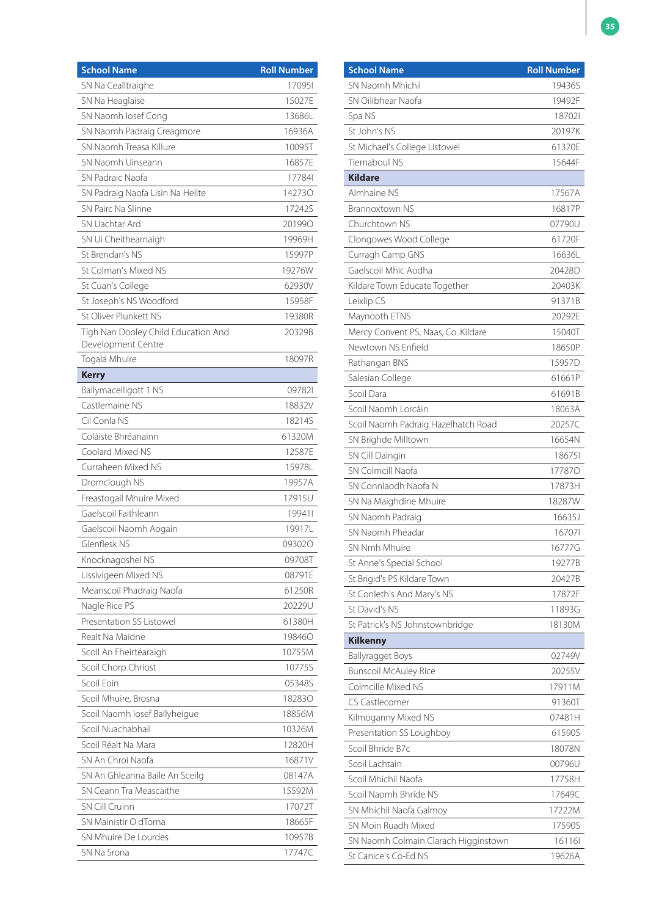| <b>School Name</b>                  | <b>Roll Number</b> |
|-------------------------------------|--------------------|
| SN Na Cealltraighe                  | 170951             |
| SN Na Heaglaise                     | 15027E             |
| SN Naomh losef Cong                 | 13686L             |
| SN Naomh Padraig Creagmore          | 16936A             |
| SN Naomh Treasa Killure             | 10095T             |
| SN Naomh Uinseann                   | 16857E             |
| SN Padraic Naofa                    | 177841             |
| SN Padraig Naofa Lisin Na Heilte    | 142730             |
| SN Pairc Na Slinne                  | 17242S             |
| SN Uachtar Ard                      | 201990             |
| SN Ui Cheithearnaigh                | 19969H             |
| St Brendan's NS                     | 15997P             |
| St Colman's Mixed NS                | 19276W             |
| St Cuan's College                   | 62930V             |
| St Joseph's NS Woodford             | 15958F             |
| St Oliver Plunkett NS               | 19380R             |
| Tígh Nan Dooley Child Education And | 20329B             |
| Development Centre                  |                    |
| Togala Mhuire                       | 18097R             |
| <b>Kerry</b>                        |                    |
| Ballymacelligott 1 NS               | 097821             |
| Castlemaine NS                      | 18832V             |
| Cil Conla NS                        | 18214S             |
| Coláiste Bhréanainn                 | 61320M             |
| Coolard Mixed NS                    | 12587E             |
| Curraheen Mixed NS                  | 15978L             |
| Dromclough NS                       | 19957A             |
| Freastogail Mhuire Mixed            | 17915U             |
| Gaelscoil Faithleann                | 199411             |
| Gaelscoil Naomh Aogain              | 19917L             |
| Glenflesk NS                        | 093020             |
| Knocknagoshel NS                    | 09708T             |
| Lissivigeen Mixed NS                | 08791E             |
| Meanscoil Phadraig Naofa            | 61250R             |
| Nagle Rice PS                       | 20229U             |
| Presentation SS Listowel            | 61380H             |
| Realt Na Maidne                     | 198460             |
| Scoil An Fheirtéaraigh              | 10755M             |
| Scoil Chorp Chríost                 | 10775S             |
| Scoil Eoin                          | 05348S             |
| Scoil Mhuire, Brosna                | 182830             |
| Scoil Naomh Iosef Ballyheigue       | 18856M             |
| Scoil Nuachabhail                   | 10326M             |
| Scoil Réalt Na Mara                 | 12820H             |
| SN An Chroi Naofa                   | 16871V             |
| SN An Ghleanna Baile An Sceilg      | 08147A             |
| SN Ceann Tra Meascaithe             | 15592M             |
| <b>SN Cill Cruinn</b>               | 17072T             |
| SN Mainistir O dTorna               | 18665F             |
| SN Mhuire De Lourdes                | 10957B             |
| SN Na Srona                         | 17747C             |
|                                     |                    |

| <b>School Name</b>                   | <b>Roll Number</b> |
|--------------------------------------|--------------------|
| SN Naomh Mhichil                     | 19436S             |
| SN Oilibhear Naofa                   | 19492F             |
| Spa NS                               | 187021             |
| St John's NS                         | 20197K             |
| St Michael's College Listowel        | 61370E             |
| Tiernaboul NS                        | 15644F             |
| <b>Kildare</b>                       |                    |
| Almhaine NS                          | 17567A             |
| Brannoxtown NS                       | 16817P             |
| Churchtown NS                        | 07790U             |
| Clongowes Wood College               | 61720F             |
| Curragh Camp GNS                     | 16636L             |
| Gaelscoil Mhic Aodha                 | 20428D             |
| Kildare Town Educate Together        | 20403K             |
| Leixlip CS                           | 91371B             |
| Maynooth ETNS                        | 20292E             |
| Mercy Convent PS, Naas, Co. Kildare  | 15040T             |
| Newtown NS Enfield                   | 18650P             |
| Rathangan BNS                        | 15957D             |
| Salesian College                     | 61661P             |
| Scoil Dara                           | 61691B             |
| Scoil Naomh Lorcáin                  | 18063A             |
| Scoil Naomh Padraig Hazelhatch Road  | 20257C             |
| SN Brighde Milltown                  | 16654N             |
| SN Cill Daingin                      | 186751             |
| SN Colmcill Naofa                    | 177870             |
| SN Connlaodh Naofa N                 | 17873H             |
| SN Na Maighdine Mhuire               | 18287W             |
| SN Naomh Padraig                     | 16635J             |
| SN Naomh Pheadar                     | 167071             |
| SN Nmh Mhuire                        | 16777G             |
| St Anne's Special School             | 19277B             |
| St Brigid's PS Kildare Town          | 20427B             |
| St Conleth's And Mary's NS           | 17872F             |
| St David's NS                        | 11893G             |
| St Patrick's NS Johnstownbridge      | 18130M             |
| <b>Kilkenny</b>                      |                    |
| <b>Ballyragget Boys</b>              | 02749V             |
| <b>Bunscoil McAuley Rice</b>         | 20255V             |
| Colmcille Mixed NS                   | 17911M             |
| CS Castlecomer                       | 91360T             |
| Kilmoganny Mixed NS                  | 07481H             |
| Presentation SS Loughboy             | 61590S             |
| Scoil Bhride B7c                     | 18078N             |
| Scoil Lachtain                       | 00796U             |
| Scoil Mhichil Naofa                  | 17758H             |
| Scoil Naomh Bhríde NS                | 17649C             |
| SN Mhichil Naofa Galmoy              | 17222M             |
| SN Moin Ruadh Mixed                  | 17590S             |
| SN Naomh Colmain Clarach Higginstown | 16116              |
| St Canice's Co-Ed NS                 | 19626A             |
|                                      |                    |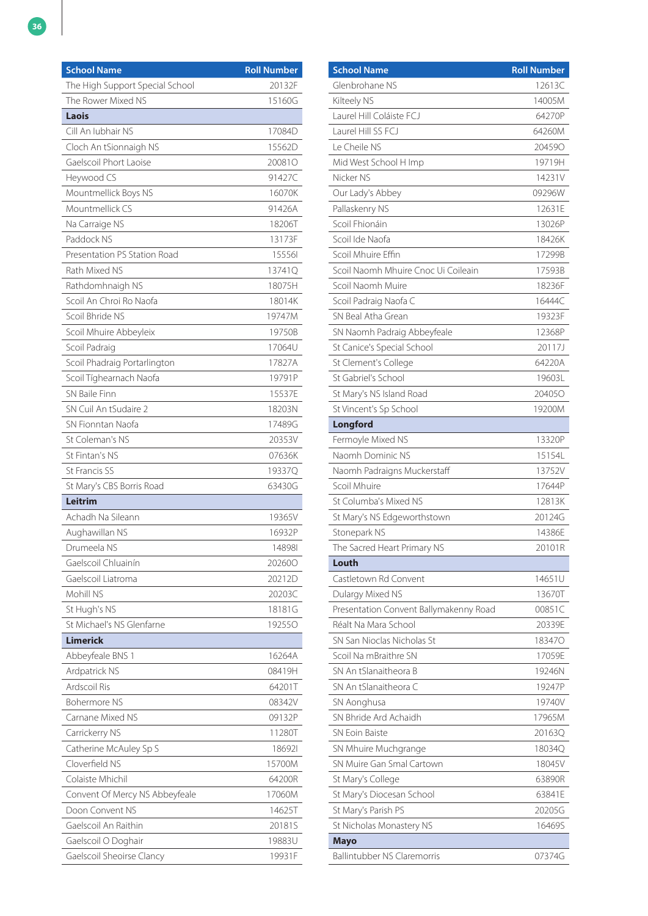| <b>School Name</b>              | <b>Roll Number</b> |
|---------------------------------|--------------------|
| The High Support Special School | 20132F             |
| The Rower Mixed NS              | 15160G             |
| Laois                           |                    |
| Cill An Iubhair NS              | 17084D             |
| Cloch An tSionnaigh NS          | 15562D             |
| Gaelscoil Phort Laoise          | 200810             |
| Heywood CS                      | 91427C             |
| Mountmellick Boys NS            | 16070K             |
| Mountmellick CS                 | 91426A             |
| Na Carraige NS                  | 18206T             |
| Paddock NS                      | 13173F             |
| Presentation PS Station Road    | 155561             |
| Rath Mixed NS                   | 13741Q             |
| Rathdomhnaigh NS                | 18075H             |
| Scoil An Chroi Ro Naofa         | 18014K             |
| Scoil Bhride NS                 | 19747M             |
| Scoil Mhuire Abbeyleix          | 19750B             |
| Scoil Padraig                   | 17064U             |
| Scoil Phadraig Portarlington    | 17827A             |
| Scoil Tíghearnach Naofa         | 19791P             |
| SN Baile Finn                   | 15537E             |
| SN Cuil An tSudaire 2           | 18203N             |
| SN Fionntan Naofa               | 17489G             |
| St Coleman's NS                 | 20353V             |
| St Fintan's NS                  | 07636K             |
| <b>St Francis SS</b>            | 19337Q             |
| St Mary's CBS Borris Road       | 63430G             |
| Leitrim                         |                    |
| Achadh Na Sileann               | 19365V             |
| Aughawillan NS                  | 16932P             |
| Drumeela NS                     | 148981             |
| Gaelscoil Chluainín             | 202600             |
| Gaelscoil Liatroma              | 20212D             |
| Mohill NS                       | 20203C             |
| St Hugh's NS                    | 18181G             |
| St Michael's NS Glenfarne       | 192550             |
| Limerick                        |                    |
| Abbeyfeale BNS 1                | 16264A             |
| Ardpatrick NS                   | 08419H             |
| Ardscoil Ris                    | 64201T             |
| <b>Bohermore NS</b>             | 08342V             |
| Carnane Mixed NS                | 09132P             |
| Carrickerry NS                  | 11280T             |
| Catherine McAuley Sp S          | 186921             |
| Cloverfield NS                  | 15700M             |
| Colaiste Mhichil                | 64200R             |
| Convent Of Mercy NS Abbeyfeale  | 17060M             |
| Doon Convent NS                 | 14625T             |
| Gaelscoil An Raithin            | 20181S             |
| Gaelscoil O Doghair             | 19883U             |
| Gaelscoil Sheoirse Clancy       | 19931F             |

| <b>School Name</b>                     | <b>Roll Number</b> |
|----------------------------------------|--------------------|
| Glenbrohane NS                         | 12613C             |
| Kilteely NS                            | 14005M             |
| Laurel Hill Coláiste FCJ               | 64270P             |
| Laurel Hill SS FCJ                     | 64260M             |
| Le Cheile NS                           | 204590             |
| Mid West School H Imp                  | 19719H             |
| Nicker NS                              | 14231V             |
| Our Lady's Abbey                       | 09296W             |
| Pallaskenry NS                         | 12631E             |
| Scoil Fhionáin                         | 13026P             |
| Scoil Ide Naofa                        | 18426K             |
| Scoil Mhuire Effin                     | 17299B             |
| Scoil Naomh Mhuire Cnoc Ui Coileain    | 17593B             |
| Scoil Naomh Muire                      | 18236F             |
| Scoil Padraig Naofa C                  | 16444C             |
| SN Beal Atha Grean                     | 19323F             |
| SN Naomh Padraig Abbeyfeale            | 12368P             |
| St Canice's Special School             | 20117J             |
| St Clement's College                   | 64220A             |
| St Gabriel's School                    | 19603L             |
| St Mary's NS Island Road               | 204050             |
| St Vincent's Sp School                 | 19200M             |
| <b>Longford</b>                        |                    |
| Fermoyle Mixed NS                      | 13320P             |
| Naomh Dominic NS                       | 15154L             |
| Naomh Padraigns Muckerstaff            | 13752V             |
| Scoil Mhuire                           | 17644P             |
| St Columba's Mixed NS                  | 12813K             |
| St Mary's NS Edgeworthstown            | 20124G             |
| Stonepark NS                           | 14386E             |
| The Sacred Heart Primary NS            | 20101R             |
| Louth                                  |                    |
| Castletown Rd Convent                  | 14651U             |
| Dulargy Mixed NS                       | 13670T             |
| Presentation Convent Ballymakenny Road | 00851C             |
| Réalt Na Mara School                   | 20339E             |
| SN San Nioclas Nicholas St             | 183470             |
| Scoil Na mBraithre SN                  | 17059E             |
| SN An tSlanaitheora B                  | 19246N             |
| SN An tSlanaitheora C                  | 19247P             |
| SN Aonghusa                            | 19740V             |
| SN Bhride Ard Achaidh                  | 17965M             |
| <b>SN Eoin Baiste</b>                  | 20163Q             |
| SN Mhuire Muchgrange                   | 18034Q             |
| SN Muire Gan Smal Cartown              | 18045V             |
| St Mary's College                      | 63890R             |
| St Mary's Diocesan School              | 63841E             |
| St Mary's Parish PS                    | 20205G             |
| St Nicholas Monastery NS               | 16469S             |
| <b>Mayo</b>                            |                    |
| <b>Ballintubber NS Claremorris</b>     | 07374G             |
|                                        |                    |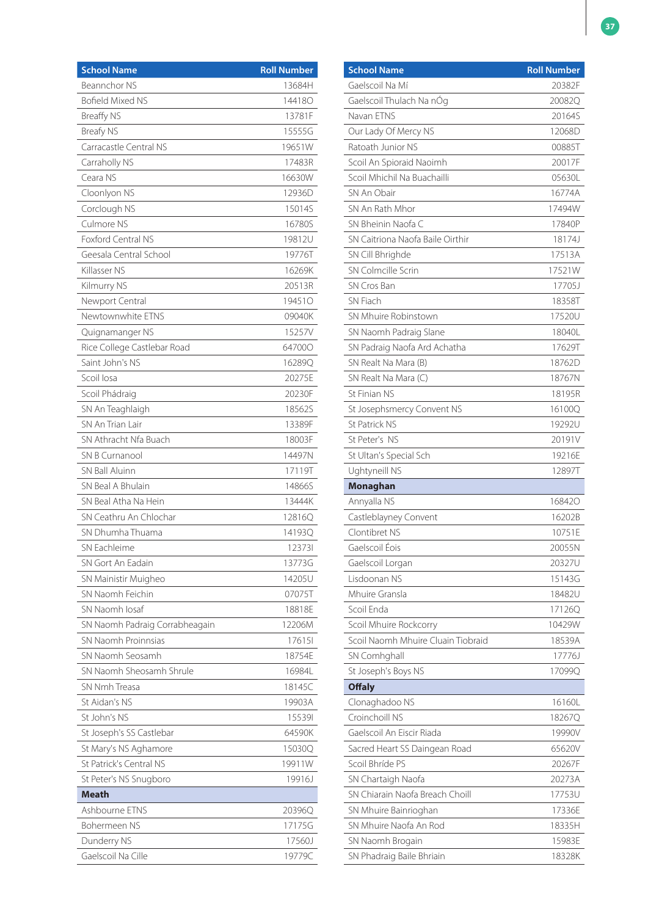| Beannchor NS<br>13684H<br>Bofield Mixed NS<br>144180<br><b>Breaffy NS</b><br>13781F<br><b>Breafy NS</b><br>15555G<br>Carracastle Central NS<br>19651W<br>Carraholly NS<br>17483R<br>Ceara NS<br>16630W<br>Cloonlyon NS<br>12936D<br>Corclough NS<br>15014S<br>Culmore NS<br>16780S<br><b>Foxford Central NS</b><br>19812U<br>Geesala Central School<br>19776T<br>Killasser NS<br>16269K<br>20513R<br>Kilmurry NS<br>Newport Central<br>19451O<br>Newtownwhite ETNS<br>09040K<br>15257V<br>Quignamanger NS<br>Rice College Castlebar Road<br>64700O<br>Saint John's NS<br>16289Q<br>Scoil Iosa<br>20275E<br>Scoil Phádraig<br>20230F<br>18562S<br>SN An Teaghlaigh<br>SN An Trian Lair<br>13389F<br>SN Athracht Nfa Buach<br>18003F<br>SN B Curnanool<br>14497N<br>SN Ball Aluinn<br>17119T<br>SN Beal A Bhulain<br>14866S<br>SN Beal Atha Na Hein<br>13444K<br>SN Ceathru An Chlochar<br>12816Q<br>SN Dhumha Thuama<br>14193Q<br>123731<br>SN Eachleime<br>SN Gort An Eadain<br>13773G<br>14205U<br>SN Mainistir Muigheo<br>SN Naomh Feichin<br>07075T<br>SN Naomh Iosaf<br>18818E<br>SN Naomh Padraig Corrabheagain<br>12206M<br>SN Naomh Proinnsias<br>176151<br>SN Naomh Seosamh<br>18754E<br>SN Naomh Sheosamh Shrule<br>16984L<br>SN Nmh Treasa<br>18145C<br>St Aidan's NS<br>19903A<br>St John's NS<br>155391<br>St Joseph's SS Castlebar<br>64590K<br>St Mary's NS Aghamore<br>15030Q<br>St Patrick's Central NS<br>19911W<br>St Peter's NS Snugboro<br>19916J<br><b>Meath</b><br>Ashbourne ETNS<br>20396Q<br>17175G<br>Bohermeen NS<br>Dunderry NS<br>17560J | <b>School Name</b> | <b>Roll Number</b> |
|----------------------------------------------------------------------------------------------------------------------------------------------------------------------------------------------------------------------------------------------------------------------------------------------------------------------------------------------------------------------------------------------------------------------------------------------------------------------------------------------------------------------------------------------------------------------------------------------------------------------------------------------------------------------------------------------------------------------------------------------------------------------------------------------------------------------------------------------------------------------------------------------------------------------------------------------------------------------------------------------------------------------------------------------------------------------------------------------------------------------------------------------------------------------------------------------------------------------------------------------------------------------------------------------------------------------------------------------------------------------------------------------------------------------------------------------------------------------------------------------------------------------------------------------------------------------|--------------------|--------------------|
|                                                                                                                                                                                                                                                                                                                                                                                                                                                                                                                                                                                                                                                                                                                                                                                                                                                                                                                                                                                                                                                                                                                                                                                                                                                                                                                                                                                                                                                                                                                                                                      |                    |                    |
|                                                                                                                                                                                                                                                                                                                                                                                                                                                                                                                                                                                                                                                                                                                                                                                                                                                                                                                                                                                                                                                                                                                                                                                                                                                                                                                                                                                                                                                                                                                                                                      |                    |                    |
|                                                                                                                                                                                                                                                                                                                                                                                                                                                                                                                                                                                                                                                                                                                                                                                                                                                                                                                                                                                                                                                                                                                                                                                                                                                                                                                                                                                                                                                                                                                                                                      |                    |                    |
|                                                                                                                                                                                                                                                                                                                                                                                                                                                                                                                                                                                                                                                                                                                                                                                                                                                                                                                                                                                                                                                                                                                                                                                                                                                                                                                                                                                                                                                                                                                                                                      |                    |                    |
|                                                                                                                                                                                                                                                                                                                                                                                                                                                                                                                                                                                                                                                                                                                                                                                                                                                                                                                                                                                                                                                                                                                                                                                                                                                                                                                                                                                                                                                                                                                                                                      |                    |                    |
|                                                                                                                                                                                                                                                                                                                                                                                                                                                                                                                                                                                                                                                                                                                                                                                                                                                                                                                                                                                                                                                                                                                                                                                                                                                                                                                                                                                                                                                                                                                                                                      |                    |                    |
|                                                                                                                                                                                                                                                                                                                                                                                                                                                                                                                                                                                                                                                                                                                                                                                                                                                                                                                                                                                                                                                                                                                                                                                                                                                                                                                                                                                                                                                                                                                                                                      |                    |                    |
|                                                                                                                                                                                                                                                                                                                                                                                                                                                                                                                                                                                                                                                                                                                                                                                                                                                                                                                                                                                                                                                                                                                                                                                                                                                                                                                                                                                                                                                                                                                                                                      |                    |                    |
|                                                                                                                                                                                                                                                                                                                                                                                                                                                                                                                                                                                                                                                                                                                                                                                                                                                                                                                                                                                                                                                                                                                                                                                                                                                                                                                                                                                                                                                                                                                                                                      |                    |                    |
|                                                                                                                                                                                                                                                                                                                                                                                                                                                                                                                                                                                                                                                                                                                                                                                                                                                                                                                                                                                                                                                                                                                                                                                                                                                                                                                                                                                                                                                                                                                                                                      |                    |                    |
|                                                                                                                                                                                                                                                                                                                                                                                                                                                                                                                                                                                                                                                                                                                                                                                                                                                                                                                                                                                                                                                                                                                                                                                                                                                                                                                                                                                                                                                                                                                                                                      |                    |                    |
|                                                                                                                                                                                                                                                                                                                                                                                                                                                                                                                                                                                                                                                                                                                                                                                                                                                                                                                                                                                                                                                                                                                                                                                                                                                                                                                                                                                                                                                                                                                                                                      |                    |                    |
|                                                                                                                                                                                                                                                                                                                                                                                                                                                                                                                                                                                                                                                                                                                                                                                                                                                                                                                                                                                                                                                                                                                                                                                                                                                                                                                                                                                                                                                                                                                                                                      |                    |                    |
|                                                                                                                                                                                                                                                                                                                                                                                                                                                                                                                                                                                                                                                                                                                                                                                                                                                                                                                                                                                                                                                                                                                                                                                                                                                                                                                                                                                                                                                                                                                                                                      |                    |                    |
|                                                                                                                                                                                                                                                                                                                                                                                                                                                                                                                                                                                                                                                                                                                                                                                                                                                                                                                                                                                                                                                                                                                                                                                                                                                                                                                                                                                                                                                                                                                                                                      |                    |                    |
|                                                                                                                                                                                                                                                                                                                                                                                                                                                                                                                                                                                                                                                                                                                                                                                                                                                                                                                                                                                                                                                                                                                                                                                                                                                                                                                                                                                                                                                                                                                                                                      |                    |                    |
|                                                                                                                                                                                                                                                                                                                                                                                                                                                                                                                                                                                                                                                                                                                                                                                                                                                                                                                                                                                                                                                                                                                                                                                                                                                                                                                                                                                                                                                                                                                                                                      |                    |                    |
|                                                                                                                                                                                                                                                                                                                                                                                                                                                                                                                                                                                                                                                                                                                                                                                                                                                                                                                                                                                                                                                                                                                                                                                                                                                                                                                                                                                                                                                                                                                                                                      |                    |                    |
|                                                                                                                                                                                                                                                                                                                                                                                                                                                                                                                                                                                                                                                                                                                                                                                                                                                                                                                                                                                                                                                                                                                                                                                                                                                                                                                                                                                                                                                                                                                                                                      |                    |                    |
|                                                                                                                                                                                                                                                                                                                                                                                                                                                                                                                                                                                                                                                                                                                                                                                                                                                                                                                                                                                                                                                                                                                                                                                                                                                                                                                                                                                                                                                                                                                                                                      |                    |                    |
|                                                                                                                                                                                                                                                                                                                                                                                                                                                                                                                                                                                                                                                                                                                                                                                                                                                                                                                                                                                                                                                                                                                                                                                                                                                                                                                                                                                                                                                                                                                                                                      |                    |                    |
|                                                                                                                                                                                                                                                                                                                                                                                                                                                                                                                                                                                                                                                                                                                                                                                                                                                                                                                                                                                                                                                                                                                                                                                                                                                                                                                                                                                                                                                                                                                                                                      |                    |                    |
|                                                                                                                                                                                                                                                                                                                                                                                                                                                                                                                                                                                                                                                                                                                                                                                                                                                                                                                                                                                                                                                                                                                                                                                                                                                                                                                                                                                                                                                                                                                                                                      |                    |                    |
|                                                                                                                                                                                                                                                                                                                                                                                                                                                                                                                                                                                                                                                                                                                                                                                                                                                                                                                                                                                                                                                                                                                                                                                                                                                                                                                                                                                                                                                                                                                                                                      |                    |                    |
|                                                                                                                                                                                                                                                                                                                                                                                                                                                                                                                                                                                                                                                                                                                                                                                                                                                                                                                                                                                                                                                                                                                                                                                                                                                                                                                                                                                                                                                                                                                                                                      |                    |                    |
|                                                                                                                                                                                                                                                                                                                                                                                                                                                                                                                                                                                                                                                                                                                                                                                                                                                                                                                                                                                                                                                                                                                                                                                                                                                                                                                                                                                                                                                                                                                                                                      |                    |                    |
|                                                                                                                                                                                                                                                                                                                                                                                                                                                                                                                                                                                                                                                                                                                                                                                                                                                                                                                                                                                                                                                                                                                                                                                                                                                                                                                                                                                                                                                                                                                                                                      |                    |                    |
|                                                                                                                                                                                                                                                                                                                                                                                                                                                                                                                                                                                                                                                                                                                                                                                                                                                                                                                                                                                                                                                                                                                                                                                                                                                                                                                                                                                                                                                                                                                                                                      |                    |                    |
|                                                                                                                                                                                                                                                                                                                                                                                                                                                                                                                                                                                                                                                                                                                                                                                                                                                                                                                                                                                                                                                                                                                                                                                                                                                                                                                                                                                                                                                                                                                                                                      |                    |                    |
|                                                                                                                                                                                                                                                                                                                                                                                                                                                                                                                                                                                                                                                                                                                                                                                                                                                                                                                                                                                                                                                                                                                                                                                                                                                                                                                                                                                                                                                                                                                                                                      |                    |                    |
|                                                                                                                                                                                                                                                                                                                                                                                                                                                                                                                                                                                                                                                                                                                                                                                                                                                                                                                                                                                                                                                                                                                                                                                                                                                                                                                                                                                                                                                                                                                                                                      |                    |                    |
|                                                                                                                                                                                                                                                                                                                                                                                                                                                                                                                                                                                                                                                                                                                                                                                                                                                                                                                                                                                                                                                                                                                                                                                                                                                                                                                                                                                                                                                                                                                                                                      |                    |                    |
|                                                                                                                                                                                                                                                                                                                                                                                                                                                                                                                                                                                                                                                                                                                                                                                                                                                                                                                                                                                                                                                                                                                                                                                                                                                                                                                                                                                                                                                                                                                                                                      |                    |                    |
|                                                                                                                                                                                                                                                                                                                                                                                                                                                                                                                                                                                                                                                                                                                                                                                                                                                                                                                                                                                                                                                                                                                                                                                                                                                                                                                                                                                                                                                                                                                                                                      |                    |                    |
|                                                                                                                                                                                                                                                                                                                                                                                                                                                                                                                                                                                                                                                                                                                                                                                                                                                                                                                                                                                                                                                                                                                                                                                                                                                                                                                                                                                                                                                                                                                                                                      |                    |                    |
|                                                                                                                                                                                                                                                                                                                                                                                                                                                                                                                                                                                                                                                                                                                                                                                                                                                                                                                                                                                                                                                                                                                                                                                                                                                                                                                                                                                                                                                                                                                                                                      |                    |                    |
|                                                                                                                                                                                                                                                                                                                                                                                                                                                                                                                                                                                                                                                                                                                                                                                                                                                                                                                                                                                                                                                                                                                                                                                                                                                                                                                                                                                                                                                                                                                                                                      |                    |                    |
|                                                                                                                                                                                                                                                                                                                                                                                                                                                                                                                                                                                                                                                                                                                                                                                                                                                                                                                                                                                                                                                                                                                                                                                                                                                                                                                                                                                                                                                                                                                                                                      |                    |                    |
|                                                                                                                                                                                                                                                                                                                                                                                                                                                                                                                                                                                                                                                                                                                                                                                                                                                                                                                                                                                                                                                                                                                                                                                                                                                                                                                                                                                                                                                                                                                                                                      |                    |                    |
|                                                                                                                                                                                                                                                                                                                                                                                                                                                                                                                                                                                                                                                                                                                                                                                                                                                                                                                                                                                                                                                                                                                                                                                                                                                                                                                                                                                                                                                                                                                                                                      |                    |                    |
|                                                                                                                                                                                                                                                                                                                                                                                                                                                                                                                                                                                                                                                                                                                                                                                                                                                                                                                                                                                                                                                                                                                                                                                                                                                                                                                                                                                                                                                                                                                                                                      |                    |                    |
|                                                                                                                                                                                                                                                                                                                                                                                                                                                                                                                                                                                                                                                                                                                                                                                                                                                                                                                                                                                                                                                                                                                                                                                                                                                                                                                                                                                                                                                                                                                                                                      |                    |                    |
|                                                                                                                                                                                                                                                                                                                                                                                                                                                                                                                                                                                                                                                                                                                                                                                                                                                                                                                                                                                                                                                                                                                                                                                                                                                                                                                                                                                                                                                                                                                                                                      |                    |                    |
|                                                                                                                                                                                                                                                                                                                                                                                                                                                                                                                                                                                                                                                                                                                                                                                                                                                                                                                                                                                                                                                                                                                                                                                                                                                                                                                                                                                                                                                                                                                                                                      |                    |                    |
|                                                                                                                                                                                                                                                                                                                                                                                                                                                                                                                                                                                                                                                                                                                                                                                                                                                                                                                                                                                                                                                                                                                                                                                                                                                                                                                                                                                                                                                                                                                                                                      |                    |                    |
|                                                                                                                                                                                                                                                                                                                                                                                                                                                                                                                                                                                                                                                                                                                                                                                                                                                                                                                                                                                                                                                                                                                                                                                                                                                                                                                                                                                                                                                                                                                                                                      |                    |                    |
|                                                                                                                                                                                                                                                                                                                                                                                                                                                                                                                                                                                                                                                                                                                                                                                                                                                                                                                                                                                                                                                                                                                                                                                                                                                                                                                                                                                                                                                                                                                                                                      |                    |                    |
|                                                                                                                                                                                                                                                                                                                                                                                                                                                                                                                                                                                                                                                                                                                                                                                                                                                                                                                                                                                                                                                                                                                                                                                                                                                                                                                                                                                                                                                                                                                                                                      |                    |                    |
|                                                                                                                                                                                                                                                                                                                                                                                                                                                                                                                                                                                                                                                                                                                                                                                                                                                                                                                                                                                                                                                                                                                                                                                                                                                                                                                                                                                                                                                                                                                                                                      |                    |                    |
|                                                                                                                                                                                                                                                                                                                                                                                                                                                                                                                                                                                                                                                                                                                                                                                                                                                                                                                                                                                                                                                                                                                                                                                                                                                                                                                                                                                                                                                                                                                                                                      |                    |                    |
|                                                                                                                                                                                                                                                                                                                                                                                                                                                                                                                                                                                                                                                                                                                                                                                                                                                                                                                                                                                                                                                                                                                                                                                                                                                                                                                                                                                                                                                                                                                                                                      | Gaelscoil Na Cille | 19779C             |

| <b>School Name</b>                 | <b>Roll Number</b> |
|------------------------------------|--------------------|
| Gaelscoil Na Mí                    | 20382F             |
| Gaelscoil Thulach Na nÓg           | 20082Q             |
| Navan ETNS                         | 20164S             |
| Our Lady Of Mercy NS               | 12068D             |
| Ratoath Junior NS                  | 00885T             |
| Scoil An Spioraid Naoimh           | 20017F             |
| Scoil Mhichil Na Buachailli        | 05630L             |
| SN An Obair                        | 16774A             |
| SN An Rath Mhor                    | 17494W             |
| SN Bheinin Naofa C                 | 17840P             |
| SN Caitriona Naofa Baile Oirthir   | 18174J             |
| SN Cill Bhrighde                   | 17513A             |
| SN Colmcille Scrin                 | 17521W             |
| SN Cros Ban                        | 17705J             |
| SN Fiach                           | 18358T             |
| SN Mhuire Robinstown               | 17520U             |
| SN Naomh Padraig Slane             | 18040L             |
| SN Padraig Naofa Ard Achatha       | 17629T             |
| SN Realt Na Mara (B)               | 18762D             |
| SN Realt Na Mara (C)               | 18767N             |
| St Finian NS                       | 18195R             |
| St Josephsmercy Convent NS         | 16100Q             |
| <b>St Patrick NS</b>               | 19292U             |
| St Peter's NS                      | 20191V             |
| St Ultan's Special Sch             | 19216E             |
| Ughtyneill NS                      | 12897T             |
| <b>Monaghan</b>                    |                    |
| Annyalla NS                        | 168420             |
| Castleblayney Convent              | 16202B             |
| Clontibret NS                      | 10751E             |
| Gaelscoil Éois                     | 20055N             |
| Gaelscoil Lorgan                   | 20327U             |
| Lisdoonan NS                       | 15143G             |
| Mhuire Gransla                     | 18482U             |
| Scoil Enda                         | 17126Q             |
| Scoil Mhuire Rockcorry             | 10429W             |
| Scoil Naomh Mhuire Cluain Tiobraid | 18539A             |
| SN Comhghall                       | 17776J             |
| St Joseph's Boys NS                | 170990             |
| <b>Offaly</b>                      |                    |
| Clonaghadoo NS                     | 16160L             |
| Croinchoill NS                     | 18267Q             |
| Gaelscoil An Eiscir Riada          | 19990V             |
| Sacred Heart SS Daingean Road      | 65620V             |
| Scoil Bhríde PS                    | 20267F             |
| SN Chartaigh Naofa                 | 20273A             |
| SN Chiarain Naofa Breach Choill    | 17753U             |
| SN Mhuire Bainrioghan              | 17336E             |
| SN Mhuire Naofa An Rod             | 18335H             |
| SN Naomh Brogain                   | 15983E             |
| SN Phadraig Baile Bhriain          | 18328K             |
|                                    |                    |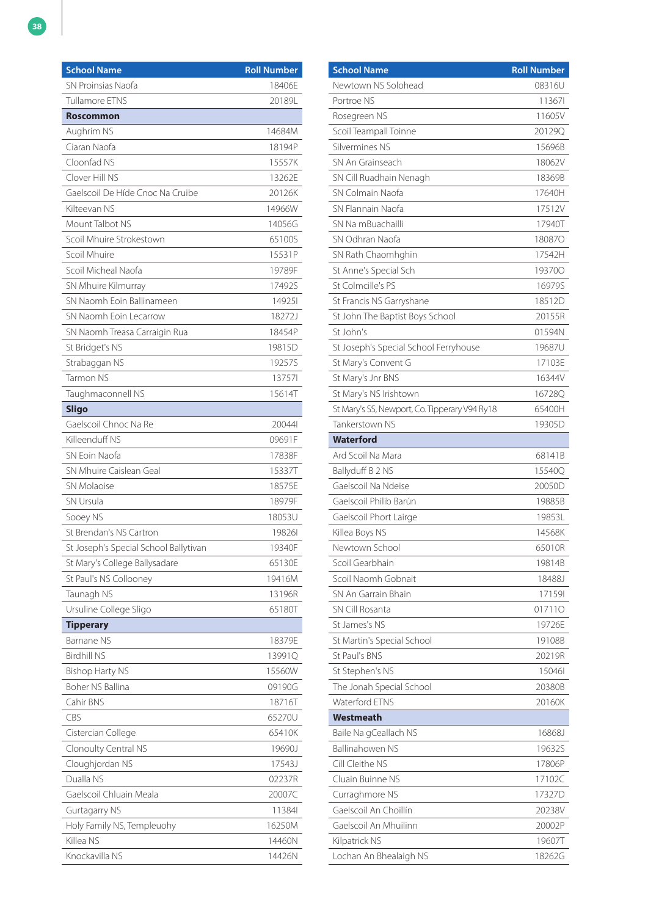| <b>School Name</b>                    | <b>Roll Number</b> |
|---------------------------------------|--------------------|
| SN Proinsias Naofa                    | 18406E             |
| Tullamore ETNS                        | 20189L             |
| <b>Roscommon</b>                      |                    |
| Aughrim NS                            | 14684M             |
| Ciaran Naofa                          | 18194P             |
| Cloonfad NS                           | 15557K             |
| Clover Hill NS                        | 13262E             |
| Gaelscoil De Híde Cnoc Na Cruibe      | 20126K             |
| Kilteevan NS                          | 14966W             |
| Mount Talbot NS                       | 14056G             |
| Scoil Mhuire Strokestown              | 65100S             |
| Scoil Mhuire                          | 15531P             |
| Scoil Micheal Naofa                   | 19789F             |
| SN Mhuire Kilmurray                   | 17492S             |
| SN Naomh Eoin Ballinameen             | 149251             |
| SN Naomh Eoin Lecarrow                | 18272J             |
| SN Naomh Treasa Carraigin Rua         | 18454P             |
| St Bridget's NS                       | 19815D             |
| Strabaggan NS                         | 19257S             |
| Tarmon NS                             | 137571             |
| Taughmaconnell NS                     | 15614T             |
| <b>Sligo</b>                          |                    |
| Gaelscoil Chnoc Na Re                 | 200441             |
| Killeenduff NS                        | 09691F             |
| SN Eoin Naofa                         | 17838F             |
| SN Mhuire Caislean Geal               | 15337T             |
| <b>SN Molaoise</b>                    | 18575E             |
| SN Ursula                             | 18979F             |
| Sooey NS                              | 18053U             |
| St Brendan's NS Cartron               | 198261             |
| St Joseph's Special School Ballytivan | 19340F             |
| St Mary's College Ballysadare         | 65130E             |
| St Paul's NS Collooney                | 19416M             |
| Taunagh NS                            | 13196R             |
| Ursuline College Sligo                | 65180T             |
| <b>Tipperary</b>                      |                    |
| Barnane NS                            | 18379E             |
| <b>Birdhill NS</b>                    | 13991Q             |
| <b>Bishop Harty NS</b>                | 15560W             |
| <b>Boher NS Ballina</b>               | 09190G             |
| Cahir BNS                             | 18716T             |
| CBS                                   | 65270U             |
| Cistercian College                    | 65410K             |
| Clonoulty Central NS                  | 19690J             |
| Cloughjordan NS                       | 17543J             |
| Dualla NS                             | 02237R             |
| Gaelscoil Chluain Meala               | 20007C             |
| Gurtagarry NS                         | 11384              |
| Holy Family NS, Templeuohy            | 16250M             |
| Killea NS                             | 14460N             |
| Knockavilla NS                        | 14426N             |

| <b>School Name</b>                            | <b>Roll Number</b> |
|-----------------------------------------------|--------------------|
| Newtown NS Solohead                           | 08316U             |
| Portroe NS                                    | 113671             |
| Rosegreen NS                                  | 11605V             |
| Scoil Teampall Toinne                         | 20129Q             |
| Silvermines NS                                | 15696B             |
| SN An Grainseach                              | 18062V             |
| SN Cill Ruadhain Nenagh                       | 18369B             |
| SN Colmain Naofa                              | 17640H             |
| SN Flannain Naofa                             | 17512V             |
| SN Na mBuachailli                             | 17940T             |
| SN Odhran Naofa                               | 180870             |
| SN Rath Chaomhghin                            | 17542H             |
| St Anne's Special Sch                         | 193700             |
| St Colmcille's PS                             | 16979S             |
| St Francis NS Garryshane                      | 18512D             |
| St John The Baptist Boys School               | 20155R             |
| St John's                                     | 01594N             |
| St Joseph's Special School Ferryhouse         | 19687U             |
| St Mary's Convent G                           | 17103E             |
| St Mary's Jnr BNS                             | 16344V             |
| St Mary's NS Irishtown                        | 16728Q             |
| St Mary's SS, Newport, Co. Tipperary V94 Ry18 | 65400H             |
| Tankerstown NS                                | 19305D             |
| <b>Waterford</b>                              |                    |
| Ard Scoil Na Mara                             | 68141B             |
| Ballyduff B 2 NS                              | 15540Q             |
| Gaelscoil Na Ndeise                           | 20050D             |
| Gaelscoil Philib Barún                        | 19885B             |
| Gaelscoil Phort Lairge                        | 19853L             |
| Killea Boys NS                                | 14568K             |
| Newtown School                                | 65010R             |
| Scoil Gearbhain                               | 19814B             |
| Scoil Naomh Gobnait                           | 18488J             |
| SN An Garrain Bhain                           | 171591             |
| SN Cill Rosanta                               | 017110             |
| St James's NS                                 | 19726E             |
| St Martin's Special School                    | 19108B             |
| St Paul's BNS                                 | 20219R             |
| St Stephen's NS                               | 150461             |
| The Jonah Special School                      | 20380B             |
| <b>Waterford ETNS</b>                         | 20160K             |
| Westmeath                                     |                    |
| Baile Na gCeallach NS                         | 16868J             |
| Ballinahowen NS                               | 19632S             |
| Cill Cleithe NS                               | 17806P             |
| Cluain Buinne NS                              | 17102C             |
| Curraghmore NS                                | 17327D             |
| Gaelscoil An Choillín                         | 20238V             |
| Gaelscoil An Mhuilinn                         | 20002P             |
| Kilpatrick NS                                 | 19607T             |
| Lochan An Bhealaigh NS                        | 18262G             |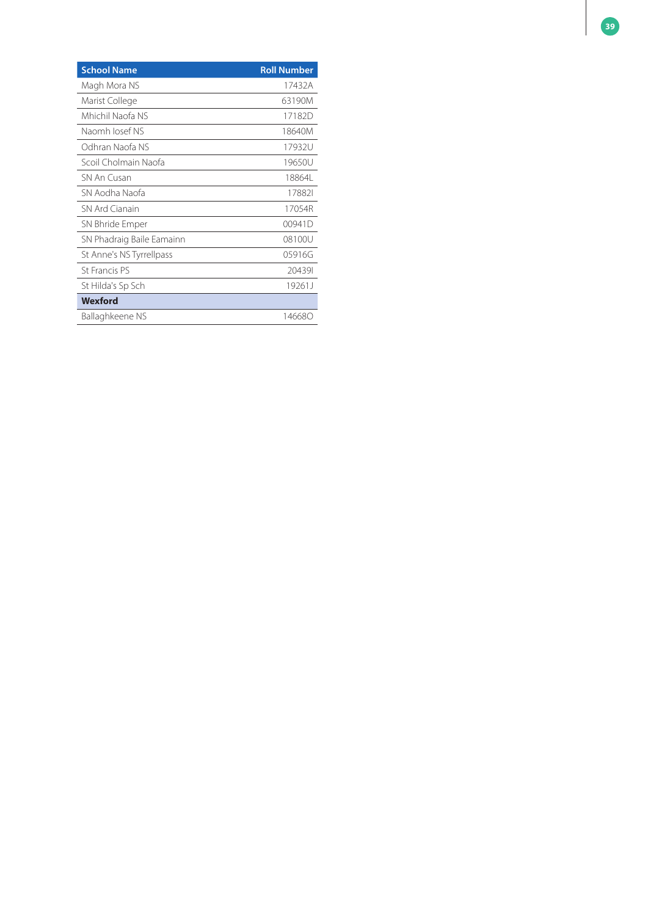| <b>School Name</b>        | <b>Roll Number</b> |
|---------------------------|--------------------|
| Magh Mora NS              | 17432A             |
| Marist College            | 63190M             |
| Mhichil Naofa NS          | 17182D             |
| Naomh Josef NS            | 18640M             |
| Odhran Naofa NS           | 17932U             |
| Scoil Cholmain Naofa      | 19650U             |
| SN An Cusan               | 18864L             |
| SN Aodha Naofa            | 178821             |
| SN Ard Cianain            | 17054R             |
| SN Bhride Emper           | 00941D             |
| SN Phadraig Baile Eamainn | 08100U             |
| St Anne's NS Tyrrellpass  | 05916G             |
| St Francis PS             | 204391             |
| St Hilda's Sp Sch         | 19261J             |
| Wexford                   |                    |
| Ballaghkeene NS           | 146680             |